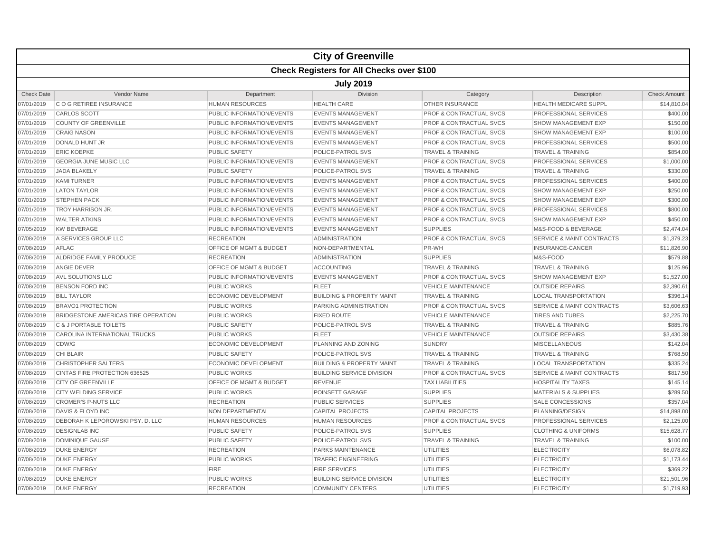|                   |                                                  |                                    | <b>City of Greenville</b>            |                                    |                                      |                     |  |  |  |
|-------------------|--------------------------------------------------|------------------------------------|--------------------------------------|------------------------------------|--------------------------------------|---------------------|--|--|--|
|                   | <b>Check Registers for All Checks over \$100</b> |                                    |                                      |                                    |                                      |                     |  |  |  |
|                   | <b>July 2019</b>                                 |                                    |                                      |                                    |                                      |                     |  |  |  |
| <b>Check Date</b> | Vendor Name                                      | Department                         | <b>Division</b>                      | Category                           | Description                          | <b>Check Amount</b> |  |  |  |
| 07/01/2019        | C O G RETIREE INSURANCE                          | <b>HUMAN RESOURCES</b>             | <b>HEALTH CARE</b>                   | <b>OTHER INSURANCE</b>             | HEALTH MEDICARE SUPPL                | \$14,810.04         |  |  |  |
| 07/01/2019        | <b>CARLOS SCOTT</b>                              | PUBLIC INFORMATION/EVENTS          | <b>EVENTS MANAGEMENT</b>             | <b>PROF &amp; CONTRACTUAL SVCS</b> | PROFESSIONAL SERVICES                | \$400.00            |  |  |  |
| 07/01/2019        | <b>COUNTY OF GREENVILLE</b>                      | PUBLIC INFORMATION/EVENTS          | <b>EVENTS MANAGEMENT</b>             | <b>PROF &amp; CONTRACTUAL SVCS</b> | <b>SHOW MANAGEMENT EXP</b>           | \$150.00            |  |  |  |
| 07/01/2019        | <b>CRAIG NASON</b>                               | PUBLIC INFORMATION/EVENTS          | <b>EVENTS MANAGEMENT</b>             | <b>PROF &amp; CONTRACTUAL SVCS</b> | <b>SHOW MANAGEMENT EXP</b>           | \$100.00            |  |  |  |
| 07/01/2019        | <b>DONALD HUNT JR</b>                            | PUBLIC INFORMATION/EVENTS          | <b>EVENTS MANAGEMENT</b>             | <b>PROF &amp; CONTRACTUAL SVCS</b> | PROFESSIONAL SERVICES                | \$500.00            |  |  |  |
| 07/01/2019        | <b>ERIC KOEPKE</b>                               | <b>PUBLIC SAFETY</b>               | POLICE-PATROL SVS                    | <b>TRAVEL &amp; TRAINING</b>       | <b>TRAVEL &amp; TRAINING</b>         | \$854.00            |  |  |  |
| 07/01/2019        | <b>GEORGIA JUNE MUSIC LLC</b>                    | PUBLIC INFORMATION/EVENTS          | <b>EVENTS MANAGEMENT</b>             | <b>PROF &amp; CONTRACTUAL SVCS</b> | PROFESSIONAL SERVICES                | \$1,000.00          |  |  |  |
| 07/01/2019        | <b>JADA BLAKELY</b>                              | <b>PUBLIC SAFETY</b>               | POLICE-PATROL SVS                    | <b>TRAVEL &amp; TRAINING</b>       | <b>TRAVEL &amp; TRAINING</b>         | \$330.00            |  |  |  |
| 07/01/2019        | <b>KAMI TURNER</b>                               | PUBLIC INFORMATION/EVENTS          | <b>EVENTS MANAGEMENT</b>             | <b>PROF &amp; CONTRACTUAL SVCS</b> | PROFESSIONAL SERVICES                | \$400.00            |  |  |  |
| 07/01/2019        | <b>LATON TAYLOR</b>                              | PUBLIC INFORMATION/EVENTS          | <b>EVENTS MANAGEMENT</b>             | <b>PROF &amp; CONTRACTUAL SVCS</b> | <b>SHOW MANAGEMENT EXP</b>           | \$250.00            |  |  |  |
| 07/01/2019        | <b>STEPHEN PACK</b>                              | PUBLIC INFORMATION/EVENTS          | <b>EVENTS MANAGEMENT</b>             | <b>PROF &amp; CONTRACTUAL SVCS</b> | <b>SHOW MANAGEMENT EXP</b>           | \$300.00            |  |  |  |
| 07/01/2019        | TROY HARRISON JR.                                | PUBLIC INFORMATION/EVENTS          | <b>EVENTS MANAGEMENT</b>             | <b>PROF &amp; CONTRACTUAL SVCS</b> | PROFESSIONAL SERVICES                | \$800.00            |  |  |  |
| 07/01/2019        | <b>WALTER ATKINS</b>                             | PUBLIC INFORMATION/EVENTS          | <b>EVENTS MANAGEMENT</b>             | <b>PROF &amp; CONTRACTUAL SVCS</b> | <b>SHOW MANAGEMENT EXP</b>           | \$450.00            |  |  |  |
| 07/05/2019        | <b>KW BEVERAGE</b>                               | PUBLIC INFORMATION/EVENTS          | <b>EVENTS MANAGEMENT</b>             | <b>SUPPLIES</b>                    | M&S-FOOD & BEVERAGE                  | \$2,474.04          |  |  |  |
| 07/08/2019        | A SERVICES GROUP LLC                             | <b>RECREATION</b>                  | <b>ADMINISTRATION</b>                | PROF & CONTRACTUAL SVCS            | <b>SERVICE &amp; MAINT CONTRACTS</b> | \$1,379.23          |  |  |  |
| 07/08/2019        | AFLAC                                            | OFFICE OF MGMT & BUDGET            | NON-DEPARTMENTAL                     | PR-WH                              | <b>INSURANCE-CANCER</b>              | \$11,826.90         |  |  |  |
| 07/08/2019        | ALDRIDGE FAMILY PRODUCE                          | <b>RECREATION</b>                  | <b>ADMINISTRATION</b>                | <b>SUPPLIES</b>                    | M&S-FOOD                             | \$579.88            |  |  |  |
| 07/08/2019        | ANGIE DEVER                                      | <b>OFFICE OF MGMT &amp; BUDGET</b> | <b>ACCOUNTING</b>                    | <b>TRAVEL &amp; TRAINING</b>       | <b>TRAVEL &amp; TRAINING</b>         | \$125.96            |  |  |  |
| 07/08/2019        | AVL SOLUTIONS LLC                                | PUBLIC INFORMATION/EVENTS          | <b>EVENTS MANAGEMENT</b>             | <b>PROF &amp; CONTRACTUAL SVCS</b> | <b>SHOW MANAGEMENT EXP</b>           | \$1,527.00          |  |  |  |
| 07/08/2019        | <b>BENSON FORD INC</b>                           | <b>PUBLIC WORKS</b>                | <b>FLEET</b>                         | <b>VEHICLE MAINTENANCE</b>         | <b>OUTSIDE REPAIRS</b>               | \$2,390.61          |  |  |  |
| 07/08/2019        | <b>BILL TAYLOR</b>                               | <b>ECONOMIC DEVELOPMENT</b>        | <b>BUILDING &amp; PROPERTY MAINT</b> | <b>TRAVEL &amp; TRAINING</b>       | <b>LOCAL TRANSPORTATION</b>          | \$396.14            |  |  |  |
| 07/08/2019        | <b>BRAVO1 PROTECTION</b>                         | <b>PUBLIC WORKS</b>                | PARKING ADMINISTRATION               | <b>PROF &amp; CONTRACTUAL SVCS</b> | <b>SERVICE &amp; MAINT CONTRACTS</b> | \$3,606.63          |  |  |  |
| 07/08/2019        | BRIDGESTONE AMERICAS TIRE OPERATION              | <b>PUBLIC WORKS</b>                | <b>FIXED ROUTE</b>                   | <b>VEHICLE MAINTENANCE</b>         | <b>TIRES AND TUBES</b>               | \$2,225.70          |  |  |  |
| 07/08/2019        | C & J PORTABLE TOILETS                           | PUBLIC SAFETY                      | POLICE-PATROL SVS                    | <b>TRAVEL &amp; TRAINING</b>       | <b>TRAVEL &amp; TRAINING</b>         | \$885.76            |  |  |  |
| 07/08/2019        | CAROLINA INTERNATIONAL TRUCKS                    | <b>PUBLIC WORKS</b>                | <b>FLEET</b>                         | <b>VEHICLE MAINTENANCE</b>         | <b>OUTSIDE REPAIRS</b>               | \$3,430.38          |  |  |  |
| 07/08/2019        | CDW/G                                            | <b>ECONOMIC DEVELOPMENT</b>        | PLANNING AND ZONING                  | <b>SUNDRY</b>                      | <b>MISCELLANEOUS</b>                 | \$142.04            |  |  |  |
| 07/08/2019        | <b>CHI BLAIR</b>                                 | <b>PUBLIC SAFETY</b>               | POLICE-PATROL SVS                    | <b>TRAVEL &amp; TRAINING</b>       | <b>TRAVEL &amp; TRAINING</b>         | \$768.50            |  |  |  |
| 07/08/2019        | <b>CHRISTOPHER SALTERS</b>                       | <b>ECONOMIC DEVELOPMENT</b>        | <b>BUILDING &amp; PROPERTY MAINT</b> | <b>TRAVEL &amp; TRAINING</b>       | <b>LOCAL TRANSPORTATION</b>          | \$335.24            |  |  |  |
| 07/08/2019        | CINTAS FIRE PROTECTION 636525                    | PUBLIC WORKS                       | <b>BUILDING SERVICE DIVISION</b>     | PROF & CONTRACTUAL SVCS            | <b>SERVICE &amp; MAINT CONTRACTS</b> | \$817.50            |  |  |  |
| 07/08/2019        | <b>CITY OF GREENVILLE</b>                        | OFFICE OF MGMT & BUDGET            | <b>REVENUE</b>                       | <b>TAX LIABILITIES</b>             | <b>HOSPITALITY TAXES</b>             | \$145.14            |  |  |  |
| 07/08/2019        | <b>CITY WELDING SERVICE</b>                      | PUBLIC WORKS                       | POINSETT GARAGE                      | <b>SUPPLIES</b>                    | <b>MATERIALS &amp; SUPPLIES</b>      | \$289.50            |  |  |  |
| 07/08/2019        | <b>CROMER'S P-NUTS LLC</b>                       | <b>RECREATION</b>                  | <b>PUBLIC SERVICES</b>               | <b>SUPPLIES</b>                    | <b>SALE CONCESSIONS</b>              | \$357.04            |  |  |  |
| 07/08/2019        | DAVIS & FLOYD INC                                | <b>NON DEPARTMENTAL</b>            | <b>CAPITAL PROJECTS</b>              | <b>CAPITAL PROJECTS</b>            | PLANNING/DESIGN                      | \$14,898.00         |  |  |  |
| 07/08/2019        | DEBORAH K LEPOROWSKI PSY. D. LLC                 | <b>HUMAN RESOURCES</b>             | <b>HUMAN RESOURCES</b>               | <b>PROF &amp; CONTRACTUAL SVCS</b> | PROFESSIONAL SERVICES                | \$2,125.00          |  |  |  |
| 07/08/2019        | <b>DESIGNLAB INC</b>                             | <b>PUBLIC SAFETY</b>               | POLICE-PATROL SVS                    | <b>SUPPLIES</b>                    | <b>CLOTHING &amp; UNIFORMS</b>       | \$15,628.77         |  |  |  |
| 07/08/2019        | <b>DOMINIQUE GAUSE</b>                           | <b>PUBLIC SAFETY</b>               | POLICE-PATROL SVS                    | <b>TRAVEL &amp; TRAINING</b>       | <b>TRAVEL &amp; TRAINING</b>         | \$100.00            |  |  |  |
| 07/08/2019        | <b>DUKE ENERGY</b>                               | <b>RECREATION</b>                  | PARKS MAINTENANCE                    | <b>UTILITIES</b>                   | <b>ELECTRICITY</b>                   | \$6,078.82          |  |  |  |
| 07/08/2019        | <b>DUKE ENERGY</b>                               | <b>PUBLIC WORKS</b>                | <b>TRAFFIC ENGINEERING</b>           | <b>UTILITIES</b>                   | <b>ELECTRICITY</b>                   | \$1,173.44          |  |  |  |
| 07/08/2019        | <b>DUKE ENERGY</b>                               | <b>FIRE</b>                        | <b>FIRE SERVICES</b>                 | <b>UTILITIES</b>                   | <b>ELECTRICITY</b>                   | \$369.22            |  |  |  |
| 07/08/2019        | <b>DUKE ENERGY</b>                               | <b>PUBLIC WORKS</b>                | <b>BUILDING SERVICE DIVISION</b>     | <b>UTILITIES</b>                   | <b>ELECTRICITY</b>                   | \$21,501.96         |  |  |  |
| 07/08/2019        | <b>DUKE ENERGY</b>                               | <b>RECREATION</b>                  | <b>COMMUNITY CENTERS</b>             | <b>UTILITIES</b>                   | <b>ELECTRICITY</b>                   | \$1,719.93          |  |  |  |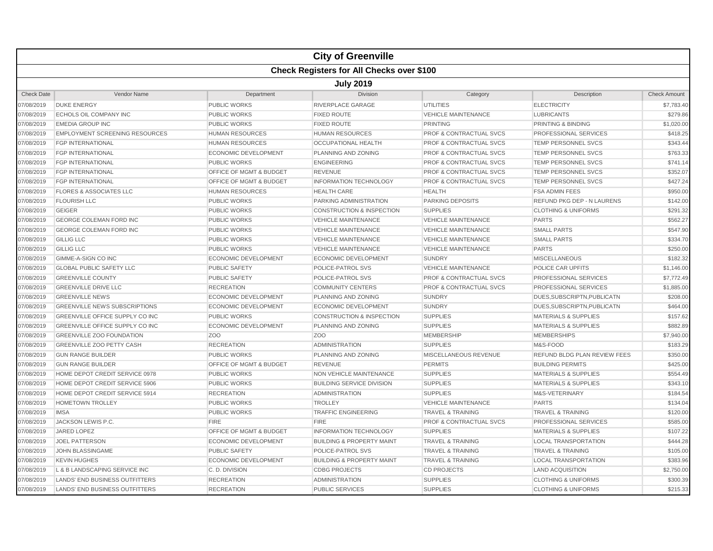|                   | <b>City of Greenville</b>                        |                                    |                                      |                                    |                                     |                     |  |  |  |
|-------------------|--------------------------------------------------|------------------------------------|--------------------------------------|------------------------------------|-------------------------------------|---------------------|--|--|--|
|                   | <b>Check Registers for All Checks over \$100</b> |                                    |                                      |                                    |                                     |                     |  |  |  |
|                   | <b>July 2019</b>                                 |                                    |                                      |                                    |                                     |                     |  |  |  |
| <b>Check Date</b> | <b>Vendor Name</b>                               | Department                         | Division                             | Category                           | Description                         | <b>Check Amount</b> |  |  |  |
| 07/08/2019        | <b>DUKE ENERGY</b>                               | PUBLIC WORKS                       | RIVERPLACE GARAGE                    | <b>UTILITIES</b>                   | <b>ELECTRICITY</b>                  | \$7,783.40          |  |  |  |
| 07/08/2019        | <b>ECHOLS OIL COMPANY INC</b>                    | <b>PUBLIC WORKS</b>                | <b>FIXED ROUTE</b>                   | <b>VEHICLE MAINTENANCE</b>         | <b>LUBRICANTS</b>                   | \$279.86            |  |  |  |
| 07/08/2019        | <b>EMEDIA GROUP INC</b>                          | <b>PUBLIC WORKS</b>                | <b>FIXED ROUTE</b>                   | <b>PRINTING</b>                    | PRINTING & BINDING                  | \$1,020.00          |  |  |  |
| 07/08/2019        | <b>EMPLOYMENT SCREENING RESOURCES</b>            | <b>HUMAN RESOURCES</b>             | <b>HUMAN RESOURCES</b>               | <b>PROF &amp; CONTRACTUAL SVCS</b> | PROFESSIONAL SERVICES               | \$418.25            |  |  |  |
| 07/08/2019        | <b>FGP INTERNATIONAL</b>                         | <b>HUMAN RESOURCES</b>             | <b>OCCUPATIONAL HEALTH</b>           | <b>PROF &amp; CONTRACTUAL SVCS</b> | TEMP PERSONNEL SVCS                 | \$343.44            |  |  |  |
| 07/08/2019        | <b>FGP INTERNATIONAL</b>                         | <b>ECONOMIC DEVELOPMENT</b>        | <b>PLANNING AND ZONING</b>           | <b>PROF &amp; CONTRACTUAL SVCS</b> | <b>TEMP PERSONNEL SVCS</b>          | \$763.33            |  |  |  |
| 07/08/2019        | <b>FGP INTERNATIONAL</b>                         | <b>PUBLIC WORKS</b>                | <b>ENGINEERING</b>                   | <b>PROF &amp; CONTRACTUAL SVCS</b> | <b>TEMP PERSONNEL SVCS</b>          | \$741.14            |  |  |  |
| 07/08/2019        | <b>FGP INTERNATIONAL</b>                         | OFFICE OF MGMT & BUDGET            | <b>REVENUE</b>                       | PROF & CONTRACTUAL SVCS            | <b>TEMP PERSONNEL SVCS</b>          | \$352.07            |  |  |  |
| 07/08/2019        | <b>FGP INTERNATIONAL</b>                         | <b>OFFICE OF MGMT &amp; BUDGET</b> | <b>INFORMATION TECHNOLOGY</b>        | <b>PROF &amp; CONTRACTUAL SVCS</b> | <b>TEMP PERSONNEL SVCS</b>          | \$427.24            |  |  |  |
| 07/08/2019        | <b>FLORES &amp; ASSOCIATES LLC</b>               | <b>HUMAN RESOURCES</b>             | <b>HEALTH CARE</b>                   | <b>HEALTH</b>                      | <b>FSA ADMIN FEES</b>               | \$950.00            |  |  |  |
| 07/08/2019        | <b>FLOURISH LLC</b>                              | <b>PUBLIC WORKS</b>                | <b>PARKING ADMINISTRATION</b>        | PARKING DEPOSITS                   | <b>REFUND PKG DEP - N LAURENS</b>   | \$142.00            |  |  |  |
| 07/08/2019        | <b>GEIGER</b>                                    | <b>PUBLIC WORKS</b>                | <b>CONSTRUCTION &amp; INSPECTION</b> | <b>SUPPLIES</b>                    | <b>CLOTHING &amp; UNIFORMS</b>      | \$291.32            |  |  |  |
| 07/08/2019        | <b>GEORGE COLEMAN FORD INC</b>                   | <b>PUBLIC WORKS</b>                | <b>VEHICLE MAINTENANCE</b>           | <b>VEHICLE MAINTENANCE</b>         | <b>PARTS</b>                        | \$562.27            |  |  |  |
| 07/08/2019        | <b>GEORGE COLEMAN FORD INC</b>                   | <b>PUBLIC WORKS</b>                | <b>VEHICLE MAINTENANCE</b>           | <b>VEHICLE MAINTENANCE</b>         | <b>SMALL PARTS</b>                  | \$547.90            |  |  |  |
| 07/08/2019        | <b>GILLIG LLC</b>                                | <b>PUBLIC WORKS</b>                | <b>VEHICLE MAINTENANCE</b>           | <b>VEHICLE MAINTENANCE</b>         | <b>SMALL PARTS</b>                  | \$334.70            |  |  |  |
| 07/08/2019        | <b>GILLIG LLC</b>                                | <b>PUBLIC WORKS</b>                | <b>VEHICLE MAINTENANCE</b>           | <b>VEHICLE MAINTENANCE</b>         | <b>PARTS</b>                        | \$250.00            |  |  |  |
| 07/08/2019        | <b>GIMME-A-SIGN CO INC</b>                       | <b>ECONOMIC DEVELOPMENT</b>        | <b>ECONOMIC DEVELOPMENT</b>          | <b>SUNDRY</b>                      | <b>MISCELLANEOUS</b>                | \$182.32            |  |  |  |
| 07/08/2019        | <b>GLOBAL PUBLIC SAFETY LLC</b>                  | <b>PUBLIC SAFETY</b>               | POLICE-PATROL SVS                    | <b>VEHICLE MAINTENANCE</b>         | POLICE CAR UPFITS                   | \$1,146.00          |  |  |  |
| 07/08/2019        | <b>GREENVILLE COUNTY</b>                         | <b>PUBLIC SAFETY</b>               | <b>POLICE-PATROL SVS</b>             | <b>PROF &amp; CONTRACTUAL SVCS</b> | <b>PROFESSIONAL SERVICES</b>        | \$7,772.49          |  |  |  |
| 07/08/2019        | <b>GREENVILLE DRIVE LLC</b>                      | <b>RECREATION</b>                  | <b>COMMUNITY CENTERS</b>             | <b>PROF &amp; CONTRACTUAL SVCS</b> | PROFESSIONAL SERVICES               | \$1,885.00          |  |  |  |
| 07/08/2019        | <b>GREENVILLE NEWS</b>                           | <b>ECONOMIC DEVELOPMENT</b>        | PLANNING AND ZONING                  | <b>SUNDRY</b>                      | DUES, SUBSCRIPTN, PUBLICATN         | \$208.00            |  |  |  |
| 07/08/2019        | <b>GREENVILLE NEWS SUBSCRIPTIONS</b>             | <b>ECONOMIC DEVELOPMENT</b>        | ECONOMIC DEVELOPMENT                 | <b>SUNDRY</b>                      | DUES, SUBSCRIPTN, PUBLICATN         | \$464.00            |  |  |  |
| 07/08/2019        | <b>GREENVILLE OFFICE SUPPLY CO INC</b>           | <b>PUBLIC WORKS</b>                | <b>CONSTRUCTION &amp; INSPECTION</b> | <b>SUPPLIES</b>                    | <b>MATERIALS &amp; SUPPLIES</b>     | \$157.62            |  |  |  |
| 07/08/2019        | <b>GREENVILLE OFFICE SUPPLY CO INC</b>           | <b>ECONOMIC DEVELOPMENT</b>        | <b>PLANNING AND ZONING</b>           | <b>SUPPLIES</b>                    | <b>MATERIALS &amp; SUPPLIES</b>     | \$882.89            |  |  |  |
| 07/08/2019        | <b>GREENVILLE ZOO FOUNDATION</b>                 | Z <sub>O</sub> O                   | Z <sub>OO</sub>                      | <b>MEMBERSHIP</b>                  | <b>MEMBERSHIPS</b>                  | \$7,940.00          |  |  |  |
| 07/08/2019        | <b>GREENVILLE ZOO PETTY CASH</b>                 | <b>RECREATION</b>                  | <b>ADMINISTRATION</b>                | <b>SUPPLIES</b>                    | M&S-FOOD                            | \$183.29            |  |  |  |
| 07/08/2019        | <b>GUN RANGE BUILDER</b>                         | <b>PUBLIC WORKS</b>                | PLANNING AND ZONING                  | MISCELLANEOUS REVENUE              | <b>REFUND BLDG PLAN REVIEW FEES</b> | \$350.00            |  |  |  |
| 07/08/2019        | <b>GUN RANGE BUILDER</b>                         | OFFICE OF MGMT & BUDGET            | <b>REVENUE</b>                       | <b>PERMITS</b>                     | <b>BUILDING PERMITS</b>             | \$425.00            |  |  |  |
| 07/08/2019        | HOME DEPOT CREDIT SERVICE 0978                   | <b>PUBLIC WORKS</b>                | NON VEHICLE MAINTENANCE              | <b>SUPPLIES</b>                    | <b>MATERIALS &amp; SUPPLIES</b>     | \$554.49            |  |  |  |
| 07/08/2019        | HOME DEPOT CREDIT SERVICE 5906                   | <b>PUBLIC WORKS</b>                | <b>BUILDING SERVICE DIVISION</b>     | <b>SUPPLIES</b>                    | <b>MATERIALS &amp; SUPPLIES</b>     | \$343.10            |  |  |  |
| 07/08/2019        | HOME DEPOT CREDIT SERVICE 5914                   | <b>RECREATION</b>                  | <b>ADMINISTRATION</b>                | <b>SUPPLIES</b>                    | M&S-VETERINARY                      | \$184.54            |  |  |  |
| 07/08/2019        | <b>HOMETOWN TROLLEY</b>                          | <b>PUBLIC WORKS</b>                | <b>TROLLEY</b>                       | <b>VEHICLE MAINTENANCE</b>         | <b>PARTS</b>                        | \$134.04            |  |  |  |
| 07/08/2019        | <b>IMSA</b>                                      | <b>PUBLIC WORKS</b>                | <b>TRAFFIC ENGINEERING</b>           | <b>TRAVEL &amp; TRAINING</b>       | <b>TRAVEL &amp; TRAINING</b>        | \$120.00            |  |  |  |
| 07/08/2019        | <b>JACKSON LEWIS P.C.</b>                        | <b>FIRE</b>                        | <b>FIRE</b>                          | <b>PROF &amp; CONTRACTUAL SVCS</b> | <b>PROFESSIONAL SERVICES</b>        | \$585.00            |  |  |  |
| 07/08/2019        | <b>JARED LOPEZ</b>                               | OFFICE OF MGMT & BUDGET            | <b>INFORMATION TECHNOLOGY</b>        | <b>SUPPLIES</b>                    | <b>MATERIALS &amp; SUPPLIES</b>     | \$107.22            |  |  |  |
| 07/08/2019        | <b>JOEL PATTERSON</b>                            | <b>ECONOMIC DEVELOPMENT</b>        | <b>BUILDING &amp; PROPERTY MAINT</b> | <b>TRAVEL &amp; TRAINING</b>       | <b>LOCAL TRANSPORTATION</b>         | \$444.28            |  |  |  |
| 07/08/2019        | JOHN BLASSINGAME                                 | <b>PUBLIC SAFETY</b>               | POLICE-PATROL SVS                    | <b>TRAVEL &amp; TRAINING</b>       | <b>TRAVEL &amp; TRAINING</b>        | \$105.00            |  |  |  |
| 07/08/2019        | <b>KEVIN HUGHES</b>                              | <b>ECONOMIC DEVELOPMENT</b>        | <b>BUILDING &amp; PROPERTY MAINT</b> | <b>TRAVEL &amp; TRAINING</b>       | <b>LOCAL TRANSPORTATION</b>         | \$383.96            |  |  |  |
| 07/08/2019        | L & B LANDSCAPING SERVICE INC                    | C. D. DIVISION                     | <b>CDBG PROJECTS</b>                 | <b>CD PROJECTS</b>                 | <b>LAND ACQUISITION</b>             | \$2,750.00          |  |  |  |
| 07/08/2019        | LANDS' END BUSINESS OUTFITTERS                   | <b>RECREATION</b>                  | <b>ADMINISTRATION</b>                | <b>SUPPLIES</b>                    | <b>CLOTHING &amp; UNIFORMS</b>      | \$300.39            |  |  |  |
| 07/08/2019        | LANDS' END BUSINESS OUTFITTERS                   | <b>RECREATION</b>                  | <b>PUBLIC SERVICES</b>               | <b>SUPPLIES</b>                    | <b>CLOTHING &amp; UNIFORMS</b>      | \$215.33            |  |  |  |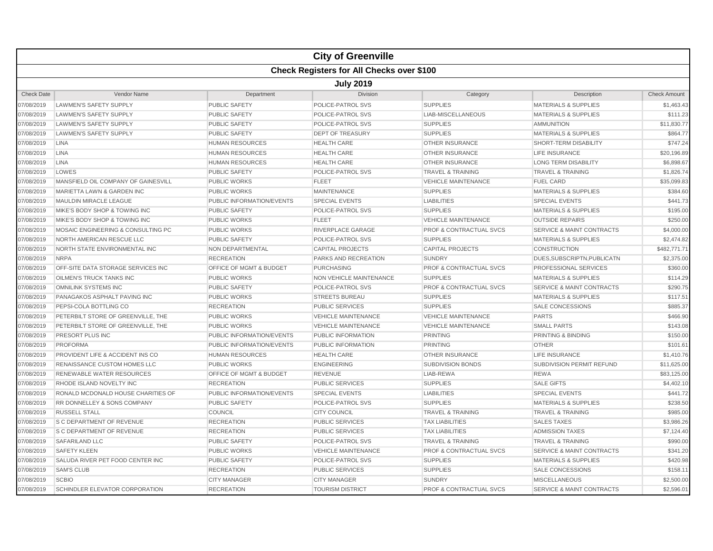|                   |                                                  |                                    | <b>City of Greenville</b>  |                                    |                                      |                     |  |  |  |
|-------------------|--------------------------------------------------|------------------------------------|----------------------------|------------------------------------|--------------------------------------|---------------------|--|--|--|
|                   | <b>Check Registers for All Checks over \$100</b> |                                    |                            |                                    |                                      |                     |  |  |  |
|                   | <b>July 2019</b>                                 |                                    |                            |                                    |                                      |                     |  |  |  |
| <b>Check Date</b> | Vendor Name                                      | Department                         | <b>Division</b>            | Category                           | Description                          | <b>Check Amount</b> |  |  |  |
| 07/08/2019        | <b>LAWMEN'S SAFETY SUPPLY</b>                    | PUBLIC SAFETY                      | POLICE-PATROL SVS          | <b>SUPPLIES</b>                    | <b>MATERIALS &amp; SUPPLIES</b>      | \$1,463.43          |  |  |  |
| 07/08/2019        | <b>LAWMEN'S SAFETY SUPPLY</b>                    | <b>PUBLIC SAFETY</b>               | POLICE-PATROL SVS          | LIAB-MISCELLANEOUS                 | <b>MATERIALS &amp; SUPPLIES</b>      | \$111.23            |  |  |  |
| 07/08/2019        | <b>LAWMEN'S SAFETY SUPPLY</b>                    | <b>PUBLIC SAFETY</b>               | POLICE-PATROL SVS          | <b>SUPPLIES</b>                    | <b>AMMUNITION</b>                    | \$11,830.77         |  |  |  |
| 07/08/2019        | <b>LAWMEN'S SAFETY SUPPLY</b>                    | <b>PUBLIC SAFETY</b>               | <b>DEPT OF TREASURY</b>    | <b>SUPPLIES</b>                    | <b>MATERIALS &amp; SUPPLIES</b>      | \$864.77            |  |  |  |
| 07/08/2019        | <b>LINA</b>                                      | <b>HUMAN RESOURCES</b>             | <b>HEALTH CARE</b>         | <b>OTHER INSURANCE</b>             | SHORT-TERM DISABILITY                | \$747.24            |  |  |  |
| 07/08/2019        | <b>LINA</b>                                      | <b>HUMAN RESOURCES</b>             | <b>HEALTH CARE</b>         | <b>OTHER INSURANCE</b>             | <b>LIFE INSURANCE</b>                | \$20,196.89         |  |  |  |
| 07/08/2019        | <b>LINA</b>                                      | <b>HUMAN RESOURCES</b>             | <b>HEALTH CARE</b>         | <b>OTHER INSURANCE</b>             | <b>LONG TERM DISABILITY</b>          | \$6,898.67          |  |  |  |
| 07/08/2019        | LOWES                                            | <b>PUBLIC SAFETY</b>               | POLICE-PATROL SVS          | <b>TRAVEL &amp; TRAINING</b>       | <b>TRAVEL &amp; TRAINING</b>         | \$1,826.74          |  |  |  |
| 07/08/2019        | MANSFIELD OIL COMPANY OF GAINESVILL              | <b>PUBLIC WORKS</b>                | <b>FLEET</b>               | <b>VEHICLE MAINTENANCE</b>         | <b>FUEL CARD</b>                     | \$35,099.83         |  |  |  |
| 07/08/2019        | MARIETTA LAWN & GARDEN INC                       | <b>PUBLIC WORKS</b>                | <b>MAINTENANCE</b>         | <b>SUPPLIES</b>                    | <b>MATERIALS &amp; SUPPLIES</b>      | \$384.60            |  |  |  |
| 07/08/2019        | <b>MAULDIN MIRACLE LEAGUE</b>                    | PUBLIC INFORMATION/EVENTS          | <b>SPECIAL EVENTS</b>      | <b>LIABILITIES</b>                 | <b>SPECIAL EVENTS</b>                | \$441.73            |  |  |  |
| 07/08/2019        | MIKE'S BODY SHOP & TOWING INC                    | <b>PUBLIC SAFETY</b>               | POLICE-PATROL SVS          | <b>SUPPLIES</b>                    | <b>MATERIALS &amp; SUPPLIES</b>      | \$195.00            |  |  |  |
| 07/08/2019        | MIKE'S BODY SHOP & TOWING INC                    | <b>PUBLIC WORKS</b>                | <b>FLEET</b>               | <b>VEHICLE MAINTENANCE</b>         | <b>OUTSIDE REPAIRS</b>               | \$250.00            |  |  |  |
| 07/08/2019        | MOSAIC ENGINEERING & CONSULTING PC               | <b>PUBLIC WORKS</b>                | <b>RIVERPLACE GARAGE</b>   | <b>PROF &amp; CONTRACTUAL SVCS</b> | <b>SERVICE &amp; MAINT CONTRACTS</b> | \$4,000.00          |  |  |  |
| 07/08/2019        | NORTH AMERICAN RESCUE LLC                        | <b>PUBLIC SAFETY</b>               | POLICE-PATROL SVS          | <b>SUPPLIES</b>                    | <b>MATERIALS &amp; SUPPLIES</b>      | \$2,474.82          |  |  |  |
| 07/08/2019        | NORTH STATE ENVIRONMENTAL INC                    | NON DEPARTMENTAL                   | <b>CAPITAL PROJECTS</b>    | <b>CAPITAL PROJECTS</b>            | <b>CONSTRUCTION</b>                  | \$482,771.71        |  |  |  |
| 07/08/2019        | <b>NRPA</b>                                      | <b>RECREATION</b>                  | PARKS AND RECREATION       | <b>SUNDRY</b>                      | DUES, SUBSCRIPTN, PUBLICATN          | \$2,375.00          |  |  |  |
| 07/08/2019        | OFF-SITE DATA STORAGE SERVICES INC               | OFFICE OF MGMT & BUDGET            | <b>PURCHASING</b>          | <b>PROF &amp; CONTRACTUAL SVCS</b> | PROFESSIONAL SERVICES                | \$360.00            |  |  |  |
| 07/08/2019        | OILMEN'S TRUCK TANKS INC                         | PUBLIC WORKS                       | NON VEHICLE MAINTENANCE    | <b>SUPPLIES</b>                    | <b>MATERIALS &amp; SUPPLIES</b>      | \$114.29            |  |  |  |
| 07/08/2019        | <b>OMNILINK SYSTEMS INC</b>                      | <b>PUBLIC SAFETY</b>               | POLICE-PATROL SVS          | <b>PROF &amp; CONTRACTUAL SVCS</b> | <b>SERVICE &amp; MAINT CONTRACTS</b> | \$290.75            |  |  |  |
| 07/08/2019        | PANAGAKOS ASPHALT PAVING INC                     | <b>PUBLIC WORKS</b>                | <b>STREETS BUREAU</b>      | <b>SUPPLIES</b>                    | <b>MATERIALS &amp; SUPPLIES</b>      | \$117.51            |  |  |  |
| 07/08/2019        | PEPSI-COLA BOTTLING CO                           | <b>RECREATION</b>                  | <b>PUBLIC SERVICES</b>     | <b>SUPPLIES</b>                    | <b>SALE CONCESSIONS</b>              | \$885.37            |  |  |  |
| 07/08/2019        | PETERBILT STORE OF GREENVILLE, THE               | <b>PUBLIC WORKS</b>                | <b>VEHICLE MAINTENANCE</b> | <b>VEHICLE MAINTENANCE</b>         | <b>PARTS</b>                         | \$466.90            |  |  |  |
| 07/08/2019        | PETERBILT STORE OF GREENVILLE. THE               | <b>PUBLIC WORKS</b>                | <b>VEHICLE MAINTENANCE</b> | <b>VEHICLE MAINTENANCE</b>         | <b>SMALL PARTS</b>                   | \$143.08            |  |  |  |
| 07/08/2019        | PRESORT PLUS INC                                 | PUBLIC INFORMATION/EVENTS          | PUBLIC INFORMATION         | <b>PRINTING</b>                    | PRINTING & BINDING                   | \$150.00            |  |  |  |
| 07/08/2019        | <b>PROFORMA</b>                                  | PUBLIC INFORMATION/EVENTS          | PUBLIC INFORMATION         | <b>PRINTING</b>                    | <b>OTHER</b>                         | \$101.61            |  |  |  |
| 07/08/2019        | PROVIDENT LIFE & ACCIDENT INS CO                 | <b>HUMAN RESOURCES</b>             | <b>HEALTH CARE</b>         | <b>OTHER INSURANCE</b>             | <b>LIFE INSURANCE</b>                | \$1,410.76          |  |  |  |
| 07/08/2019        | RENAISSANCE CUSTOM HOMES LLC                     | <b>PUBLIC WORKS</b>                | <b>ENGINEERING</b>         | <b>SUBDIVISION BONDS</b>           | SUBDIVISION PERMIT REFUND            | \$11,625.00         |  |  |  |
| 07/08/2019        | <b>RENEWABLE WATER RESOURCES</b>                 | <b>OFFICE OF MGMT &amp; BUDGET</b> | <b>REVENUE</b>             | LIAB-REWA                          | <b>REWA</b>                          | \$83,125.00         |  |  |  |
| 07/08/2019        | RHODE ISLAND NOVELTY INC                         | <b>RECREATION</b>                  | <b>PUBLIC SERVICES</b>     | <b>SUPPLIES</b>                    | <b>SALE GIFTS</b>                    | \$4,402.10          |  |  |  |
| 07/08/2019        | RONALD MCDONALD HOUSE CHARITIES OF               | PUBLIC INFORMATION/EVENTS          | <b>SPECIAL EVENTS</b>      | <b>LIABILITIES</b>                 | <b>SPECIAL EVENTS</b>                | \$441.72            |  |  |  |
| 07/08/2019        | RR DONNELLEY & SONS COMPANY                      | <b>PUBLIC SAFETY</b>               | POLICE-PATROL SVS          | <b>SUPPLIES</b>                    | <b>MATERIALS &amp; SUPPLIES</b>      | \$238.50            |  |  |  |
| 07/08/2019        | <b>RUSSELL STALL</b>                             | COUNCIL                            | <b>CITY COUNCIL</b>        | <b>TRAVEL &amp; TRAINING</b>       | <b>TRAVEL &amp; TRAINING</b>         | \$985.00            |  |  |  |
| 07/08/2019        | S C DEPARTMENT OF REVENUE                        | <b>RECREATION</b>                  | <b>PUBLIC SERVICES</b>     | <b>TAX LIABILITIES</b>             | <b>SALES TAXES</b>                   | \$3,986.26          |  |  |  |
| 07/08/2019        | <b>S C DEPARTMENT OF REVENUE</b>                 | <b>RECREATION</b>                  | PUBLIC SERVICES            | <b>TAX LIABILITIES</b>             | <b>ADMISSION TAXES</b>               | \$7,124.40          |  |  |  |
| 07/08/2019        | <b>SAFARILAND LLC</b>                            | <b>PUBLIC SAFETY</b>               | <b>POLICE-PATROL SVS</b>   | <b>TRAVEL &amp; TRAINING</b>       | <b>TRAVEL &amp; TRAINING</b>         | \$990.00            |  |  |  |
| 07/08/2019        | <b>SAFETY KLEEN</b>                              | <b>PUBLIC WORKS</b>                | <b>VEHICLE MAINTENANCE</b> | PROF & CONTRACTUAL SVCS            | <b>SERVICE &amp; MAINT CONTRACTS</b> | \$341.20            |  |  |  |
| 07/08/2019        | SALUDA RIVER PET FOOD CENTER INC                 | <b>PUBLIC SAFETY</b>               | POLICE-PATROL SVS          | <b>SUPPLIES</b>                    | <b>MATERIALS &amp; SUPPLIES</b>      | \$420.98            |  |  |  |
| 07/08/2019        | <b>SAM'S CLUB</b>                                | <b>RECREATION</b>                  | <b>PUBLIC SERVICES</b>     | <b>SUPPLIES</b>                    | <b>SALE CONCESSIONS</b>              | \$158.11            |  |  |  |
| 07/08/2019        | <b>SCBIO</b>                                     | <b>CITY MANAGER</b>                | <b>CITY MANAGER</b>        | <b>SUNDRY</b>                      | <b>MISCELLANEOUS</b>                 | \$2,500.00          |  |  |  |
| 07/08/2019        | SCHINDLER ELEVATOR CORPORATION                   | <b>RECREATION</b>                  | <b>TOURISM DISTRICT</b>    | <b>PROF &amp; CONTRACTUAL SVCS</b> | <b>SERVICE &amp; MAINT CONTRACTS</b> | \$2.596.01          |  |  |  |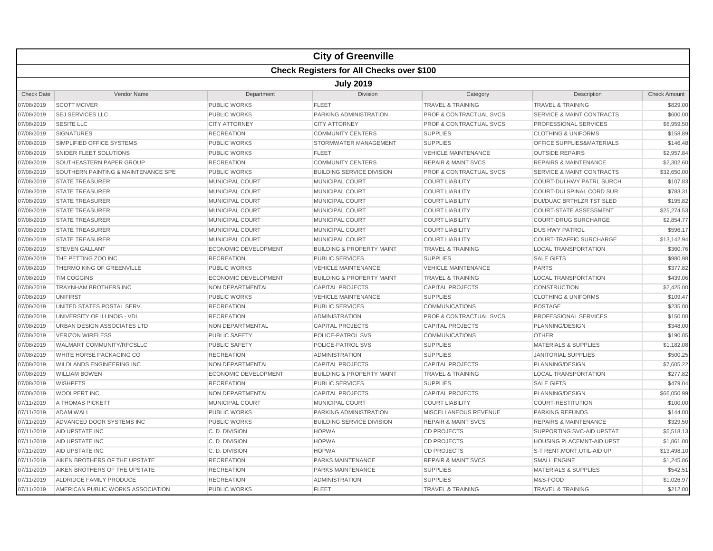|                   | <b>City of Greenville</b>                        |                             |                                      |                                    |                                      |                     |  |  |  |
|-------------------|--------------------------------------------------|-----------------------------|--------------------------------------|------------------------------------|--------------------------------------|---------------------|--|--|--|
|                   | <b>Check Registers for All Checks over \$100</b> |                             |                                      |                                    |                                      |                     |  |  |  |
|                   | <b>July 2019</b>                                 |                             |                                      |                                    |                                      |                     |  |  |  |
| <b>Check Date</b> | Vendor Name                                      | Department                  | Division                             | Category                           | Description                          | <b>Check Amount</b> |  |  |  |
| 07/08/2019        | <b>SCOTT MCIVER</b>                              | PUBLIC WORKS                | <b>FLEET</b>                         | <b>TRAVEL &amp; TRAINING</b>       | <b>TRAVEL &amp; TRAINING</b>         | \$829.00            |  |  |  |
| 07/08/2019        | <b>SEJ SERVICES LLC</b>                          | <b>PUBLIC WORKS</b>         | PARKING ADMINISTRATION               | <b>PROF &amp; CONTRACTUAL SVCS</b> | <b>SERVICE &amp; MAINT CONTRACTS</b> | \$600.00            |  |  |  |
| 07/08/2019        | <b>SESITE LLC</b>                                | <b>CITY ATTORNEY</b>        | <b>CITY ATTORNEY</b>                 | <b>PROF &amp; CONTRACTUAL SVCS</b> | PROFESSIONAL SERVICES                | \$6,959.50          |  |  |  |
| 07/08/2019        | <b>SIGNATURES</b>                                | <b>RECREATION</b>           | <b>COMMUNITY CENTERS</b>             | <b>SUPPLIES</b>                    | <b>CLOTHING &amp; UNIFORMS</b>       | \$158.89            |  |  |  |
| 07/08/2019        | SIMPLIFIED OFFICE SYSTEMS                        | <b>PUBLIC WORKS</b>         | STORMWATER MANAGEMENT                | <b>SUPPLIES</b>                    | OFFICE SUPPLIES&MATERIALS            | \$146.48            |  |  |  |
| 07/08/2019        | SNIDER FLEET SOLUTIONS                           | <b>PUBLIC WORKS</b>         | <b>FLEET</b>                         | <b>VEHICLE MAINTENANCE</b>         | <b>OUTSIDE REPAIRS</b>               | \$2,957.84          |  |  |  |
| 07/08/2019        | SOUTHEASTERN PAPER GROUP                         | <b>RECREATION</b>           | <b>COMMUNITY CENTERS</b>             | <b>REPAIR &amp; MAINT SVCS</b>     | <b>REPAIRS &amp; MAINTENANCE</b>     | \$2,302.60          |  |  |  |
| 07/08/2019        | SOUTHERN PAINTING & MAINTENANCE SPE              | <b>PUBLIC WORKS</b>         | <b>BUILDING SERVICE DIVISION</b>     | <b>PROF &amp; CONTRACTUAL SVCS</b> | <b>SERVICE &amp; MAINT CONTRACTS</b> | \$32,650.00         |  |  |  |
| 07/08/2019        | <b>STATE TREASURER</b>                           | MUNICIPAL COURT             | MUNICIPAL COURT                      | <b>COURT LIABILITY</b>             | <b>COURT-DUI HWY PATRL SURCH</b>     | \$107.83            |  |  |  |
| 07/08/2019        | <b>STATE TREASURER</b>                           | <b>MUNICIPAL COURT</b>      | MUNICIPAL COURT                      | <b>COURT LIABILITY</b>             | COURT-DUI SPINAL CORD SUR            | \$783.31            |  |  |  |
| 07/08/2019        | <b>STATE TREASURER</b>                           | MUNICIPAL COURT             | MUNICIPAL COURT                      | <b>COURT LIABILITY</b>             | DUI/DUAC BRTHLZR TST SLED            | \$195.82            |  |  |  |
| 07/08/2019        | <b>STATE TREASURER</b>                           | <b>MUNICIPAL COURT</b>      | <b>MUNICIPAL COURT</b>               | <b>COURT LIABILITY</b>             | <b>COURT-STATE ASSESSMENT</b>        | \$25,274.53         |  |  |  |
| 07/08/2019        | <b>STATE TREASURER</b>                           | MUNICIPAL COURT             | MUNICIPAL COURT                      | <b>COURT LIABILITY</b>             | <b>COURT-DRUG SURCHARGE</b>          | \$2,854.77          |  |  |  |
| 07/08/2019        | <b>STATE TREASURER</b>                           | MUNICIPAL COURT             | MUNICIPAL COURT                      | <b>COURT LIABILITY</b>             | <b>DUS HWY PATROL</b>                | \$596.17            |  |  |  |
| 07/08/2019        | <b>STATE TREASURER</b>                           | MUNICIPAL COURT             | <b>MUNICIPAL COURT</b>               | <b>COURT LIABILITY</b>             | <b>COURT-TRAFFIC SURCHARGE</b>       | \$13,142.94         |  |  |  |
| 07/08/2019        | <b>STEVEN GALLANT</b>                            | <b>ECONOMIC DEVELOPMENT</b> | <b>BUILDING &amp; PROPERTY MAINT</b> | <b>TRAVEL &amp; TRAINING</b>       | <b>LOCAL TRANSPORTATION</b>          | \$360.76            |  |  |  |
| 07/08/2019        | THE PETTING ZOO INC                              | <b>RECREATION</b>           | <b>PUBLIC SERVICES</b>               | <b>SUPPLIES</b>                    | <b>SALE GIFTS</b>                    | \$980.98            |  |  |  |
| 07/08/2019        | THERMO KING OF GREENVILLE                        | <b>PUBLIC WORKS</b>         | <b>VEHICLE MAINTENANCE</b>           | <b>VEHICLE MAINTENANCE</b>         | <b>PARTS</b>                         | \$377.82            |  |  |  |
| 07/08/2019        | <b>TIM COGGINS</b>                               | <b>ECONOMIC DEVELOPMENT</b> | <b>BUILDING &amp; PROPERTY MAINT</b> | <b>TRAVEL &amp; TRAINING</b>       | <b>LOCAL TRANSPORTATION</b>          | \$439.06            |  |  |  |
| 07/08/2019        | <b>TRAYNHAM BROTHERS INC</b>                     | <b>NON DEPARTMENTAL</b>     | <b>CAPITAL PROJECTS</b>              | <b>CAPITAL PROJECTS</b>            | <b>CONSTRUCTION</b>                  | \$2,425.00          |  |  |  |
| 07/08/2019        | UNIFIRST                                         | <b>PUBLIC WORKS</b>         | <b>VEHICLE MAINTENANCE</b>           | <b>SUPPLIES</b>                    | <b>CLOTHING &amp; UNIFORMS</b>       | \$109.47            |  |  |  |
| 07/08/2019        | UNITED STATES POSTAL SERV.                       | <b>RECREATION</b>           | <b>PUBLIC SERVICES</b>               | <b>COMMUNICATIONS</b>              | <b>POSTAGE</b>                       | \$235.00            |  |  |  |
| 07/08/2019        | UNIVERSITY OF ILLINOIS - VDL                     | <b>RECREATION</b>           | <b>ADMINISTRATION</b>                | PROF & CONTRACTUAL SVCS            | PROFESSIONAL SERVICES                | \$150.00            |  |  |  |
| 07/08/2019        | URBAN DESIGN ASSOCIATES LTD                      | NON DEPARTMENTAL            | <b>CAPITAL PROJECTS</b>              | <b>CAPITAL PROJECTS</b>            | PLANNING/DESIGN                      | \$348.00            |  |  |  |
| 07/08/2019        | <b>VERIZON WIRELESS</b>                          | <b>PUBLIC SAFETY</b>        | POLICE-PATROL SVS                    | <b>COMMUNICATIONS</b>              | <b>OTHER</b>                         | \$190.05            |  |  |  |
| 07/08/2019        | <b>WALMART COMMUNITY/RFCSLLC</b>                 | <b>PUBLIC SAFETY</b>        | POLICE-PATROL SVS                    | <b>SUPPLIES</b>                    | <b>MATERIALS &amp; SUPPLIES</b>      | \$1,182.08          |  |  |  |
| 07/08/2019        | WHITE HORSE PACKAGING CO                         | <b>RECREATION</b>           | <b>ADMINISTRATION</b>                | <b>SUPPLIES</b>                    | <b>JANITORIAL SUPPLIES</b>           | \$500.25            |  |  |  |
| 07/08/2019        | <b>WILDLANDS ENGINEERING INC</b>                 | <b>NON DEPARTMENTAL</b>     | <b>CAPITAL PROJECTS</b>              | <b>CAPITAL PROJECTS</b>            | PLANNING/DESIGN                      | \$7,605.22          |  |  |  |
| 07/08/2019        | <b>WILLIAM BOWEN</b>                             | <b>ECONOMIC DEVELOPMENT</b> | <b>BUILDING &amp; PROPERTY MAINT</b> | <b>TRAVEL &amp; TRAINING</b>       | <b>LOCAL TRANSPORTATION</b>          | \$277.82            |  |  |  |
| 07/08/2019        | <b>WISHPETS</b>                                  | <b>RECREATION</b>           | <b>PUBLIC SERVICES</b>               | <b>SUPPLIES</b>                    | <b>SALE GIFTS</b>                    | \$479.04            |  |  |  |
| 07/08/2019        | WOOLPERT INC                                     | NON DEPARTMENTAL            | <b>CAPITAL PROJECTS</b>              | <b>CAPITAL PROJECTS</b>            | PLANNING/DESIGN                      | \$66,050.99         |  |  |  |
| 07/11/2019        | A THOMAS PICKETT                                 | MUNICIPAL COURT             | <b>MUNICIPAL COURT</b>               | <b>COURT LIABILITY</b>             | <b>COURT-RESTITUTION</b>             | \$100.00            |  |  |  |
| 07/11/2019        | <b>ADAM WALL</b>                                 | <b>PUBLIC WORKS</b>         | PARKING ADMINISTRATION               | MISCELLANEOUS REVENUE              | <b>PARKING REFUNDS</b>               | \$144.00            |  |  |  |
| 07/11/2019        | ADVANCED DOOR SYSTEMS INC                        | <b>PUBLIC WORKS</b>         | <b>BUILDING SERVICE DIVISION</b>     | <b>REPAIR &amp; MAINT SVCS</b>     | <b>REPAIRS &amp; MAINTENANCE</b>     | \$329.50            |  |  |  |
| 07/11/2019        | AID UPSTATE INC                                  | C. D. DIVISION              | <b>HOPWA</b>                         | <b>CD PROJECTS</b>                 | SUPPORTING SVC-AID UPSTAT            | \$5,518.13          |  |  |  |
| 07/11/2019        | AID UPSTATE INC                                  | C.D. DIVISION               | <b>HOPWA</b>                         | <b>CD PROJECTS</b>                 | <b>HOUSING PLACEMNT-AID UPST</b>     | \$1,861.00          |  |  |  |
| 07/11/2019        | AID UPSTATE INC                                  | C. D. DIVISION              | <b>HOPWA</b>                         | <b>CD PROJECTS</b>                 | S-T RENT, MORT, UTIL-AID UP          | \$13,498.10         |  |  |  |
| 07/11/2019        | AIKEN BROTHERS OF THE UPSTATE                    | <b>RECREATION</b>           | PARKS MAINTENANCE                    | <b>REPAIR &amp; MAINT SVCS</b>     | <b>SMALL ENGINE</b>                  | \$1,245.86          |  |  |  |
| 07/11/2019        | AIKEN BROTHERS OF THE UPSTATE                    | <b>RECREATION</b>           | PARKS MAINTENANCE                    | <b>SUPPLIES</b>                    | <b>MATERIALS &amp; SUPPLIES</b>      | \$542.51            |  |  |  |
| 07/11/2019        | ALDRIDGE FAMILY PRODUCE                          | <b>RECREATION</b>           | <b>ADMINISTRATION</b>                | <b>SUPPLIES</b>                    | M&S-FOOD                             | \$1,026.97          |  |  |  |
| 07/11/2019        | AMERICAN PUBLIC WORKS ASSOCIATION                | <b>PUBLIC WORKS</b>         | <b>FLEET</b>                         | <b>TRAVEL &amp; TRAINING</b>       | <b>TRAVEL &amp; TRAINING</b>         | \$212.00            |  |  |  |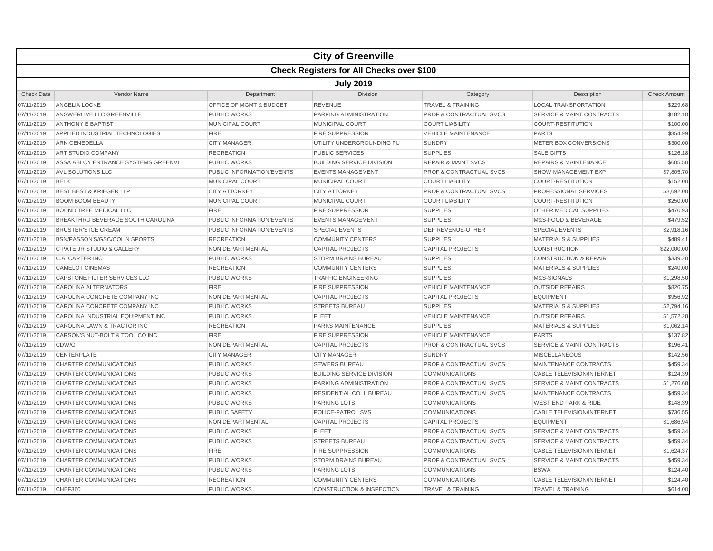|                   |                                                  |                           | <b>City of Greenville</b>            |                                    |                                      |                     |  |  |  |
|-------------------|--------------------------------------------------|---------------------------|--------------------------------------|------------------------------------|--------------------------------------|---------------------|--|--|--|
|                   | <b>Check Registers for All Checks over \$100</b> |                           |                                      |                                    |                                      |                     |  |  |  |
|                   |                                                  |                           | <b>July 2019</b>                     |                                    |                                      |                     |  |  |  |
| <b>Check Date</b> | Vendor Name                                      | Department                | Division                             | Category                           | Description                          | <b>Check Amount</b> |  |  |  |
| 07/11/2019        | ANGELIA LOCKE                                    | OFFICE OF MGMT & BUDGET   | <b>REVENUE</b>                       | <b>TRAVEL &amp; TRAINING</b>       | <b>LOCAL TRANSPORTATION</b>          | \$229.68            |  |  |  |
| 07/11/2019        | ANSWERLIVE LLC GREENVILLE                        | <b>PUBLIC WORKS</b>       | PARKING ADMINISTRATION               | <b>PROF &amp; CONTRACTUAL SVCS</b> | <b>SERVICE &amp; MAINT CONTRACTS</b> | \$182.10            |  |  |  |
| 07/11/2019        | <b>ANTHONY E BAPTIST</b>                         | <b>MUNICIPAL COURT</b>    | <b>MUNICIPAL COURT</b>               | <b>COURT LIABILITY</b>             | <b>COURT-RESTITUTION</b>             | \$100.00            |  |  |  |
| 07/11/2019        | APPLIED INDUSTRIAL TECHNOLOGIES                  | <b>FIRE</b>               | <b>FIRE SUPPRESSION</b>              | <b>VEHICLE MAINTENANCE</b>         | <b>PARTS</b>                         | \$354.99            |  |  |  |
| 07/11/2019        | <b>ARN CENEDELLA</b>                             | <b>CITY MANAGER</b>       | UTILITY UNDERGROUNDING FU            | <b>SUNDRY</b>                      | <b>METER BOX CONVERSIONS</b>         | \$300.00            |  |  |  |
| 07/11/2019        | <b>ART STUDIO COMPANY</b>                        | <b>RECREATION</b>         | <b>PUBLIC SERVICES</b>               | <b>SUPPLIES</b>                    | <b>SALE GIFTS</b>                    | \$126.18            |  |  |  |
| 07/11/2019        | ASSA ABLOY ENTRANCE SYSTEMS GREENVI              | <b>PUBLIC WORKS</b>       | <b>BUILDING SERVICE DIVISION</b>     | <b>REPAIR &amp; MAINT SVCS</b>     | <b>REPAIRS &amp; MAINTENANCE</b>     | \$605.50            |  |  |  |
| 07/11/2019        | AVL SOLUTIONS LLC                                | PUBLIC INFORMATION/EVENTS | <b>EVENTS MANAGEMENT</b>             | PROF & CONTRACTUAL SVCS            | SHOW MANAGEMENT EXP                  | \$7,805.70          |  |  |  |
| 07/11/2019        | <b>BELK</b>                                      | MUNICIPAL COURT           | <b>MUNICIPAL COURT</b>               | <b>COURT LIABILITY</b>             | <b>COURT-RESTITUTION</b>             | \$152.00            |  |  |  |
| 07/11/2019        | <b>BEST BEST &amp; KRIEGER LLP</b>               | <b>CITY ATTORNEY</b>      | <b>CITY ATTORNEY</b>                 | <b>PROF &amp; CONTRACTUAL SVCS</b> | PROFESSIONAL SERVICES                | \$3,692.00          |  |  |  |
| 07/11/2019        | <b>BOOM BOOM BEAUTY</b>                          | MUNICIPAL COURT           | MUNICIPAL COURT                      | <b>COURT LIABILITY</b>             | <b>COURT-RESTITUTION</b>             | \$250.00            |  |  |  |
| 07/11/2019        | <b>BOUND TREE MEDICAL LLC</b>                    | <b>FIRE</b>               | <b>FIRE SUPPRESSION</b>              | <b>SUPPLIES</b>                    | OTHER MEDICAL SUPPLIES               | \$470.93            |  |  |  |
| 07/11/2019        | BREAKTHRU BEVERAGE SOUTH CAROLINA                | PUBLIC INFORMATION/EVENTS | <b>EVENTS MANAGEMENT</b>             | <b>SUPPLIES</b>                    | M&S-FOOD & BEVERAGE                  | \$479.52            |  |  |  |
| 07/11/2019        | <b>BRUSTER'S ICE CREAM</b>                       | PUBLIC INFORMATION/EVENTS | <b>SPECIAL EVENTS</b>                | DEF REVENUE-OTHER                  | <b>SPECIAL EVENTS</b>                | \$2,918.16          |  |  |  |
| 07/11/2019        | BSN/PASSON'S/GSC/COLIN SPORTS                    | <b>RECREATION</b>         | <b>COMMUNITY CENTERS</b>             | <b>SUPPLIES</b>                    | <b>MATERIALS &amp; SUPPLIES</b>      | \$489.41            |  |  |  |
| 07/11/2019        | C PATE JR STUDIO & GALLERY                       | NON DEPARTMENTAL          | <b>CAPITAL PROJECTS</b>              | <b>CAPITAL PROJECTS</b>            | CONSTRUCTION                         | \$22,000.00         |  |  |  |
| 07/11/2019        | C.A. CARTER INC                                  | <b>PUBLIC WORKS</b>       | <b>STORM DRAINS BUREAU</b>           | <b>SUPPLIES</b>                    | <b>CONSTRUCTION &amp; REPAIR</b>     | \$339.20            |  |  |  |
| 07/11/2019        | <b>CAMELOT CINEMAS</b>                           | <b>RECREATION</b>         | <b>COMMUNITY CENTERS</b>             | <b>SUPPLIES</b>                    | <b>MATERIALS &amp; SUPPLIES</b>      | \$240.00            |  |  |  |
| 07/11/2019        | CAPSTONE FILTER SERVICES LLC                     | <b>PUBLIC WORKS</b>       | <b>TRAFFIC ENGINEERING</b>           | <b>SUPPLIES</b>                    | M&S-SIGNALS                          | \$1,298.50          |  |  |  |
| 07/11/2019        | <b>CAROLINA ALTERNATORS</b>                      | <b>FIRE</b>               | <b>FIRE SUPPRESSION</b>              | <b>VEHICLE MAINTENANCE</b>         | <b>OUTSIDE REPAIRS</b>               | \$826.75            |  |  |  |
| 07/11/2019        | CAROLINA CONCRETE COMPANY INC                    | NON DEPARTMENTAL          | <b>CAPITAL PROJECTS</b>              | <b>CAPITAL PROJECTS</b>            | <b>EQUIPMENT</b>                     | \$956.92            |  |  |  |
| 07/11/2019        | CAROLINA CONCRETE COMPANY INC                    | <b>PUBLIC WORKS</b>       | <b>STREETS BUREAU</b>                | <b>SUPPLIES</b>                    | <b>MATERIALS &amp; SUPPLIES</b>      | \$2,794.16          |  |  |  |
| 07/11/2019        | CAROLINA INDUSTRIAL EQUIPMENT INC                | PUBLIC WORKS              | <b>FLEET</b>                         | <b>VEHICLE MAINTENANCE</b>         | <b>OUTSIDE REPAIRS</b>               | \$1,572.28          |  |  |  |
| 07/11/2019        | CAROLINA LAWN & TRACTOR INC                      | <b>RECREATION</b>         | PARKS MAINTENANCE                    | <b>SUPPLIES</b>                    | <b>MATERIALS &amp; SUPPLIES</b>      | \$1,062.14          |  |  |  |
| 07/11/2019        | CARSON'S NUT-BOLT & TOOL CO INC                  | <b>FIRE</b>               | <b>FIRE SUPPRESSION</b>              | <b>VEHICLE MAINTENANCE</b>         | <b>PARTS</b>                         | \$137.82            |  |  |  |
| 07/11/2019        | CDW/G                                            | <b>NON DEPARTMENTAL</b>   | <b>CAPITAL PROJECTS</b>              | PROF & CONTRACTUAL SVCS            | <b>SERVICE &amp; MAINT CONTRACTS</b> | \$196.41            |  |  |  |
| 07/11/2019        | <b>CENTERPLATE</b>                               | <b>CITY MANAGER</b>       | <b>CITY MANAGER</b>                  | <b>SUNDRY</b>                      | <b>MISCELLANEOUS</b>                 | \$142.56            |  |  |  |
| 07/11/2019        | CHARTER COMMUNICATIONS                           | <b>PUBLIC WORKS</b>       | <b>SEWERS BUREAU</b>                 | <b>PROF &amp; CONTRACTUAL SVCS</b> | MAINTENANCE CONTRACTS                | \$459.34            |  |  |  |
| 07/11/2019        | CHARTER COMMUNICATIONS                           | <b>PUBLIC WORKS</b>       | <b>BUILDING SERVICE DIVISION</b>     | <b>COMMUNICATIONS</b>              | <b>CABLE TELEVISION/INTERNET</b>     | \$124.39            |  |  |  |
| 07/11/2019        | <b>CHARTER COMMUNICATIONS</b>                    | <b>PUBLIC WORKS</b>       | PARKING ADMINISTRATION               | <b>PROF &amp; CONTRACTUAL SVCS</b> | <b>SERVICE &amp; MAINT CONTRACTS</b> | \$1,276.68          |  |  |  |
| 07/11/2019        | CHARTER COMMUNICATIONS                           | <b>PUBLIC WORKS</b>       | RESIDENTIAL COLL BUREAU              | <b>PROF &amp; CONTRACTUAL SVCS</b> | MAINTENANCE CONTRACTS                | \$459.34            |  |  |  |
| 07/11/2019        | <b>CHARTER COMMUNICATIONS</b>                    | <b>PUBLIC WORKS</b>       | <b>PARKING LOTS</b>                  | <b>COMMUNICATIONS</b>              | <b>WEST END PARK &amp; RIDE</b>      | \$148.39            |  |  |  |
| 07/11/2019        | <b>CHARTER COMMUNICATIONS</b>                    | <b>PUBLIC SAFETY</b>      | POLICE-PATROL SVS                    | <b>COMMUNICATIONS</b>              | CABLE TELEVISION/INTERNET            | \$736.55            |  |  |  |
| 07/11/2019        | CHARTER COMMUNICATIONS                           | <b>NON DEPARTMENTAL</b>   | <b>CAPITAL PROJECTS</b>              | <b>CAPITAL PROJECTS</b>            | <b>EQUIPMENT</b>                     | \$1,686.94          |  |  |  |
| 07/11/2019        | <b>CHARTER COMMUNICATIONS</b>                    | <b>PUBLIC WORKS</b>       | <b>FLEET</b>                         | <b>PROF &amp; CONTRACTUAL SVCS</b> | <b>SERVICE &amp; MAINT CONTRACTS</b> | \$459.34            |  |  |  |
| 07/11/2019        | <b>CHARTER COMMUNICATIONS</b>                    | <b>PUBLIC WORKS</b>       | <b>STREETS BUREAU</b>                | <b>PROF &amp; CONTRACTUAL SVCS</b> | <b>SERVICE &amp; MAINT CONTRACTS</b> | \$459.34            |  |  |  |
| 07/11/2019        | <b>CHARTER COMMUNICATIONS</b>                    | <b>FIRE</b>               | <b>FIRE SUPPRESSION</b>              | <b>COMMUNICATIONS</b>              | <b>CABLE TELEVISION/INTERNET</b>     | \$1,624.37          |  |  |  |
| 07/11/2019        | <b>CHARTER COMMUNICATIONS</b>                    | <b>PUBLIC WORKS</b>       | <b>STORM DRAINS BUREAU</b>           | PROF & CONTRACTUAL SVCS            | <b>SERVICE &amp; MAINT CONTRACTS</b> | \$459.34            |  |  |  |
| 07/11/2019        | <b>CHARTER COMMUNICATIONS</b>                    | <b>PUBLIC WORKS</b>       | <b>PARKING LOTS</b>                  | <b>COMMUNICATIONS</b>              | <b>BSWA</b>                          | \$124.40            |  |  |  |
| 07/11/2019        | CHARTER COMMUNICATIONS                           | <b>RECREATION</b>         | <b>COMMUNITY CENTERS</b>             | <b>COMMUNICATIONS</b>              | <b>CABLE TELEVISION/INTERNET</b>     | \$124.40            |  |  |  |
| 07/11/2019        | CHEF360                                          | <b>PUBLIC WORKS</b>       | <b>CONSTRUCTION &amp; INSPECTION</b> | <b>TRAVEL &amp; TRAINING</b>       | <b>TRAVEL &amp; TRAINING</b>         | \$614.00            |  |  |  |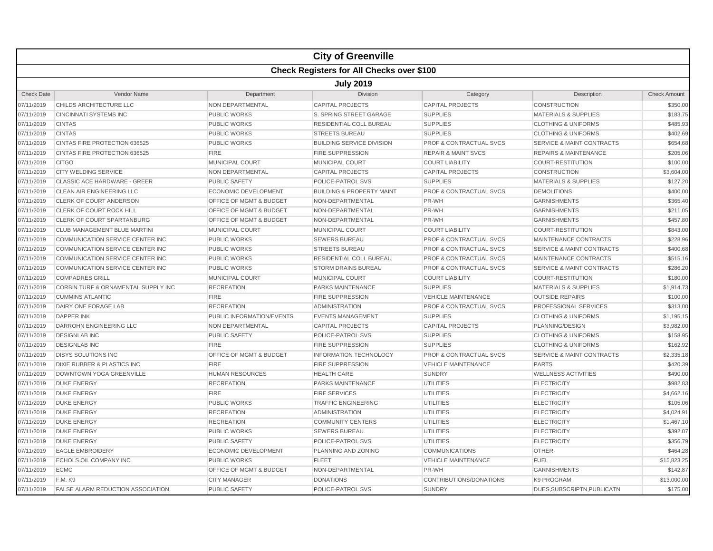|                   |                                                  |                                    | <b>City of Greenville</b>            |                                    |                                      |                     |  |  |  |  |
|-------------------|--------------------------------------------------|------------------------------------|--------------------------------------|------------------------------------|--------------------------------------|---------------------|--|--|--|--|
|                   | <b>Check Registers for All Checks over \$100</b> |                                    |                                      |                                    |                                      |                     |  |  |  |  |
|                   | <b>July 2019</b>                                 |                                    |                                      |                                    |                                      |                     |  |  |  |  |
| <b>Check Date</b> | Vendor Name                                      | Department                         | Division                             | Category                           | Description                          | <b>Check Amount</b> |  |  |  |  |
| 07/11/2019        | CHILDS ARCHITECTURE LLC                          | NON DEPARTMENTAL                   | <b>CAPITAL PROJECTS</b>              | <b>CAPITAL PROJECTS</b>            | CONSTRUCTION                         | \$350.00            |  |  |  |  |
| 07/11/2019        | <b>CINCINNATI SYSTEMS INC</b>                    | <b>PUBLIC WORKS</b>                | S. SPRING STREET GARAGE              | <b>SUPPLIES</b>                    | <b>MATERIALS &amp; SUPPLIES</b>      | \$183.75            |  |  |  |  |
| 07/11/2019        | <b>CINTAS</b>                                    | <b>PUBLIC WORKS</b>                | <b>RESIDENTIAL COLL BUREAU</b>       | <b>SUPPLIES</b>                    | <b>CLOTHING &amp; UNIFORMS</b>       | \$485.93            |  |  |  |  |
| 07/11/2019        | <b>CINTAS</b>                                    | <b>PUBLIC WORKS</b>                | <b>STREETS BUREAU</b>                | <b>SUPPLIES</b>                    | <b>CLOTHING &amp; UNIFORMS</b>       | \$402.69            |  |  |  |  |
| 07/11/2019        | CINTAS FIRE PROTECTION 636525                    | <b>PUBLIC WORKS</b>                | <b>BUILDING SERVICE DIVISION</b>     | <b>PROF &amp; CONTRACTUAL SVCS</b> | <b>SERVICE &amp; MAINT CONTRACTS</b> | \$654.68            |  |  |  |  |
| 07/11/2019        | CINTAS FIRE PROTECTION 636525                    | <b>FIRE</b>                        | <b>FIRE SUPPRESSION</b>              | <b>REPAIR &amp; MAINT SVCS</b>     | <b>REPAIRS &amp; MAINTENANCE</b>     | \$205.06            |  |  |  |  |
| 07/11/2019        | <b>CITGO</b>                                     | MUNICIPAL COURT                    | MUNICIPAL COURT                      | <b>COURT LIABILITY</b>             | <b>COURT-RESTITUTION</b>             | \$100.00            |  |  |  |  |
| 07/11/2019        | <b>CITY WELDING SERVICE</b>                      | <b>NON DEPARTMENTAL</b>            | <b>CAPITAL PROJECTS</b>              | <b>CAPITAL PROJECTS</b>            | <b>CONSTRUCTION</b>                  | \$3,604.00          |  |  |  |  |
| 07/11/2019        | <b>CLASSIC ACE HARDWARE - GREER</b>              | <b>PUBLIC SAFETY</b>               | POLICE-PATROL SVS                    | <b>SUPPLIES</b>                    | <b>MATERIALS &amp; SUPPLIES</b>      | \$127.20            |  |  |  |  |
| 07/11/2019        | CLEAN AIR ENGINEERING LLC                        | <b>ECONOMIC DEVELOPMENT</b>        | <b>BUILDING &amp; PROPERTY MAINT</b> | <b>PROF &amp; CONTRACTUAL SVCS</b> | <b>DEMOLITIONS</b>                   | \$400.00            |  |  |  |  |
| 07/11/2019        | <b>CLERK OF COURT ANDERSON</b>                   | <b>OFFICE OF MGMT &amp; BUDGET</b> | NON-DEPARTMENTAL                     | PR-WH                              | <b>GARNISHMENTS</b>                  | \$365.40            |  |  |  |  |
| 07/11/2019        | CLERK OF COURT ROCK HILL                         | <b>OFFICE OF MGMT &amp; BUDGET</b> | NON-DEPARTMENTAL                     | PR-WH                              | <b>GARNISHMENTS</b>                  | \$211.05            |  |  |  |  |
| 07/11/2019        | <b>CLERK OF COURT SPARTANBURG</b>                | OFFICE OF MGMT & BUDGET            | NON-DEPARTMENTAL                     | PR-WH                              | <b>GARNISHMENTS</b>                  | \$457.80            |  |  |  |  |
| 07/11/2019        | <b>CLUB MANAGEMENT BLUE MARTINI</b>              | <b>MUNICIPAL COURT</b>             | <b>MUNICIPAL COURT</b>               | <b>COURT LIABILITY</b>             | <b>COURT-RESTITUTION</b>             | \$843.00            |  |  |  |  |
| 07/11/2019        | <b>COMMUNICATION SERVICE CENTER INC</b>          | <b>PUBLIC WORKS</b>                | <b>SEWERS BUREAU</b>                 | <b>PROF &amp; CONTRACTUAL SVCS</b> | MAINTENANCE CONTRACTS                | \$228.96            |  |  |  |  |
| 07/11/2019        | COMMUNICATION SERVICE CENTER INC                 | <b>PUBLIC WORKS</b>                | <b>STREETS BUREAU</b>                | <b>PROF &amp; CONTRACTUAL SVCS</b> | <b>SERVICE &amp; MAINT CONTRACTS</b> | \$400.68            |  |  |  |  |
| 07/11/2019        | COMMUNICATION SERVICE CENTER INC                 | <b>PUBLIC WORKS</b>                | RESIDENTIAL COLL BUREAU              | <b>PROF &amp; CONTRACTUAL SVCS</b> | MAINTENANCE CONTRACTS                | \$515.16            |  |  |  |  |
| 07/11/2019        | COMMUNICATION SERVICE CENTER INC                 | <b>PUBLIC WORKS</b>                | <b>STORM DRAINS BUREAU</b>           | <b>PROF &amp; CONTRACTUAL SVCS</b> | <b>SERVICE &amp; MAINT CONTRACTS</b> | \$286.20            |  |  |  |  |
| 07/11/2019        | <b>COMPADRES GRILL</b>                           | MUNICIPAL COURT                    | <b>MUNICIPAL COURT</b>               | <b>COURT LIABILITY</b>             | <b>COURT-RESTITUTION</b>             | \$180.00            |  |  |  |  |
| 07/11/2019        | CORBIN TURF & ORNAMENTAL SUPPLY INC              | <b>RECREATION</b>                  | PARKS MAINTENANCE                    | <b>SUPPLIES</b>                    | <b>MATERIALS &amp; SUPPLIES</b>      | \$1,914.73          |  |  |  |  |
| 07/11/2019        | <b>CUMMINS ATLANTIC</b>                          | <b>FIRE</b>                        | <b>FIRE SUPPRESSION</b>              | <b>VEHICLE MAINTENANCE</b>         | <b>OUTSIDE REPAIRS</b>               | \$100.00            |  |  |  |  |
| 07/11/2019        | DAIRY ONE FORAGE LAB                             | <b>RECREATION</b>                  | <b>ADMINISTRATION</b>                | <b>PROF &amp; CONTRACTUAL SVCS</b> | PROFESSIONAL SERVICES                | \$313.00            |  |  |  |  |
| 07/11/2019        | <b>DAPPER INK</b>                                | PUBLIC INFORMATION/EVENTS          | <b>EVENTS MANAGEMENT</b>             | <b>SUPPLIES</b>                    | <b>CLOTHING &amp; UNIFORMS</b>       | \$1,195.15          |  |  |  |  |
| 07/11/2019        | DARROHN ENGINEERING LLC                          | NON DEPARTMENTAL                   | <b>CAPITAL PROJECTS</b>              | <b>CAPITAL PROJECTS</b>            | PLANNING/DESIGN                      | \$3,982.00          |  |  |  |  |
| 07/11/2019        | <b>DESIGNLAB INC</b>                             | <b>PUBLIC SAFETY</b>               | POLICE-PATROL SVS                    | <b>SUPPLIES</b>                    | <b>CLOTHING &amp; UNIFORMS</b>       | \$158.95            |  |  |  |  |
| 07/11/2019        | <b>DESIGNLAB INC</b>                             | <b>FIRE</b>                        | <b>FIRE SUPPRESSION</b>              | <b>SUPPLIES</b>                    | <b>CLOTHING &amp; UNIFORMS</b>       | \$162.92            |  |  |  |  |
| 07/11/2019        | <b>DISYS SOLUTIONS INC</b>                       | <b>OFFICE OF MGMT &amp; BUDGET</b> | <b>INFORMATION TECHNOLOGY</b>        | <b>PROF &amp; CONTRACTUAL SVCS</b> | <b>SERVICE &amp; MAINT CONTRACTS</b> | \$2,335.18          |  |  |  |  |
| 07/11/2019        | <b>DIXIE RUBBER &amp; PLASTICS INC</b>           | <b>FIRE</b>                        | <b>FIRE SUPPRESSION</b>              | <b>VEHICLE MAINTENANCE</b>         | <b>PARTS</b>                         | \$420.39            |  |  |  |  |
| 07/11/2019        | DOWNTOWN YOGA GREENVILLE                         | <b>HUMAN RESOURCES</b>             | <b>HEALTH CARE</b>                   | <b>SUNDRY</b>                      | <b>WELLNESS ACTIVITIES</b>           | \$490.00            |  |  |  |  |
| 07/11/2019        | <b>DUKE ENERGY</b>                               | <b>RECREATION</b>                  | <b>PARKS MAINTENANCE</b>             | <b>UTILITIES</b>                   | <b>ELECTRICITY</b>                   | \$982.83            |  |  |  |  |
| 07/11/2019        | <b>DUKE ENERGY</b>                               | <b>FIRE</b>                        | <b>FIRE SERVICES</b>                 | <b>UTILITIES</b>                   | <b>ELECTRICITY</b>                   | \$4,662.16          |  |  |  |  |
| 07/11/2019        | <b>DUKE ENERGY</b>                               | <b>PUBLIC WORKS</b>                | <b>TRAFFIC ENGINEERING</b>           | UTILITIES                          | <b>ELECTRICITY</b>                   | \$105.06            |  |  |  |  |
| 07/11/2019        | <b>DUKE ENERGY</b>                               | <b>RECREATION</b>                  | <b>ADMINISTRATION</b>                | <b>UTILITIES</b>                   | <b>ELECTRICITY</b>                   | \$4,024.91          |  |  |  |  |
| 07/11/2019        | <b>DUKE ENERGY</b>                               | <b>RECREATION</b>                  | <b>COMMUNITY CENTERS</b>             | <b>UTILITIES</b>                   | <b>ELECTRICITY</b>                   | \$1,467.10          |  |  |  |  |
| 07/11/2019        | <b>DUKE ENERGY</b>                               | <b>PUBLIC WORKS</b>                | <b>SEWERS BUREAU</b>                 | <b>UTILITIES</b>                   | <b>ELECTRICITY</b>                   | \$392.07            |  |  |  |  |
| 07/11/2019        | <b>DUKE ENERGY</b>                               | <b>PUBLIC SAFETY</b>               | POLICE-PATROL SVS                    | <b>UTILITIES</b>                   | <b>ELECTRICITY</b>                   | \$356.79            |  |  |  |  |
| 07/11/2019        | <b>EAGLE EMBROIDERY</b>                          | <b>ECONOMIC DEVELOPMENT</b>        | PLANNING AND ZONING                  | <b>COMMUNICATIONS</b>              | <b>OTHER</b>                         | \$464.28            |  |  |  |  |
| 07/11/2019        | ECHOLS OIL COMPANY INC                           | <b>PUBLIC WORKS</b>                | <b>FLEET</b>                         | <b>VEHICLE MAINTENANCE</b>         | <b>FUEL</b>                          | \$15,823.25         |  |  |  |  |
| 07/11/2019        | <b>ECMC</b>                                      | OFFICE OF MGMT & BUDGET            | NON-DEPARTMENTAL                     | PR-WH                              | <b>GARNISHMENTS</b>                  | \$142.87            |  |  |  |  |
| 07/11/2019        | F.M. K9                                          | <b>CITY MANAGER</b>                | <b>DONATIONS</b>                     | CONTRIBUTIONS/DONATIONS            | <b>K9 PROGRAM</b>                    | \$13,000.00         |  |  |  |  |
| 07/11/2019        | FALSE ALARM REDUCTION ASSOCIATION                | <b>PUBLIC SAFETY</b>               | POLICE-PATROL SVS                    | <b>SUNDRY</b>                      | DUES, SUBSCRIPTN, PUBLICATN          | \$175.00            |  |  |  |  |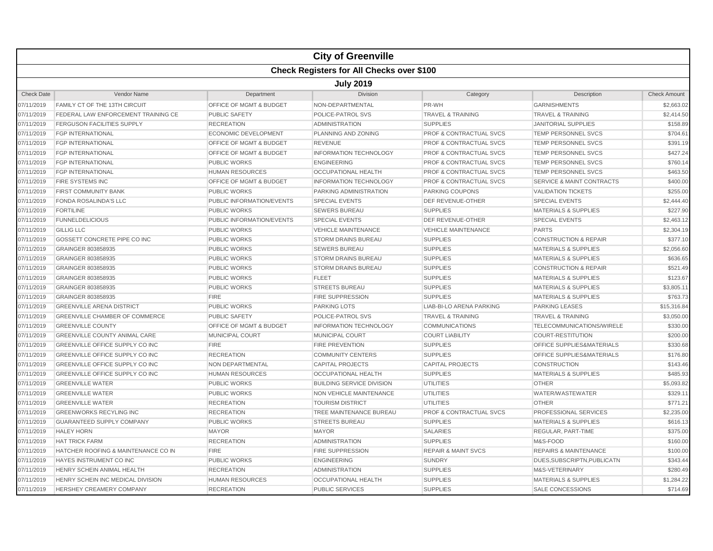|                   |                                                  |                                    | <b>City of Greenville</b>        |                                    |                                      |                     |  |  |  |
|-------------------|--------------------------------------------------|------------------------------------|----------------------------------|------------------------------------|--------------------------------------|---------------------|--|--|--|
|                   | <b>Check Registers for All Checks over \$100</b> |                                    |                                  |                                    |                                      |                     |  |  |  |
|                   | <b>July 2019</b>                                 |                                    |                                  |                                    |                                      |                     |  |  |  |
| <b>Check Date</b> | Vendor Name                                      | Department                         | <b>Division</b>                  | Category                           | Description                          | <b>Check Amount</b> |  |  |  |
| 07/11/2019        | <b>FAMILY CT OF THE 13TH CIRCUIT</b>             | OFFICE OF MGMT & BUDGET            | NON-DEPARTMENTAL                 | PR-WH                              | <b>GARNISHMENTS</b>                  | \$2,663.02          |  |  |  |
| 07/11/2019        | <b>FEDERAL LAW ENFORCEMENT TRAINING CE</b>       | <b>PUBLIC SAFETY</b>               | <b>POLICE-PATROL SVS</b>         | <b>TRAVEL &amp; TRAINING</b>       | <b>TRAVEL &amp; TRAINING</b>         | \$2,414.50          |  |  |  |
| 07/11/2019        | <b>FERGUSON FACILITIES SUPPLY</b>                | <b>RECREATION</b>                  | <b>ADMINISTRATION</b>            | <b>SUPPLIES</b>                    | <b>JANITORIAL SUPPLIES</b>           | \$158.89            |  |  |  |
| 07/11/2019        | <b>FGP INTERNATIONAL</b>                         | ECONOMIC DEVELOPMENT               | PLANNING AND ZONING              | <b>PROF &amp; CONTRACTUAL SVCS</b> | TEMP PERSONNEL SVCS                  | \$704.61            |  |  |  |
| 07/11/2019        | <b>FGP INTERNATIONAL</b>                         | OFFICE OF MGMT & BUDGET            | <b>REVENUE</b>                   | <b>PROF &amp; CONTRACTUAL SVCS</b> | TEMP PERSONNEL SVCS                  | \$391.19            |  |  |  |
| 07/11/2019        | <b>FGP INTERNATIONAL</b>                         | <b>OFFICE OF MGMT &amp; BUDGET</b> | <b>INFORMATION TECHNOLOGY</b>    | <b>PROF &amp; CONTRACTUAL SVCS</b> | <b>TEMP PERSONNEL SVCS</b>           | \$427.24            |  |  |  |
| 07/11/2019        | <b>FGP INTERNATIONAL</b>                         | <b>PUBLIC WORKS</b>                | <b>ENGINEERING</b>               | <b>PROF &amp; CONTRACTUAL SVCS</b> | <b>TEMP PERSONNEL SVCS</b>           | \$760.14            |  |  |  |
| 07/11/2019        | <b>FGP INTERNATIONAL</b>                         | <b>HUMAN RESOURCES</b>             | <b>OCCUPATIONAL HEALTH</b>       | <b>PROF &amp; CONTRACTUAL SVCS</b> | <b>TEMP PERSONNEL SVCS</b>           | \$463.50            |  |  |  |
| 07/11/2019        | <b>FIRE SYSTEMS INC</b>                          | <b>OFFICE OF MGMT &amp; BUDGET</b> | <b>INFORMATION TECHNOLOGY</b>    | <b>PROF &amp; CONTRACTUAL SVCS</b> | <b>SERVICE &amp; MAINT CONTRACTS</b> | \$400.00            |  |  |  |
| 07/11/2019        | <b>FIRST COMMUNITY BANK</b>                      | <b>PUBLIC WORKS</b>                | <b>PARKING ADMINISTRATION</b>    | <b>PARKING COUPONS</b>             | <b>VALIDATION TICKETS</b>            | \$255.00            |  |  |  |
| 07/11/2019        | <b>FONDA ROSALINDA'S LLC</b>                     | PUBLIC INFORMATION/EVENTS          | <b>SPECIAL EVENTS</b>            | DEF REVENUE-OTHER                  | <b>SPECIAL EVENTS</b>                | \$2,444.40          |  |  |  |
| 07/11/2019        | <b>FORTILINE</b>                                 | <b>PUBLIC WORKS</b>                | <b>SEWERS BUREAU</b>             | <b>SUPPLIES</b>                    | <b>MATERIALS &amp; SUPPLIES</b>      | \$227.90            |  |  |  |
| 07/11/2019        | <b>FUNNELDELICIOUS</b>                           | PUBLIC INFORMATION/EVENTS          | <b>SPECIAL EVENTS</b>            | DEF REVENUE-OTHER                  | <b>SPECIAL EVENTS</b>                | \$2,463.12          |  |  |  |
| 07/11/2019        | <b>GILLIG LLC</b>                                | <b>PUBLIC WORKS</b>                | <b>VEHICLE MAINTENANCE</b>       | <b>VEHICLE MAINTENANCE</b>         | <b>PARTS</b>                         | \$2,304.19          |  |  |  |
| 07/11/2019        | GOSSETT CONCRETE PIPE CO INC                     | <b>PUBLIC WORKS</b>                | <b>STORM DRAINS BUREAU</b>       | <b>SUPPLIES</b>                    | <b>CONSTRUCTION &amp; REPAIR</b>     | \$377.10            |  |  |  |
| 07/11/2019        | GRAINGER 803858935                               | <b>PUBLIC WORKS</b>                | <b>SEWERS BUREAU</b>             | <b>SUPPLIES</b>                    | <b>MATERIALS &amp; SUPPLIES</b>      | \$2,056.60          |  |  |  |
| 07/11/2019        | GRAINGER 803858935                               | <b>PUBLIC WORKS</b>                | <b>STORM DRAINS BUREAU</b>       | <b>SUPPLIES</b>                    | <b>MATERIALS &amp; SUPPLIES</b>      | \$636.65            |  |  |  |
| 07/11/2019        | GRAINGER 803858935                               | <b>PUBLIC WORKS</b>                | <b>STORM DRAINS BUREAU</b>       | <b>SUPPLIES</b>                    | <b>CONSTRUCTION &amp; REPAIR</b>     | \$521.49            |  |  |  |
| 07/11/2019        | GRAINGER 803858935                               | <b>PUBLIC WORKS</b>                | <b>FLEET</b>                     | <b>SUPPLIES</b>                    | <b>MATERIALS &amp; SUPPLIES</b>      | \$123.67            |  |  |  |
| 07/11/2019        | GRAINGER 803858935                               | PUBLIC WORKS                       | <b>STREETS BUREAU</b>            | <b>SUPPLIES</b>                    | <b>MATERIALS &amp; SUPPLIES</b>      | \$3,805.11          |  |  |  |
| 07/11/2019        | GRAINGER 803858935                               | <b>FIRE</b>                        | <b>FIRE SUPPRESSION</b>          | <b>SUPPLIES</b>                    | <b>MATERIALS &amp; SUPPLIES</b>      | \$763.73            |  |  |  |
| 07/11/2019        | <b>GREENVILLE ARENA DISTRICT</b>                 | <b>PUBLIC WORKS</b>                | <b>PARKING LOTS</b>              | LIAB-BI-LO ARENA PARKING           | <b>PARKING LEASES</b>                | \$15,316.84         |  |  |  |
| 07/11/2019        | <b>GREENVILLE CHAMBER OF COMMERCE</b>            | <b>PUBLIC SAFETY</b>               | POLICE-PATROL SVS                | <b>TRAVEL &amp; TRAINING</b>       | <b>TRAVEL &amp; TRAINING</b>         | \$3,050.00          |  |  |  |
| 07/11/2019        | <b>GREENVILLE COUNTY</b>                         | <b>OFFICE OF MGMT &amp; BUDGET</b> | <b>INFORMATION TECHNOLOGY</b>    | <b>COMMUNICATIONS</b>              | TELECOMMUNICATIONS/WIRELE            | \$330.00            |  |  |  |
| 07/11/2019        | <b>GREENVILLE COUNTY ANIMAL CARE</b>             | <b>MUNICIPAL COURT</b>             | <b>MUNICIPAL COURT</b>           | <b>COURT LIABILITY</b>             | <b>COURT-RESTITUTION</b>             | \$200.00            |  |  |  |
| 07/11/2019        | <b>GREENVILLE OFFICE SUPPLY CO INC</b>           | <b>FIRE</b>                        | <b>FIRE PREVENTION</b>           | <b>SUPPLIES</b>                    | OFFICE SUPPLIES&MATERIALS            | \$330.68            |  |  |  |
| 07/11/2019        | <b>GREENVILLE OFFICE SUPPLY CO INC</b>           | <b>RECREATION</b>                  | <b>COMMUNITY CENTERS</b>         | <b>SUPPLIES</b>                    | <b>OFFICE SUPPLIES&amp;MATERIALS</b> | \$176.80            |  |  |  |
| 07/11/2019        | GREENVILLE OFFICE SUPPLY CO INC                  | NON DEPARTMENTAL                   | <b>CAPITAL PROJECTS</b>          | <b>CAPITAL PROJECTS</b>            | <b>CONSTRUCTION</b>                  | \$143.46            |  |  |  |
| 07/11/2019        | <b>GREENVILLE OFFICE SUPPLY CO INC</b>           | <b>HUMAN RESOURCES</b>             | <b>OCCUPATIONAL HEALTH</b>       | <b>SUPPLIES</b>                    | <b>MATERIALS &amp; SUPPLIES</b>      | \$485.93            |  |  |  |
| 07/11/2019        | <b>GREENVILLE WATER</b>                          | <b>PUBLIC WORKS</b>                | <b>BUILDING SERVICE DIVISION</b> | <b>UTILITIES</b>                   | <b>OTHER</b>                         | \$5,093.82          |  |  |  |
| 07/11/2019        | <b>GREENVILLE WATER</b>                          | <b>PUBLIC WORKS</b>                | <b>NON VEHICLE MAINTENANCE</b>   | UTILITIES                          | WATER/WASTEWATER                     | \$329.11            |  |  |  |
| 07/11/2019        | <b>GREENVILLE WATER</b>                          | <b>RECREATION</b>                  | <b>TOURISM DISTRICT</b>          | <b>UTILITIES</b>                   | <b>OTHER</b>                         | \$771.21            |  |  |  |
| 07/11/2019        | <b>GREENWORKS RECYLING INC</b>                   | <b>RECREATION</b>                  | TREE MAINTENANCE BUREAU          | <b>PROF &amp; CONTRACTUAL SVCS</b> | PROFESSIONAL SERVICES                | \$2,235.00          |  |  |  |
| 07/11/2019        | <b>GUARANTEED SUPPLY COMPANY</b>                 | <b>PUBLIC WORKS</b>                | <b>STREETS BUREAU</b>            | <b>SUPPLIES</b>                    | <b>MATERIALS &amp; SUPPLIES</b>      | \$616.13            |  |  |  |
| 07/11/2019        | <b>HALEY HORN</b>                                | <b>MAYOR</b>                       | <b>MAYOR</b>                     | <b>SALARIES</b>                    | REGULAR, PART-TIME                   | \$375.00            |  |  |  |
| 07/11/2019        | <b>HAT TRICK FARM</b>                            | <b>RECREATION</b>                  | <b>ADMINISTRATION</b>            | <b>SUPPLIES</b>                    | M&S-FOOD                             | \$160.00            |  |  |  |
| 07/11/2019        | HATCHER ROOFING & MAINTENANCE CO IN              | <b>FIRE</b>                        | <b>FIRE SUPPRESSION</b>          | <b>REPAIR &amp; MAINT SVCS</b>     | <b>REPAIRS &amp; MAINTENANCE</b>     | \$100.00            |  |  |  |
| 07/11/2019        | HAYES INSTRUMENT CO INC                          | PUBLIC WORKS                       | <b>ENGINEERING</b>               | <b>SUNDRY</b>                      | DUES, SUBSCRIPTN, PUBLICATN          | \$343.44            |  |  |  |
| 07/11/2019        | HENRY SCHEIN ANIMAL HEALTH                       | <b>RECREATION</b>                  | <b>ADMINISTRATION</b>            | <b>SUPPLIES</b>                    | M&S-VETERINARY                       | \$280.49            |  |  |  |
| 07/11/2019        | HENRY SCHEIN INC MEDICAL DIVISION                | <b>HUMAN RESOURCES</b>             | <b>OCCUPATIONAL HEALTH</b>       | <b>SUPPLIES</b>                    | <b>MATERIALS &amp; SUPPLIES</b>      | \$1,284.22          |  |  |  |
| 07/11/2019        | <b>HERSHEY CREAMERY COMPANY</b>                  | <b>RECREATION</b>                  | <b>PUBLIC SERVICES</b>           | <b>SUPPLIES</b>                    | <b>SALE CONCESSIONS</b>              | \$714.69            |  |  |  |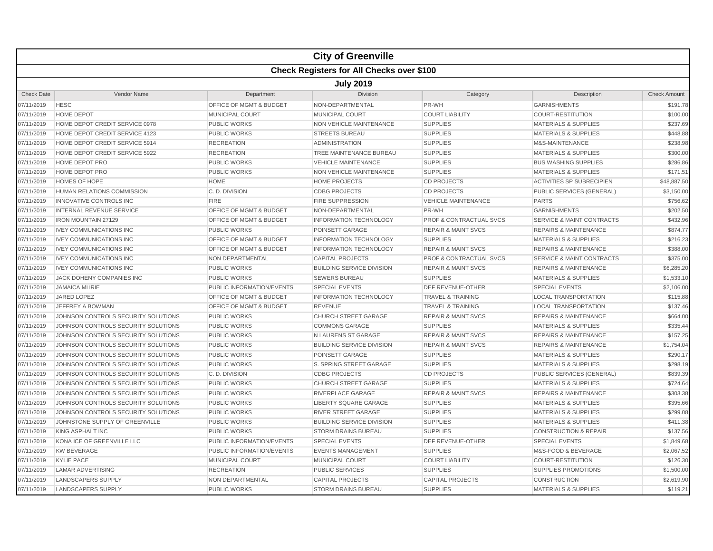|                   |                                                  |                                    | <b>City of Greenville</b>        |                                    |                                      |                     |  |  |  |  |
|-------------------|--------------------------------------------------|------------------------------------|----------------------------------|------------------------------------|--------------------------------------|---------------------|--|--|--|--|
|                   | <b>Check Registers for All Checks over \$100</b> |                                    |                                  |                                    |                                      |                     |  |  |  |  |
|                   | <b>July 2019</b>                                 |                                    |                                  |                                    |                                      |                     |  |  |  |  |
| <b>Check Date</b> | Vendor Name                                      | Department                         | <b>Division</b>                  | Category                           | Description                          | <b>Check Amount</b> |  |  |  |  |
| 07/11/2019        | <b>HESC</b>                                      | OFFICE OF MGMT & BUDGET            | NON-DEPARTMENTAL                 | PR-WH                              | <b>GARNISHMENTS</b>                  | \$191.78            |  |  |  |  |
| 07/11/2019        | <b>HOME DEPOT</b>                                | <b>MUNICIPAL COURT</b>             | <b>MUNICIPAL COURT</b>           | <b>COURT LIABILITY</b>             | <b>COURT-RESTITUTION</b>             | \$100.00            |  |  |  |  |
| 07/11/2019        | HOME DEPOT CREDIT SERVICE 0978                   | <b>PUBLIC WORKS</b>                | <b>NON VEHICLE MAINTENANCE</b>   | <b>SUPPLIES</b>                    | <b>MATERIALS &amp; SUPPLIES</b>      | \$237.69            |  |  |  |  |
| 07/11/2019        | HOME DEPOT CREDIT SERVICE 4123                   | <b>PUBLIC WORKS</b>                | <b>STREETS BUREAU</b>            | <b>SUPPLIES</b>                    | <b>MATERIALS &amp; SUPPLIES</b>      | \$448.88            |  |  |  |  |
| 07/11/2019        | HOME DEPOT CREDIT SERVICE 5914                   | <b>RECREATION</b>                  | <b>ADMINISTRATION</b>            | <b>SUPPLIES</b>                    | M&S-MAINTENANCE                      | \$238.98            |  |  |  |  |
| 07/11/2019        | HOME DEPOT CREDIT SERVICE 5922                   | <b>RECREATION</b>                  | <b>TREE MAINTENANCE BUREAU</b>   | <b>SUPPLIES</b>                    | <b>MATERIALS &amp; SUPPLIES</b>      | \$300.00            |  |  |  |  |
| 07/11/2019        | HOME DEPOT PRO                                   | <b>PUBLIC WORKS</b>                | <b>VEHICLE MAINTENANCE</b>       | <b>SUPPLIES</b>                    | <b>BUS WASHING SUPPLIES</b>          | \$286.86            |  |  |  |  |
| 07/11/2019        | HOME DEPOT PRO                                   | <b>PUBLIC WORKS</b>                | <b>NON VEHICLE MAINTENANCE</b>   | <b>SUPPLIES</b>                    | <b>MATERIALS &amp; SUPPLIES</b>      | \$171.5'            |  |  |  |  |
| 07/11/2019        | HOMES OF HOPE                                    | <b>HOME</b>                        | <b>HOME PROJECTS</b>             | <b>CD PROJECTS</b>                 | <b>ACTIVITIES SP SUBRECIPIEN</b>     | \$48,887.50         |  |  |  |  |
| 07/11/2019        | HUMAN RELATIONS COMMISSION                       | C.D. DIVISION                      | <b>CDBG PROJECTS</b>             | <b>CD PROJECTS</b>                 | PUBLIC SERVICES (GENERAL)            | \$3,150.00          |  |  |  |  |
| 07/11/2019        | <b>INNOVATIVE CONTROLS INC</b>                   | <b>FIRE</b>                        | <b>FIRE SUPPRESSION</b>          | <b>VEHICLE MAINTENANCE</b>         | <b>PARTS</b>                         | \$756.62            |  |  |  |  |
| 07/11/2019        | <b>INTERNAL REVENUE SERVICE</b>                  | OFFICE OF MGMT & BUDGET            | NON-DEPARTMENTAL                 | PR-WH                              | <b>GARNISHMENTS</b>                  | \$202.50            |  |  |  |  |
| 07/11/2019        | <b>IRON MOUNTAIN 27129</b>                       | OFFICE OF MGMT & BUDGET            | <b>INFORMATION TECHNOLOGY</b>    | <b>PROF &amp; CONTRACTUAL SVCS</b> | <b>SERVICE &amp; MAINT CONTRACTS</b> | \$432.96            |  |  |  |  |
| 07/11/2019        | <b>IVEY COMMUNICATIONS INC</b>                   | <b>PUBLIC WORKS</b>                | POINSETT GARAGE                  | <b>REPAIR &amp; MAINT SVCS</b>     | <b>REPAIRS &amp; MAINTENANCE</b>     | \$874.77            |  |  |  |  |
| 07/11/2019        | <b>IVEY COMMUNICATIONS INC</b>                   | <b>OFFICE OF MGMT &amp; BUDGET</b> | <b>INFORMATION TECHNOLOGY</b>    | <b>SUPPLIES</b>                    | <b>MATERIALS &amp; SUPPLIES</b>      | \$216.23            |  |  |  |  |
| 07/11/2019        | <b>IVEY COMMUNICATIONS INC</b>                   | <b>OFFICE OF MGMT &amp; BUDGET</b> | <b>INFORMATION TECHNOLOGY</b>    | <b>REPAIR &amp; MAINT SVCS</b>     | <b>REPAIRS &amp; MAINTENANCE</b>     | \$388.00            |  |  |  |  |
| 07/11/2019        | <b>IVEY COMMUNICATIONS INC</b>                   | <b>NON DEPARTMENTAL</b>            | <b>CAPITAL PROJECTS</b>          | <b>PROF &amp; CONTRACTUAL SVCS</b> | <b>SERVICE &amp; MAINT CONTRACTS</b> | \$375.00            |  |  |  |  |
| 07/11/2019        | <b>IVEY COMMUNICATIONS INC</b>                   | <b>PUBLIC WORKS</b>                | <b>BUILDING SERVICE DIVISION</b> | <b>REPAIR &amp; MAINT SVCS</b>     | <b>REPAIRS &amp; MAINTENANCE</b>     | \$6,285.20          |  |  |  |  |
| 07/11/2019        | <b>JACK DOHENY COMPANIES INC</b>                 | <b>PUBLIC WORKS</b>                | <b>SEWERS BUREAU</b>             | <b>SUPPLIES</b>                    | <b>MATERIALS &amp; SUPPLIES</b>      | \$1,533.10          |  |  |  |  |
| 07/11/2019        | <b>JAMAICA MI IRIE</b>                           | PUBLIC INFORMATION/EVENTS          | <b>SPECIAL EVENTS</b>            | <b>DEF REVENUE-OTHER</b>           | <b>SPECIAL EVENTS</b>                | \$2,106.00          |  |  |  |  |
| 07/11/2019        | <b>JARED LOPEZ</b>                               | <b>OFFICE OF MGMT &amp; BUDGET</b> | <b>INFORMATION TECHNOLOGY</b>    | <b>TRAVEL &amp; TRAINING</b>       | <b>LOCAL TRANSPORTATION</b>          | \$115.88            |  |  |  |  |
| 07/11/2019        | JEFFREY A BOWMAN                                 | <b>OFFICE OF MGMT &amp; BUDGET</b> | <b>REVENUE</b>                   | <b>TRAVEL &amp; TRAINING</b>       | <b>LOCAL TRANSPORTATION</b>          | \$137.46            |  |  |  |  |
| 07/11/2019        | JOHNSON CONTROLS SECURITY SOLUTIONS              | <b>PUBLIC WORKS</b>                | <b>CHURCH STREET GARAGE</b>      | <b>REPAIR &amp; MAINT SVCS</b>     | <b>REPAIRS &amp; MAINTENANCE</b>     | \$664.00            |  |  |  |  |
| 07/11/2019        | JOHNSON CONTROLS SECURITY SOLUTIONS              | <b>PUBLIC WORKS</b>                | <b>COMMONS GARAGE</b>            | <b>SUPPLIES</b>                    | <b>MATERIALS &amp; SUPPLIES</b>      | \$335.44            |  |  |  |  |
| 07/11/2019        | JOHNSON CONTROLS SECURITY SOLUTIONS              | <b>PUBLIC WORKS</b>                | N LAURENS ST GARAGE              | <b>REPAIR &amp; MAINT SVCS</b>     | <b>REPAIRS &amp; MAINTENANCE</b>     | \$157.25            |  |  |  |  |
| 07/11/2019        | JOHNSON CONTROLS SECURITY SOLUTIONS              | <b>PUBLIC WORKS</b>                | <b>BUILDING SERVICE DIVISION</b> | <b>REPAIR &amp; MAINT SVCS</b>     | <b>REPAIRS &amp; MAINTENANCE</b>     | \$1,754.04          |  |  |  |  |
| 07/11/2019        | JOHNSON CONTROLS SECURITY SOLUTIONS              | <b>PUBLIC WORKS</b>                | POINSETT GARAGE                  | <b>SUPPLIES</b>                    | <b>MATERIALS &amp; SUPPLIES</b>      | \$290.1             |  |  |  |  |
| 07/11/2019        | JOHNSON CONTROLS SECURITY SOLUTIONS              | <b>PUBLIC WORKS</b>                | S. SPRING STREET GARAGE          | <b>SUPPLIES</b>                    | <b>MATERIALS &amp; SUPPLIES</b>      | \$298.1             |  |  |  |  |
| 07/11/2019        | JOHNSON CONTROLS SECURITY SOLUTIONS              | C.D. DIVISION                      | <b>CDBG PROJECTS</b>             | <b>CD PROJECTS</b>                 | PUBLIC SERVICES (GENERAL)            | \$839.39            |  |  |  |  |
| 07/11/2019        | JOHNSON CONTROLS SECURITY SOLUTIONS              | <b>PUBLIC WORKS</b>                | <b>CHURCH STREET GARAGE</b>      | <b>SUPPLIES</b>                    | <b>MATERIALS &amp; SUPPLIES</b>      | \$724.64            |  |  |  |  |
| 07/11/2019        | JOHNSON CONTROLS SECURITY SOLUTIONS              | <b>PUBLIC WORKS</b>                | RIVERPLACE GARAGE                | <b>REPAIR &amp; MAINT SVCS</b>     | <b>REPAIRS &amp; MAINTENANCE</b>     | \$303.38            |  |  |  |  |
| 07/11/2019        | JOHNSON CONTROLS SECURITY SOLUTIONS              | <b>PUBLIC WORKS</b>                | <b>LIBERTY SQUARE GARAGE</b>     | <b>SUPPLIES</b>                    | <b>MATERIALS &amp; SUPPLIES</b>      | \$395.66            |  |  |  |  |
| 07/11/2019        | JOHNSON CONTROLS SECURITY SOLUTIONS              | <b>PUBLIC WORKS</b>                | <b>RIVER STREET GARAGE</b>       | <b>SUPPLIES</b>                    | <b>MATERIALS &amp; SUPPLIES</b>      | \$299.08            |  |  |  |  |
| 07/11/2019        | JOHNSTONE SUPPLY OF GREENVILLE                   | <b>PUBLIC WORKS</b>                | <b>BUILDING SERVICE DIVISION</b> | <b>SUPPLIES</b>                    | <b>MATERIALS &amp; SUPPLIES</b>      | \$411.38            |  |  |  |  |
| 07/11/2019        | <b>KING ASPHALT INC</b>                          | <b>PUBLIC WORKS</b>                | <b>STORM DRAINS BUREAU</b>       | <b>SUPPLIES</b>                    | <b>CONSTRUCTION &amp; REPAIR</b>     | \$137.56            |  |  |  |  |
| 07/11/2019        | KONA ICE OF GREENVILLE LLC                       | PUBLIC INFORMATION/EVENTS          | <b>SPECIAL EVENTS</b>            | DEF REVENUE-OTHER                  | <b>SPECIAL EVENTS</b>                | \$1,849.68          |  |  |  |  |
| 07/11/2019        | <b>KW BEVERAGE</b>                               | PUBLIC INFORMATION/EVENTS          | <b>EVENTS MANAGEMENT</b>         | <b>SUPPLIES</b>                    | M&S-FOOD & BEVERAGE                  | \$2,067.52          |  |  |  |  |
| 07/11/2019        | <b>KYLIE PACE</b>                                | MUNICIPAL COURT                    | <b>MUNICIPAL COURT</b>           | <b>COURT LIABILITY</b>             | <b>COURT-RESTITUTION</b>             | \$126.30            |  |  |  |  |
| 07/11/2019        | <b>LAMAR ADVERTISING</b>                         | <b>RECREATION</b>                  | <b>PUBLIC SERVICES</b>           | <b>SUPPLIES</b>                    | <b>SUPPLIES PROMOTIONS</b>           | \$1,500.00          |  |  |  |  |
| 07/11/2019        | LANDSCAPERS SUPPLY                               | NON DEPARTMENTAL                   | <b>CAPITAL PROJECTS</b>          | <b>CAPITAL PROJECTS</b>            | <b>CONSTRUCTION</b>                  | \$2,619.90          |  |  |  |  |
| 07/11/2019        | LANDSCAPERS SUPPLY                               | <b>PUBLIC WORKS</b>                | <b>STORM DRAINS BUREAU</b>       | <b>SUPPLIES</b>                    | <b>MATERIALS &amp; SUPPLIES</b>      | \$119.21            |  |  |  |  |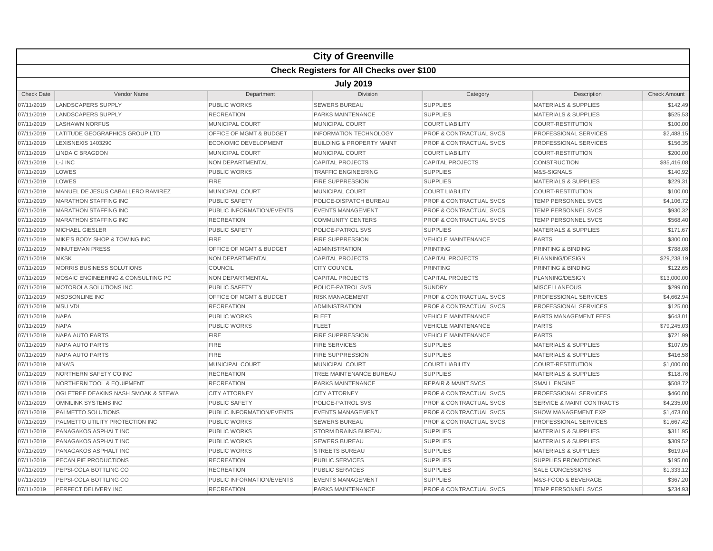|                   |                                                  |                                    | <b>City of Greenville</b>            |                                    |                                      |                     |  |  |  |
|-------------------|--------------------------------------------------|------------------------------------|--------------------------------------|------------------------------------|--------------------------------------|---------------------|--|--|--|
|                   | <b>Check Registers for All Checks over \$100</b> |                                    |                                      |                                    |                                      |                     |  |  |  |
|                   |                                                  |                                    | <b>July 2019</b>                     |                                    |                                      |                     |  |  |  |
| <b>Check Date</b> | Vendor Name                                      | Department                         | <b>Division</b>                      | Category                           | Description                          | <b>Check Amount</b> |  |  |  |
| 07/11/2019        | <b>LANDSCAPERS SUPPLY</b>                        | <b>PUBLIC WORKS</b>                | <b>SEWERS BUREAU</b>                 | <b>SUPPLIES</b>                    | <b>MATERIALS &amp; SUPPLIES</b>      | \$142.49            |  |  |  |
| 07/11/2019        | LANDSCAPERS SUPPLY                               | <b>RECREATION</b>                  | <b>PARKS MAINTENANCE</b>             | <b>SUPPLIES</b>                    | <b>MATERIALS &amp; SUPPLIES</b>      | \$525.53            |  |  |  |
| 07/11/2019        | <b>LASHAWN NORFUS</b>                            | <b>MUNICIPAL COURT</b>             | <b>MUNICIPAL COURT</b>               | <b>COURT LIABILITY</b>             | COURT-RESTITUTION                    | \$100.00            |  |  |  |
| 07/11/2019        | LATITUDE GEOGRAPHICS GROUP LTD                   | OFFICE OF MGMT & BUDGET            | <b>INFORMATION TECHNOLOGY</b>        | <b>PROF &amp; CONTRACTUAL SVCS</b> | PROFESSIONAL SERVICES                | \$2,488.15          |  |  |  |
| 07/11/2019        | <b>LEXISNEXIS 1403290</b>                        | <b>ECONOMIC DEVELOPMENT</b>        | <b>BUILDING &amp; PROPERTY MAINT</b> | <b>PROF &amp; CONTRACTUAL SVCS</b> | PROFESSIONAL SERVICES                | \$156.35            |  |  |  |
| 07/11/2019        | <b>LINDA C BRAGDON</b>                           | <b>MUNICIPAL COURT</b>             | MUNICIPAL COURT                      | <b>COURT LIABILITY</b>             | <b>COURT-RESTITUTION</b>             | \$200.00            |  |  |  |
| 07/11/2019        | L-J INC                                          | <b>NON DEPARTMENTAL</b>            | <b>CAPITAL PROJECTS</b>              | <b>CAPITAL PROJECTS</b>            | <b>CONSTRUCTION</b>                  | \$85,416.08         |  |  |  |
| 07/11/2019        | LOWES                                            | <b>PUBLIC WORKS</b>                | <b>TRAFFIC ENGINEERING</b>           | <b>SUPPLIES</b>                    | M&S-SIGNALS                          | \$140.92            |  |  |  |
| 07/11/2019        | LOWES                                            | <b>FIRE</b>                        | <b>FIRE SUPPRESSION</b>              | <b>SUPPLIES</b>                    | <b>MATERIALS &amp; SUPPLIES</b>      | \$229.31            |  |  |  |
| 07/11/2019        | MANUEL DE JESUS CABALLERO RAMIREZ                | <b>MUNICIPAL COURT</b>             | <b>MUNICIPAL COURT</b>               | <b>COURT LIABILITY</b>             | <b>COURT-RESTITUTION</b>             | \$100.00            |  |  |  |
| 07/11/2019        | <b>MARATHON STAFFING INC</b>                     | <b>PUBLIC SAFETY</b>               | POLICE-DISPATCH BUREAU               | <b>PROF &amp; CONTRACTUAL SVCS</b> | TEMP PERSONNEL SVCS                  | \$4,106.72          |  |  |  |
| 07/11/2019        | <b>MARATHON STAFFING INC</b>                     | PUBLIC INFORMATION/EVENTS          | <b>EVENTS MANAGEMENT</b>             | <b>PROF &amp; CONTRACTUAL SVCS</b> | <b>TEMP PERSONNEL SVCS</b>           | \$930.32            |  |  |  |
| 07/11/2019        | <b>MARATHON STAFFING INC</b>                     | <b>RECREATION</b>                  | <b>COMMUNITY CENTERS</b>             | <b>PROF &amp; CONTRACTUAL SVCS</b> | TEMP PERSONNEL SVCS                  | \$568.40            |  |  |  |
| 07/11/2019        | <b>MICHAEL GIESLER</b>                           | <b>PUBLIC SAFETY</b>               | POLICE-PATROL SVS                    | <b>SUPPLIES</b>                    | <b>MATERIALS &amp; SUPPLIES</b>      | \$171.67            |  |  |  |
| 07/11/2019        | MIKE'S BODY SHOP & TOWING INC                    | <b>FIRE</b>                        | <b>FIRE SUPPRESSION</b>              | <b>VEHICLE MAINTENANCE</b>         | <b>PARTS</b>                         | \$300.00            |  |  |  |
| 07/11/2019        | <b>MINUTEMAN PRESS</b>                           | <b>OFFICE OF MGMT &amp; BUDGET</b> | <b>ADMINISTRATION</b>                | <b>PRINTING</b>                    | PRINTING & BINDING                   | \$788.08            |  |  |  |
| 07/11/2019        | <b>MKSK</b>                                      | <b>NON DEPARTMENTAL</b>            | <b>CAPITAL PROJECTS</b>              | <b>CAPITAL PROJECTS</b>            | <b>PLANNING/DESIGN</b>               | \$29,238.19         |  |  |  |
| 07/11/2019        | MORRIS BUSINESS SOLUTIONS                        | COUNCIL                            | <b>CITY COUNCIL</b>                  | <b>PRINTING</b>                    | PRINTING & BINDING                   | \$122.65            |  |  |  |
| 07/11/2019        | MOSAIC ENGINEERING & CONSULTING PC               | <b>NON DEPARTMENTAL</b>            | <b>CAPITAL PROJECTS</b>              | <b>CAPITAL PROJECTS</b>            | PLANNING/DESIGN                      | \$13,000.00         |  |  |  |
| 07/11/2019        | MOTOROLA SOLUTIONS INC                           | <b>PUBLIC SAFETY</b>               | POLICE-PATROL SVS                    | <b>SUNDRY</b>                      | <b>MISCELLANEOUS</b>                 | \$299.00            |  |  |  |
| 07/11/2019        | <b>MSDSONLINE INC</b>                            | OFFICE OF MGMT & BUDGET            | <b>RISK MANAGEMENT</b>               | <b>PROF &amp; CONTRACTUAL SVCS</b> | PROFESSIONAL SERVICES                | \$4,662.94          |  |  |  |
| 07/11/2019        | <b>MSU VDL</b>                                   | <b>RECREATION</b>                  | <b>ADMINISTRATION</b>                | <b>PROF &amp; CONTRACTUAL SVCS</b> | PROFESSIONAL SERVICES                | \$125.00            |  |  |  |
| 07/11/2019        | <b>NAPA</b>                                      | <b>PUBLIC WORKS</b>                | <b>FLEET</b>                         | <b>VEHICLE MAINTENANCE</b>         | PARTS MANAGEMENT FEES                | \$643.01            |  |  |  |
| 07/11/2019        | <b>NAPA</b>                                      | <b>PUBLIC WORKS</b>                | <b>FLEET</b>                         | <b>VEHICLE MAINTENANCE</b>         | <b>PARTS</b>                         | \$79,245.03         |  |  |  |
| 07/11/2019        | <b>NAPA AUTO PARTS</b>                           | <b>FIRE</b>                        | <b>FIRE SUPPRESSION</b>              | <b>VEHICLE MAINTENANCE</b>         | <b>PARTS</b>                         | \$721.99            |  |  |  |
| 07/11/2019        | <b>NAPA AUTO PARTS</b>                           | <b>FIRE</b>                        | <b>FIRE SERVICES</b>                 | <b>SUPPLIES</b>                    | <b>MATERIALS &amp; SUPPLIES</b>      | \$107.05            |  |  |  |
| 07/11/2019        | <b>NAPA AUTO PARTS</b>                           | <b>FIRE</b>                        | <b>FIRE SUPPRESSION</b>              | <b>SUPPLIES</b>                    | <b>MATERIALS &amp; SUPPLIES</b>      | \$416.58            |  |  |  |
| 07/11/2019        | NINA'S                                           | <b>MUNICIPAL COURT</b>             | MUNICIPAL COURT                      | <b>COURT LIABILITY</b>             | <b>COURT-RESTITUTION</b>             | \$1,000.00          |  |  |  |
| 07/11/2019        | NORTHERN SAFETY CO INC                           | <b>RECREATION</b>                  | TREE MAINTENANCE BUREAU              | <b>SUPPLIES</b>                    | <b>MATERIALS &amp; SUPPLIES</b>      | \$118.76            |  |  |  |
| 07/11/2019        | <b>NORTHERN TOOL &amp; EQUIPMENT</b>             | <b>RECREATION</b>                  | PARKS MAINTENANCE                    | <b>REPAIR &amp; MAINT SVCS</b>     | <b>SMALL ENGINE</b>                  | \$508.72            |  |  |  |
| 07/11/2019        | OGLETREE DEAKINS NASH SMOAK & STEWA              | <b>CITY ATTORNEY</b>               | <b>CITY ATTORNEY</b>                 | <b>PROF &amp; CONTRACTUAL SVCS</b> | PROFESSIONAL SERVICES                | \$460.00            |  |  |  |
| 07/11/2019        | <b>OMNILINK SYSTEMS INC</b>                      | <b>PUBLIC SAFETY</b>               | POLICE-PATROL SVS                    | <b>PROF &amp; CONTRACTUAL SVCS</b> | <b>SERVICE &amp; MAINT CONTRACTS</b> | \$4,235.00          |  |  |  |
| 07/11/2019        | PALMETTO SOLUTIONS                               | PUBLIC INFORMATION/EVENTS          | <b>EVENTS MANAGEMENT</b>             | <b>PROF &amp; CONTRACTUAL SVCS</b> | <b>SHOW MANAGEMENT EXP</b>           | \$1,473.00          |  |  |  |
| 07/11/2019        | PALMETTO UTILITY PROTECTION INC                  | <b>PUBLIC WORKS</b>                | <b>SEWERS BUREAU</b>                 | <b>PROF &amp; CONTRACTUAL SVCS</b> | PROFESSIONAL SERVICES                | \$1,667.42          |  |  |  |
| 07/11/2019        | PANAGAKOS ASPHALT INC                            | <b>PUBLIC WORKS</b>                | <b>STORM DRAINS BUREAU</b>           | <b>SUPPLIES</b>                    | <b>MATERIALS &amp; SUPPLIES</b>      | \$311.95            |  |  |  |
| 07/11/2019        | PANAGAKOS ASPHALT INC                            | <b>PUBLIC WORKS</b>                | <b>SEWERS BUREAU</b>                 | <b>SUPPLIES</b>                    | <b>MATERIALS &amp; SUPPLIES</b>      | \$309.52            |  |  |  |
| 07/11/2019        | PANAGAKOS ASPHALT INC                            | <b>PUBLIC WORKS</b>                | <b>STREETS BUREAU</b>                | <b>SUPPLIES</b>                    | <b>MATERIALS &amp; SUPPLIES</b>      | \$619.04            |  |  |  |
| 07/11/2019        | PECAN PIE PRODUCTIONS                            | <b>RECREATION</b>                  | <b>PUBLIC SERVICES</b>               | <b>SUPPLIES</b>                    | <b>SUPPLIES PROMOTIONS</b>           | \$195.00            |  |  |  |
| 07/11/2019        | PEPSI-COLA BOTTLING CO                           | <b>RECREATION</b>                  | <b>PUBLIC SERVICES</b>               | <b>SUPPLIES</b>                    | SALE CONCESSIONS                     | \$1,333.12          |  |  |  |
| 07/11/2019        | PEPSI-COLA BOTTLING CO                           | <b>PUBLIC INFORMATION/EVENTS</b>   | <b>EVENTS MANAGEMENT</b>             | <b>SUPPLIES</b>                    | M&S-FOOD & BEVERAGE                  | \$367.20            |  |  |  |
| 07/11/2019        | <b>PERFECT DELIVERY INC</b>                      | <b>RECREATION</b>                  | <b>PARKS MAINTENANCE</b>             | <b>PROF &amp; CONTRACTUAL SVCS</b> | <b>TEMP PERSONNEL SVCS</b>           | \$234.93            |  |  |  |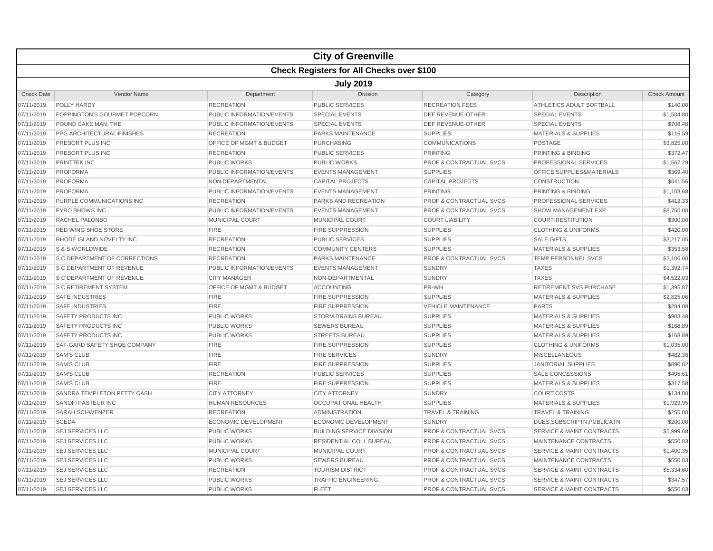|                   |                                                  |                                    | <b>City of Greenville</b>        |                                    |                                      |                     |  |  |  |
|-------------------|--------------------------------------------------|------------------------------------|----------------------------------|------------------------------------|--------------------------------------|---------------------|--|--|--|
|                   | <b>Check Registers for All Checks over \$100</b> |                                    |                                  |                                    |                                      |                     |  |  |  |
|                   | <b>July 2019</b>                                 |                                    |                                  |                                    |                                      |                     |  |  |  |
| <b>Check Date</b> | Vendor Name                                      | Department                         | <b>Division</b>                  | Category                           | Description                          | <b>Check Amount</b> |  |  |  |
| 07/11/2019        | POLLY HARDY                                      | <b>RECREATION</b>                  | <b>PUBLIC SERVICES</b>           | <b>RECREATION FEES</b>             | ATHLETICS ADULT SOFTBALL             | \$140.00            |  |  |  |
| 07/11/2019        | POPPINGTON'S GOURMET POPCORN                     | PUBLIC INFORMATION/EVENTS          | <b>SPECIAL EVENTS</b>            | <b>DEF REVENUE-OTHER</b>           | <b>SPECIAL EVENTS</b>                | \$1,504.80          |  |  |  |
| 07/11/2019        | POUND CAKE MAN, THE                              | PUBLIC INFORMATION/EVENTS          | <b>SPECIAL EVENTS</b>            | DEF REVENUE-OTHER                  | <b>SPECIAL EVENTS</b>                | \$708.48            |  |  |  |
| 07/11/2019        | PPG ARCHITECTURAL FINISHES                       | <b>RECREATION</b>                  | PARKS MAINTENANCE                | <b>SUPPLIES</b>                    | <b>MATERIALS &amp; SUPPLIES</b>      | \$116.59            |  |  |  |
| 07/11/2019        | PRESORT PLUS INC                                 | <b>OFFICE OF MGMT &amp; BUDGET</b> | <b>PURCHASING</b>                | <b>COMMUNICATIONS</b>              | <b>POSTAGE</b>                       | \$3,825.00          |  |  |  |
| 07/11/2019        | PRESORT PLUS INC                                 | <b>RECREATION</b>                  | <b>PUBLIC SERVICES</b>           | <b>PRINTING</b>                    | PRINTING & BINDING                   | \$372.47            |  |  |  |
| 07/11/2019        | PRINTTEK INC                                     | <b>PUBLIC WORKS</b>                | <b>PUBLIC WORKS</b>              | <b>PROF &amp; CONTRACTUAL SVCS</b> | <b>PROFESSIONAL SERVICES</b>         | \$1,567.29          |  |  |  |
| 07/11/2019        | <b>PROFORMA</b>                                  | PUBLIC INFORMATION/EVENTS          | <b>EVENTS MANAGEMENT</b>         | <b>SUPPLIES</b>                    | OFFICE SUPPLIES&MATERIALS            | \$369.40            |  |  |  |
| 07/11/2019        | <b>PROFORMA</b>                                  | <b>NON DEPARTMENTAL</b>            | <b>CAPITAL PROJECTS</b>          | <b>CAPITAL PROJECTS</b>            | <b>CONSTRUCTION</b>                  | \$541.56            |  |  |  |
| 07/11/2019        | <b>PROFORMA</b>                                  | PUBLIC INFORMATION/EVENTS          | <b>EVENTS MANAGEMENT</b>         | <b>PRINTING</b>                    | PRINTING & BINDING                   | \$1,103.68          |  |  |  |
| 07/11/2019        | PURPLE COMMUNICATIONS INC                        | <b>RECREATION</b>                  | PARKS AND RECREATION             | <b>PROF &amp; CONTRACTUAL SVCS</b> | PROFESSIONAL SERVICES                | \$412.33            |  |  |  |
| 07/11/2019        | <b>PYRO SHOWS INC</b>                            | PUBLIC INFORMATION/EVENTS          | <b>EVENTS MANAGEMENT</b>         | <b>PROF &amp; CONTRACTUAL SVCS</b> | <b>SHOW MANAGEMENT EXP</b>           | \$8,750.00          |  |  |  |
| 07/11/2019        | <b>RACHEL PALONBO</b>                            | <b>MUNICIPAL COURT</b>             | <b>MUNICIPAL COURT</b>           | <b>COURT LIABILITY</b>             | <b>COURT-RESTITUTION</b>             | \$300.00            |  |  |  |
| 07/11/2019        | <b>RED WING SHOE STORE</b>                       | <b>FIRE</b>                        | <b>FIRE SUPPRESSION</b>          | <b>SUPPLIES</b>                    | <b>CLOTHING &amp; UNIFORMS</b>       | \$420.00            |  |  |  |
| 07/11/2019        | RHODE ISLAND NOVELTY INC                         | <b>RECREATION</b>                  | <b>PUBLIC SERVICES</b>           | <b>SUPPLIES</b>                    | <b>SALE GIFTS</b>                    | \$3,217.05          |  |  |  |
| 07/11/2019        | S & S WORLDWIDE                                  | <b>RECREATION</b>                  | <b>COMMUNITY CENTERS</b>         | <b>SUPPLIES</b>                    | <b>MATERIALS &amp; SUPPLIES</b>      | \$353.58            |  |  |  |
| 07/11/2019        | S C DEPARTMENT OF CORRECTIONS                    | <b>RECREATION</b>                  | PARKS MAINTENANCE                | PROF & CONTRACTUAL SVCS            | TEMP PERSONNEL SVCS                  | \$2,106.00          |  |  |  |
| 07/11/2019        | <b>S C DEPARTMENT OF REVENUE</b>                 | PUBLIC INFORMATION/EVENTS          | <b>EVENTS MANAGEMENT</b>         | <b>SUNDRY</b>                      | <b>TAXES</b>                         | \$1,392.74          |  |  |  |
| 07/11/2019        | S C DEPARTMENT OF REVENUE                        | <b>CITY MANAGER</b>                | NON-DEPARTMENTAL                 | <b>SUNDRY</b>                      | <b>TAXES</b>                         | \$4,522.03          |  |  |  |
| 07/11/2019        | <b>S C RETIREMENT SYSTEM</b>                     | <b>OFFICE OF MGMT &amp; BUDGET</b> | <b>ACCOUNTING</b>                | PR-WH                              | <b>RETIREMENT SVS PURCHASE</b>       | \$1,395.87          |  |  |  |
| 07/11/2019        | <b>SAFE INDUSTRIES</b>                           | <b>FIRE</b>                        | <b>FIRE SUPPRESSION</b>          | <b>SUPPLIES</b>                    | <b>MATERIALS &amp; SUPPLIES</b>      | \$2,825.06          |  |  |  |
| 07/11/2019        | <b>SAFE INDUSTRIES</b>                           | <b>FIRE</b>                        | <b>FIRE SUPPRESSION</b>          | <b>VEHICLE MAINTENANCE</b>         | <b>PARTS</b>                         | \$284.08            |  |  |  |
| 07/11/2019        | SAFETY PRODUCTS INC                              | <b>PUBLIC WORKS</b>                | <b>STORM DRAINS BUREAU</b>       | <b>SUPPLIES</b>                    | <b>MATERIALS &amp; SUPPLIES</b>      | \$903.48            |  |  |  |
| 07/11/2019        | <b>SAFETY PRODUCTS INC</b>                       | <b>PUBLIC WORKS</b>                | <b>SEWERS BUREAU</b>             | <b>SUPPLIES</b>                    | <b>MATERIALS &amp; SUPPLIES</b>      | \$168.89            |  |  |  |
| 07/11/2019        | SAFETY PRODUCTS INC                              | <b>PUBLIC WORKS</b>                | <b>STREETS BUREAU</b>            | <b>SUPPLIES</b>                    | <b>MATERIALS &amp; SUPPLIES</b>      | \$168.89            |  |  |  |
| 07/11/2019        | SAF-GARD SAFETY SHOE COMPANY                     | <b>FIRE</b>                        | <b>FIRE SUPPRESSION</b>          | <b>SUPPLIES</b>                    | <b>CLOTHING &amp; UNIFORMS</b>       | \$1,035.00          |  |  |  |
| 07/11/2019        | <b>SAM'S CLUB</b>                                | <b>FIRE</b>                        | <b>FIRE SERVICES</b>             | <b>SUNDRY</b>                      | <b>MISCELLANEOUS</b>                 | \$482.38            |  |  |  |
| 07/11/2019        | <b>SAM'S CLUB</b>                                | <b>FIRE</b>                        | <b>FIRE SUPPRESSION</b>          | <b>SUPPLIES</b>                    | <b>JANITORIAL SUPPLIES</b>           | \$890.02            |  |  |  |
| 07/11/2019        | <b>SAM'S CLUB</b>                                | <b>RECREATION</b>                  | <b>PUBLIC SERVICES</b>           | <b>SUPPLIES</b>                    | <b>SALE CONCESSIONS</b>              | \$495.61            |  |  |  |
| 07/11/2019        | <b>SAM'S CLUB</b>                                | <b>FIRE</b>                        | <b>FIRE SUPPRESSION</b>          | <b>SUPPLIES</b>                    | <b>MATERIALS &amp; SUPPLIES</b>      | \$317.58            |  |  |  |
| 07/11/2019        | SANDRA TEMPLETON PETTY CASH                      | <b>CITY ATTORNEY</b>               | <b>CITY ATTORNEY</b>             | <b>SUNDRY</b>                      | <b>COURT COSTS</b>                   | \$134.00            |  |  |  |
| 07/11/2019        | <b>SANOFI PASTEUR INC</b>                        | <b>HUMAN RESOURCES</b>             | <b>OCCUPATIONAL HEALTH</b>       | <b>SUPPLIES</b>                    | <b>MATERIALS &amp; SUPPLIES</b>      | \$1,929.95          |  |  |  |
| 07/11/2019        | <b>SARAH SCHWENZER</b>                           | <b>RECREATION</b>                  | <b>ADMINISTRATION</b>            | <b>TRAVEL &amp; TRAINING</b>       | <b>TRAVEL &amp; TRAINING</b>         | \$255.00            |  |  |  |
| 07/11/2019        | <b>SCEDA</b>                                     | <b>ECONOMIC DEVELOPMENT</b>        | <b>ECONOMIC DEVELOPMENT</b>      | <b>SUNDRY</b>                      | DUES.SUBSCRIPTN.PUBLICATN            | \$200.00            |  |  |  |
| 07/11/2019        | <b>SEJ SERVICES LLC</b>                          | <b>PUBLIC WORKS</b>                | <b>BUILDING SERVICE DIVISION</b> | <b>PROF &amp; CONTRACTUAL SVCS</b> | <b>SERVICE &amp; MAINT CONTRACTS</b> | \$5,999.68          |  |  |  |
| 07/11/2019        | <b>SEJ SERVICES LLC</b>                          | <b>PUBLIC WORKS</b>                | <b>RESIDENTIAL COLL BUREAU</b>   | <b>PROF &amp; CONTRACTUAL SVCS</b> | <b>MAINTENANCE CONTRACTS</b>         | \$550.03            |  |  |  |
| 07/11/2019        | <b>SEJ SERVICES LLC</b>                          | MUNICIPAL COURT                    | <b>MUNICIPAL COURT</b>           | <b>PROF &amp; CONTRACTUAL SVCS</b> | <b>SERVICE &amp; MAINT CONTRACTS</b> | \$1,400.35          |  |  |  |
| 07/11/2019        | <b>SEJ SERVICES LLC</b>                          | <b>PUBLIC WORKS</b>                | <b>SEWERS BUREAU</b>             | <b>PROF &amp; CONTRACTUAL SVCS</b> | MAINTENANCE CONTRACTS                | \$550.03            |  |  |  |
| 07/11/2019        | <b>SEJ SERVICES LLC</b>                          | <b>RECREATION</b>                  | <b>TOURISM DISTRICT</b>          | <b>PROF &amp; CONTRACTUAL SVCS</b> | <b>SERVICE &amp; MAINT CONTRACTS</b> | \$5,334.60          |  |  |  |
| 07/11/2019        | <b>SEJ SERVICES LLC</b>                          | <b>PUBLIC WORKS</b>                | <b>TRAFFIC ENGINEERING</b>       | <b>PROF &amp; CONTRACTUAL SVCS</b> | <b>SERVICE &amp; MAINT CONTRACTS</b> | \$347.57            |  |  |  |
| 07/11/2019        | <b>SEJ SERVICES LLC</b>                          | <b>PUBLIC WORKS</b>                | <b>FLEET</b>                     | <b>PROF &amp; CONTRACTUAL SVCS</b> | <b>SERVICE &amp; MAINT CONTRACTS</b> | \$550.03            |  |  |  |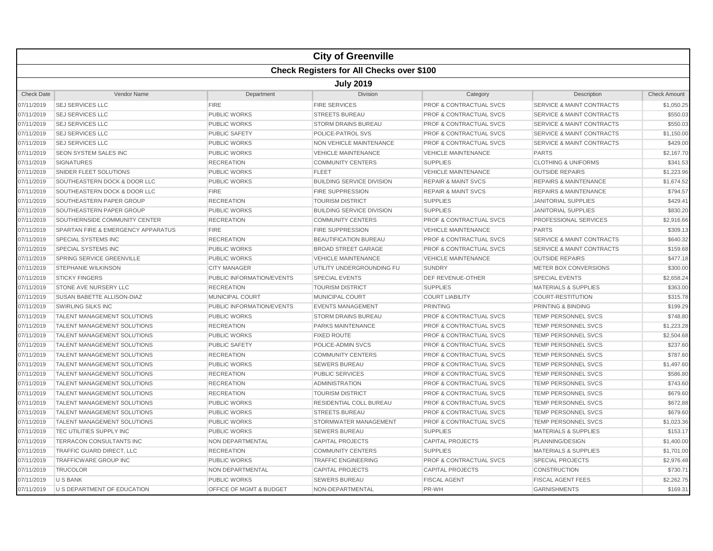|                   |                                                  |                                    | <b>City of Greenville</b>        |                                    |                                      |                     |  |  |  |  |
|-------------------|--------------------------------------------------|------------------------------------|----------------------------------|------------------------------------|--------------------------------------|---------------------|--|--|--|--|
|                   | <b>Check Registers for All Checks over \$100</b> |                                    |                                  |                                    |                                      |                     |  |  |  |  |
|                   | <b>July 2019</b>                                 |                                    |                                  |                                    |                                      |                     |  |  |  |  |
| <b>Check Date</b> | Vendor Name                                      | Department                         | <b>Division</b>                  | Category                           | Description                          | <b>Check Amount</b> |  |  |  |  |
| 07/11/2019        | <b>SEJ SERVICES LLC</b>                          | <b>FIRE</b>                        | <b>FIRE SERVICES</b>             | PROF & CONTRACTUAL SVCS            | <b>SERVICE &amp; MAINT CONTRACTS</b> | \$1,050.25          |  |  |  |  |
| 07/11/2019        | <b>SEJ SERVICES LLC</b>                          | <b>PUBLIC WORKS</b>                | <b>STREETS BUREAU</b>            | <b>PROF &amp; CONTRACTUAL SVCS</b> | <b>SERVICE &amp; MAINT CONTRACTS</b> | \$550.03            |  |  |  |  |
| 07/11/2019        | <b>SEJ SERVICES LLC</b>                          | <b>PUBLIC WORKS</b>                | <b>STORM DRAINS BUREAU</b>       | <b>PROF &amp; CONTRACTUAL SVCS</b> | <b>SERVICE &amp; MAINT CONTRACTS</b> | \$550.03            |  |  |  |  |
| 07/11/2019        | <b>SEJ SERVICES LLC</b>                          | <b>PUBLIC SAFETY</b>               | <b>POLICE-PATROL SVS</b>         | <b>PROF &amp; CONTRACTUAL SVCS</b> | <b>SERVICE &amp; MAINT CONTRACTS</b> | \$1,150.00          |  |  |  |  |
| 07/11/2019        | <b>SEJ SERVICES LLC</b>                          | <b>PUBLIC WORKS</b>                | NON VEHICLE MAINTENANCE          | <b>PROF &amp; CONTRACTUAL SVCS</b> | <b>SERVICE &amp; MAINT CONTRACTS</b> | \$429.00            |  |  |  |  |
| 07/11/2019        | <b>SEON SYSTEM SALES INC</b>                     | <b>PUBLIC WORKS</b>                | <b>VEHICLE MAINTENANCE</b>       | <b>VEHICLE MAINTENANCE</b>         | <b>PARTS</b>                         | \$2.167.70          |  |  |  |  |
| 07/11/2019        | <b>SIGNATURES</b>                                | <b>RECREATION</b>                  | <b>COMMUNITY CENTERS</b>         | <b>SUPPLIES</b>                    | <b>CLOTHING &amp; UNIFORMS</b>       | \$341.53            |  |  |  |  |
| 07/11/2019        | SNIDER FLEET SOLUTIONS                           | <b>PUBLIC WORKS</b>                | <b>FLEET</b>                     | <b>VEHICLE MAINTENANCE</b>         | <b>OUTSIDE REPAIRS</b>               | \$1,223.96          |  |  |  |  |
| 07/11/2019        | SOUTHEASTERN DOCK & DOOR LLC                     | <b>PUBLIC WORKS</b>                | <b>BUILDING SERVICE DIVISION</b> | <b>REPAIR &amp; MAINT SVCS</b>     | <b>REPAIRS &amp; MAINTENANCE</b>     | \$1,674.52          |  |  |  |  |
| 07/11/2019        | SOUTHEASTERN DOCK & DOOR LLC                     | <b>FIRE</b>                        | <b>FIRE SUPPRESSION</b>          | <b>REPAIR &amp; MAINT SVCS</b>     | <b>REPAIRS &amp; MAINTENANCE</b>     | \$794.57            |  |  |  |  |
| 07/11/2019        | SOUTHEASTERN PAPER GROUP                         | <b>RECREATION</b>                  | <b>TOURISM DISTRICT</b>          | <b>SUPPLIES</b>                    | <b>JANITORIAL SUPPLIES</b>           | \$429.4             |  |  |  |  |
| 07/11/2019        | SOUTHEASTERN PAPER GROUP                         | <b>PUBLIC WORKS</b>                | <b>BUILDING SERVICE DIVISION</b> | <b>SUPPLIES</b>                    | <b>JANITORIAL SUPPLIES</b>           | \$830.20            |  |  |  |  |
| 07/11/2019        | SOUTHERNSIDE COMMUNITY CENTER                    | <b>RECREATION</b>                  | <b>COMMUNITY CENTERS</b>         | <b>PROF &amp; CONTRACTUAL SVCS</b> | <b>PROFESSIONAL SERVICES</b>         | \$2,916.66          |  |  |  |  |
| 07/11/2019        | SPARTAN FIRE & EMERGENCY APPARATUS               | <b>FIRE</b>                        | <b>FIRE SUPPRESSION</b>          | <b>VEHICLE MAINTENANCE</b>         | <b>PARTS</b>                         | \$309.1             |  |  |  |  |
| 07/11/2019        | <b>SPECIAL SYSTEMS INC</b>                       | <b>RECREATION</b>                  | <b>BEAUTIFICATION BUREAU</b>     | <b>PROF &amp; CONTRACTUAL SVCS</b> | <b>SERVICE &amp; MAINT CONTRACTS</b> | \$640.32            |  |  |  |  |
| 07/11/2019        | <b>SPECIAL SYSTEMS INC</b>                       | <b>PUBLIC WORKS</b>                | <b>BROAD STREET GARAGE</b>       | <b>PROF &amp; CONTRACTUAL SVCS</b> | <b>SERVICE &amp; MAINT CONTRACTS</b> | \$159.68            |  |  |  |  |
| 07/11/2019        | <b>SPRING SERVICE GREENVILLE</b>                 | <b>PUBLIC WORKS</b>                | <b>VEHICLE MAINTENANCE</b>       | <b>VEHICLE MAINTENANCE</b>         | <b>OUTSIDE REPAIRS</b>               | \$477.18            |  |  |  |  |
| 07/11/2019        | <b>STEPHANIE WILKINSON</b>                       | <b>CITY MANAGER</b>                | UTILITY UNDERGROUNDING FU        | <b>SUNDRY</b>                      | METER BOX CONVERSIONS                | \$300.00            |  |  |  |  |
| 07/11/2019        | <b>STICKY FINGERS</b>                            | PUBLIC INFORMATION/EVENTS          | <b>SPECIAL EVENTS</b>            | <b>DEF REVENUE-OTHER</b>           | <b>SPECIAL EVENTS</b>                | \$2,658.24          |  |  |  |  |
| 07/11/2019        | STONE AVE NURSERY LLC                            | <b>RECREATION</b>                  | <b>TOURISM DISTRICT</b>          | <b>SUPPLIES</b>                    | <b>MATERIALS &amp; SUPPLIES</b>      | \$363.00            |  |  |  |  |
| 07/11/2019        | SUSAN BABETTE ALLISON-DIAZ                       | <b>MUNICIPAL COURT</b>             | <b>MUNICIPAL COURT</b>           | <b>COURT LIABILITY</b>             | <b>COURT-RESTITUTION</b>             | \$315.78            |  |  |  |  |
| 07/11/2019        | <b>SWIRLING SILKS INC</b>                        | PUBLIC INFORMATION/EVENTS          | <b>EVENTS MANAGEMENT</b>         | <b>PRINTING</b>                    | PRINTING & BINDING                   | \$199.29            |  |  |  |  |
| 07/11/2019        | TALENT MANAGEMENT SOLUTIONS                      | <b>PUBLIC WORKS</b>                | <b>STORM DRAINS BUREAU</b>       | <b>PROF &amp; CONTRACTUAL SVCS</b> | TEMP PERSONNEL SVCS                  | \$748.80            |  |  |  |  |
| 07/11/2019        | <b>TALENT MANAGEMENT SOLUTIONS</b>               | <b>RECREATION</b>                  | <b>PARKS MAINTENANCE</b>         | <b>PROF &amp; CONTRACTUAL SVCS</b> | <b>TEMP PERSONNEL SVCS</b>           | \$1,223.28          |  |  |  |  |
| 07/11/2019        | TALENT MANAGEMENT SOLUTIONS                      | <b>PUBLIC WORKS</b>                | <b>FIXED ROUTE</b>               | <b>PROF &amp; CONTRACTUAL SVCS</b> | TEMP PERSONNEL SVCS                  | \$2,504.68          |  |  |  |  |
| 07/11/2019        | TALENT MANAGEMENT SOLUTIONS                      | <b>PUBLIC SAFETY</b>               | POLICE-ADMIN SVCS                | <b>PROF &amp; CONTRACTUAL SVCS</b> | TEMP PERSONNEL SVCS                  | \$237.60            |  |  |  |  |
| 07/11/2019        | <b>TALENT MANAGEMENT SOLUTIONS</b>               | <b>RECREATION</b>                  | <b>COMMUNITY CENTERS</b>         | <b>PROF &amp; CONTRACTUAL SVCS</b> | <b>TEMP PERSONNEL SVCS</b>           | \$787.60            |  |  |  |  |
| 07/11/2019        | <b>TALENT MANAGEMENT SOLUTIONS</b>               | <b>PUBLIC WORKS</b>                | <b>SEWERS BUREAU</b>             | <b>PROF &amp; CONTRACTUAL SVCS</b> | <b>TEMP PERSONNEL SVCS</b>           | \$1,497.60          |  |  |  |  |
| 07/11/2019        | <b>TALENT MANAGEMENT SOLUTIONS</b>               | <b>RECREATION</b>                  | <b>PUBLIC SERVICES</b>           | <b>PROF &amp; CONTRACTUAL SVCS</b> | <b>TEMP PERSONNEL SVCS</b>           | \$586.80            |  |  |  |  |
| 07/11/2019        | TALENT MANAGEMENT SOLUTIONS                      | <b>RECREATION</b>                  | <b>ADMINISTRATION</b>            | PROF & CONTRACTUAL SVCS            | <b>TEMP PERSONNEL SVCS</b>           | \$743.60            |  |  |  |  |
| 07/11/2019        | TALENT MANAGEMENT SOLUTIONS                      | <b>RECREATION</b>                  | <b>TOURISM DISTRICT</b>          | <b>PROF &amp; CONTRACTUAL SVCS</b> | <b>TEMP PERSONNEL SVCS</b>           | \$679.60            |  |  |  |  |
| 07/11/2019        | <b>TALENT MANAGEMENT SOLUTIONS</b>               | <b>PUBLIC WORKS</b>                | <b>RESIDENTIAL COLL BUREAU</b>   | <b>PROF &amp; CONTRACTUAL SVCS</b> | <b>TEMP PERSONNEL SVCS</b>           | \$672.88            |  |  |  |  |
| 07/11/2019        | <b>TALENT MANAGEMENT SOLUTIONS</b>               | <b>PUBLIC WORKS</b>                | <b>STREETS BUREAU</b>            | <b>PROF &amp; CONTRACTUAL SVCS</b> | <b>TEMP PERSONNEL SVCS</b>           | \$679.60            |  |  |  |  |
| 07/11/2019        | <b>TALENT MANAGEMENT SOLUTIONS</b>               | <b>PUBLIC WORKS</b>                | STORMWATER MANAGEMENT            | <b>PROF &amp; CONTRACTUAL SVCS</b> | <b>TEMP PERSONNEL SVCS</b>           | \$1,023.36          |  |  |  |  |
| 07/11/2019        | TEC UTILITIES SUPPLY INC                         | <b>PUBLIC WORKS</b>                | <b>SEWERS BUREAU</b>             | <b>SUPPLIES</b>                    | <b>MATERIALS &amp; SUPPLIES</b>      | \$153.17            |  |  |  |  |
| 07/11/2019        | TERRACON CONSULTANTS INC                         | NON DEPARTMENTAL                   | <b>CAPITAL PROJECTS</b>          | <b>CAPITAL PROJECTS</b>            | PLANNING/DESIGN                      | \$1,400.00          |  |  |  |  |
| 07/11/2019        | TRAFFIC GUARD DIRECT, LLC                        | <b>RECREATION</b>                  | <b>COMMUNITY CENTERS</b>         | <b>SUPPLIES</b>                    | <b>MATERIALS &amp; SUPPLIES</b>      | \$1,701.00          |  |  |  |  |
| 07/11/2019        | <b>TRAFFICWARE GROUP INC</b>                     | <b>PUBLIC WORKS</b>                | <b>TRAFFIC ENGINEERING</b>       | PROF & CONTRACTUAL SVCS            | <b>SPECIAL PROJECTS</b>              | \$2,976.48          |  |  |  |  |
| 07/11/2019        | <b>TRUCOLOR</b>                                  | <b>NON DEPARTMENTAL</b>            | <b>CAPITAL PROJECTS</b>          | <b>CAPITAL PROJECTS</b>            | <b>CONSTRUCTION</b>                  | \$730.7             |  |  |  |  |
| 07/11/2019        | <b>U S BANK</b>                                  |                                    |                                  | <b>FISCAL AGENT</b>                | <b>FISCAL AGENT FEES</b>             |                     |  |  |  |  |
|                   |                                                  | <b>PUBLIC WORKS</b>                | <b>SEWERS BUREAU</b>             |                                    |                                      | \$2,262.79          |  |  |  |  |
| 07/11/2019        | U S DEPARTMENT OF EDUCATION                      | <b>OFFICE OF MGMT &amp; BUDGET</b> | NON-DEPARTMENTAL                 | PR-WH                              | <b>GARNISHMENTS</b>                  | \$169.3'            |  |  |  |  |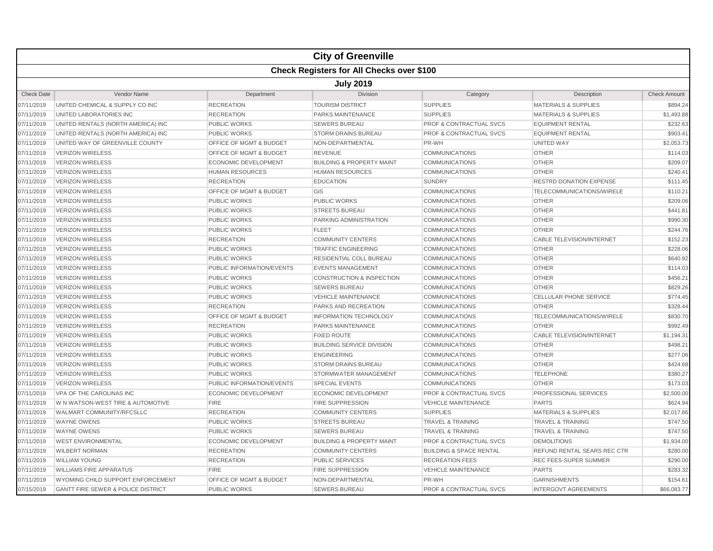|                   |                                                  |                             | <b>City of Greenville</b>            |                                    |                                  |                     |  |  |  |  |
|-------------------|--------------------------------------------------|-----------------------------|--------------------------------------|------------------------------------|----------------------------------|---------------------|--|--|--|--|
|                   | <b>Check Registers for All Checks over \$100</b> |                             |                                      |                                    |                                  |                     |  |  |  |  |
|                   | <b>July 2019</b>                                 |                             |                                      |                                    |                                  |                     |  |  |  |  |
| <b>Check Date</b> | <b>Vendor Name</b>                               | Department                  | <b>Division</b>                      | Category                           | Description                      | <b>Check Amount</b> |  |  |  |  |
| 07/11/2019        | UNITED CHEMICAL & SUPPLY CO INC                  | <b>RECREATION</b>           | <b>TOURISM DISTRICT</b>              | <b>SUPPLIES</b>                    | <b>MATERIALS &amp; SUPPLIES</b>  | \$894.24            |  |  |  |  |
| 07/11/2019        | UNITED LABORATORIES INC                          | <b>RECREATION</b>           | PARKS MAINTENANCE                    | <b>SUPPLIES</b>                    | <b>MATERIALS &amp; SUPPLIES</b>  | \$1,493.88          |  |  |  |  |
| 07/11/2019        | UNITED RENTALS (NORTH AMERICA) INC               | <b>PUBLIC WORKS</b>         | <b>SEWERS BUREAU</b>                 | PROF & CONTRACTUAL SVCS            | <b>EQUIPMENT RENTAL</b>          | \$232.63            |  |  |  |  |
| 07/11/2019        | UNITED RENTALS (NORTH AMERICA) INC               | <b>PUBLIC WORKS</b>         | <b>STORM DRAINS BUREAU</b>           | <b>PROF &amp; CONTRACTUAL SVCS</b> | <b>EQUIPMENT RENTAL</b>          | \$903.41            |  |  |  |  |
| 07/11/2019        | UNITED WAY OF GREENVILLE COUNTY                  | OFFICE OF MGMT & BUDGET     | NON-DEPARTMENTAL                     | PR-WH                              | <b>UNITED WAY</b>                | \$2,053.73          |  |  |  |  |
| 07/11/2019        | <b>VERIZON WIRELESS</b>                          | OFFICE OF MGMT & BUDGET     | <b>REVENUE</b>                       | <b>COMMUNICATIONS</b>              | <b>OTHER</b>                     | \$114.03            |  |  |  |  |
| 07/11/2019        | <b>VERIZON WIRELESS</b>                          | <b>ECONOMIC DEVELOPMENT</b> | <b>BUILDING &amp; PROPERTY MAINT</b> | <b>COMMUNICATIONS</b>              | <b>OTHER</b>                     | \$209.07            |  |  |  |  |
| 07/11/2019        | VERIZON WIRELESS                                 | <b>HUMAN RESOURCES</b>      | <b>HUMAN RESOURCES</b>               | <b>COMMUNICATIONS</b>              | <b>OTHER</b>                     | \$240.41            |  |  |  |  |
| 07/11/2019        | <b>VERIZON WIRELESS</b>                          | <b>RECREATION</b>           | <b>EDUCATION</b>                     | <b>SUNDRY</b>                      | <b>RESTRD DONATION EXPENSE</b>   | \$111.45            |  |  |  |  |
| 07/11/2019        | <b>VERIZON WIRELESS</b>                          | OFFICE OF MGMT & BUDGET     | GIS                                  | <b>COMMUNICATIONS</b>              | TELECOMMUNICATIONS/WIRELE        | \$110.21            |  |  |  |  |
| 07/11/2019        | <b>VERIZON WIRELESS</b>                          | <b>PUBLIC WORKS</b>         | <b>PUBLIC WORKS</b>                  | <b>COMMUNICATIONS</b>              | <b>OTHER</b>                     | \$209.06            |  |  |  |  |
| 07/11/2019        | <b>VERIZON WIRELESS</b>                          | <b>PUBLIC WORKS</b>         | <b>STREETS BUREAU</b>                | <b>COMMUNICATIONS</b>              | <b>OTHER</b>                     | \$441.81            |  |  |  |  |
| 07/11/2019        | <b>VERIZON WIRELESS</b>                          | <b>PUBLIC WORKS</b>         | PARKING ADMINISTRATION               | <b>COMMUNICATIONS</b>              | <b>OTHER</b>                     | \$990.30            |  |  |  |  |
| 07/11/2019        | <b>VERIZON WIRELESS</b>                          | <b>PUBLIC WORKS</b>         | <b>FLEET</b>                         | <b>COMMUNICATIONS</b>              | <b>OTHER</b>                     | \$244.76            |  |  |  |  |
| 07/11/2019        | <b>VERIZON WIRELESS</b>                          | <b>RECREATION</b>           | <b>COMMUNITY CENTERS</b>             | <b>COMMUNICATIONS</b>              | <b>CABLE TELEVISION/INTERNET</b> | \$152.23            |  |  |  |  |
| 07/11/2019        | <b>VERIZON WIRELESS</b>                          | <b>PUBLIC WORKS</b>         | <b>TRAFFIC ENGINEERING</b>           | <b>COMMUNICATIONS</b>              | <b>OTHER</b>                     | \$228.06            |  |  |  |  |
| 07/11/2019        | <b>VERIZON WIRELESS</b>                          | <b>PUBLIC WORKS</b>         | RESIDENTIAL COLL BUREAU              | <b>COMMUNICATIONS</b>              | <b>OTHER</b>                     | \$640.92            |  |  |  |  |
| 07/11/2019        | <b>VERIZON WIRELESS</b>                          | PUBLIC INFORMATION/EVENTS   | <b>EVENTS MANAGEMENT</b>             | <b>COMMUNICATIONS</b>              | <b>OTHER</b>                     | \$114.03            |  |  |  |  |
| 07/11/2019        | <b>VERIZON WIRELESS</b>                          | <b>PUBLIC WORKS</b>         | <b>CONSTRUCTION &amp; INSPECTION</b> | <b>COMMUNICATIONS</b>              | <b>OTHER</b>                     | \$456.21            |  |  |  |  |
| 07/11/2019        | <b>VERIZON WIRELESS</b>                          | <b>PUBLIC WORKS</b>         | <b>SEWERS BUREAU</b>                 | <b>COMMUNICATIONS</b>              | <b>OTHER</b>                     | \$829.26            |  |  |  |  |
| 07/11/2019        | <b>VERIZON WIRELESS</b>                          | <b>PUBLIC WORKS</b>         | <b>VEHICLE MAINTENANCE</b>           | <b>COMMUNICATIONS</b>              | <b>CELLULAR PHONE SERVICE</b>    | \$774.45            |  |  |  |  |
| 07/11/2019        | <b>VERIZON WIRELESS</b>                          | <b>RECREATION</b>           | PARKS AND RECREATION                 | <b>COMMUNICATIONS</b>              | <b>OTHER</b>                     | \$328.44            |  |  |  |  |
| 07/11/2019        | <b>VERIZON WIRELESS</b>                          | OFFICE OF MGMT & BUDGET     | <b>INFORMATION TECHNOLOGY</b>        | <b>COMMUNICATIONS</b>              | TELECOMMUNICATIONS/WIRELE        | \$830.70            |  |  |  |  |
| 07/11/2019        | <b>VERIZON WIRELESS</b>                          | <b>RECREATION</b>           | <b>PARKS MAINTENANCE</b>             | <b>COMMUNICATIONS</b>              | <b>OTHER</b>                     | \$992.49            |  |  |  |  |
| 07/11/2019        | VERIZON WIRELESS                                 | <b>PUBLIC WORKS</b>         | <b>FIXED ROUTE</b>                   | <b>COMMUNICATIONS</b>              | <b>CABLE TELEVISION/INTERNET</b> | \$1,194.31          |  |  |  |  |
| 07/11/2019        | <b>VERIZON WIRELESS</b>                          | <b>PUBLIC WORKS</b>         | <b>BUILDING SERVICE DIVISION</b>     | <b>COMMUNICATIONS</b>              | <b>OTHER</b>                     | \$498.21            |  |  |  |  |
| 07/11/2019        | <b>VERIZON WIRELESS</b>                          | <b>PUBLIC WORKS</b>         | <b>ENGINEERING</b>                   | <b>COMMUNICATIONS</b>              | <b>OTHER</b>                     | \$277.06            |  |  |  |  |
| 07/11/2019        | <b>VERIZON WIRELESS</b>                          | <b>PUBLIC WORKS</b>         | <b>STORM DRAINS BUREAU</b>           | <b>COMMUNICATIONS</b>              | <b>OTHER</b>                     | \$424.68            |  |  |  |  |
| 07/11/2019        | <b>VERIZON WIRELESS</b>                          | <b>PUBLIC WORKS</b>         | STORMWATER MANAGEMENT                | <b>COMMUNICATIONS</b>              | <b>TELEPHONE</b>                 | \$380.27            |  |  |  |  |
| 07/11/2019        | <b>VERIZON WIRELESS</b>                          | PUBLIC INFORMATION/EVENTS   | <b>SPECIAL EVENTS</b>                | <b>COMMUNICATIONS</b>              | <b>OTHER</b>                     | \$173.03            |  |  |  |  |
| 07/11/2019        | VPA OF THE CAROLINAS INC                         | <b>ECONOMIC DEVELOPMENT</b> | <b>ECONOMIC DEVELOPMENT</b>          | <b>PROF &amp; CONTRACTUAL SVCS</b> | PROFESSIONAL SERVICES            | \$2,500.00          |  |  |  |  |
| 07/11/2019        | W N WATSON-WEST TIRE & AUTOMOTIVE                | <b>FIRE</b>                 | <b>FIRE SUPPRESSION</b>              | <b>VEHICLE MAINTENANCE</b>         | <b>PARTS</b>                     | \$624.94            |  |  |  |  |
| 07/11/2019        | WALMART COMMUNITY/RFCSLLC                        | <b>RECREATION</b>           | <b>COMMUNITY CENTERS</b>             | <b>SUPPLIES</b>                    | <b>MATERIALS &amp; SUPPLIES</b>  | \$2,017.86          |  |  |  |  |
| 07/11/2019        | <b>WAYNE OWENS</b>                               | <b>PUBLIC WORKS</b>         | <b>STREETS BUREAU</b>                | <b>TRAVEL &amp; TRAINING</b>       | <b>TRAVEL &amp; TRAINING</b>     | \$747.50            |  |  |  |  |
| 07/11/2019        | <b>WAYNE OWENS</b>                               | <b>PUBLIC WORKS</b>         | <b>SEWERS BUREAU</b>                 | <b>TRAVEL &amp; TRAINING</b>       | <b>TRAVEL &amp; TRAINING</b>     | \$747.50            |  |  |  |  |
| 07/11/2019        | <b>WEST ENVIRONMENTAL</b>                        | <b>ECONOMIC DEVELOPMENT</b> | <b>BUILDING &amp; PROPERTY MAINT</b> | <b>PROF &amp; CONTRACTUAL SVCS</b> | <b>DEMOLITIONS</b>               | \$1,934.00          |  |  |  |  |
| 07/11/2019        | <b>WILBERT NORMAN</b>                            | <b>RECREATION</b>           | <b>COMMUNITY CENTERS</b>             | <b>BUILDING &amp; SPACE RENTAL</b> | REFUND RENTAL SEARS REC CTR      | \$280.00            |  |  |  |  |
| 07/11/2019        | <b>WILLIAM YOUNG</b>                             | <b>RECREATION</b>           | <b>PUBLIC SERVICES</b>               | <b>RECREATION FEES</b>             | REC FEES-SUPER SUMMER            | \$290.00            |  |  |  |  |
| 07/11/2019        | <b>WILLIAMS FIRE APPARATUS</b>                   | <b>FIRE</b>                 | <b>FIRE SUPPRESSION</b>              | <b>VEHICLE MAINTENANCE</b>         | <b>PARTS</b>                     | \$283.32            |  |  |  |  |
| 07/11/2019        | WYOMING CHILD SUPPORT ENFORCEMENT                | OFFICE OF MGMT & BUDGET     | NON-DEPARTMENTAL                     | PR-WH                              | <b>GARNISHMENTS</b>              | \$154.61            |  |  |  |  |
| 07/15/2019        | <b>GANTT FIRE SEWER &amp; POLICE DISTRICT</b>    | <b>PUBLIC WORKS</b>         | <b>SEWERS BUREAU</b>                 | <b>PROF &amp; CONTRACTUAL SVCS</b> | <b>INTERGOVT AGREEMENTS</b>      | \$66,083,77         |  |  |  |  |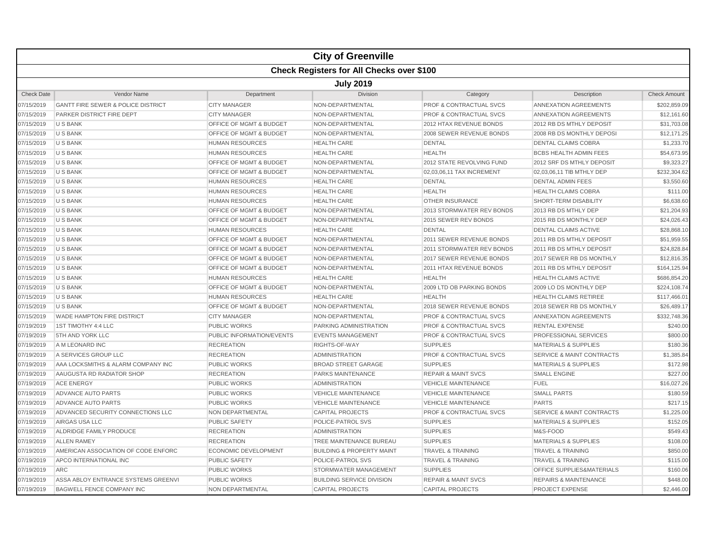|                   |                                                  |                                    | <b>City of Greenville</b>            |                                    |                                      |                     |  |  |  |
|-------------------|--------------------------------------------------|------------------------------------|--------------------------------------|------------------------------------|--------------------------------------|---------------------|--|--|--|
|                   | <b>Check Registers for All Checks over \$100</b> |                                    |                                      |                                    |                                      |                     |  |  |  |
|                   | <b>July 2019</b>                                 |                                    |                                      |                                    |                                      |                     |  |  |  |
| <b>Check Date</b> | <b>Vendor Name</b>                               | Department                         | <b>Division</b>                      | Category                           | Description                          | <b>Check Amount</b> |  |  |  |
| 07/15/2019        | <b>GANTT FIRE SEWER &amp; POLICE DISTRICT</b>    | <b>CITY MANAGER</b>                | NON-DEPARTMENTAL                     | <b>PROF &amp; CONTRACTUAL SVCS</b> | ANNEXATION AGREEMENTS                | \$202,859.09        |  |  |  |
| 07/15/2019        | PARKER DISTRICT FIRE DEPT                        | <b>CITY MANAGER</b>                | NON-DEPARTMENTAL                     | <b>PROF &amp; CONTRACTUAL SVCS</b> | ANNEXATION AGREEMENTS                | \$12,161.60         |  |  |  |
| 07/15/2019        | <b>U S BANK</b>                                  | <b>OFFICE OF MGMT &amp; BUDGET</b> | NON-DEPARTMENTAL                     | 2012 HTAX REVENUE BONDS            | 2012 RB DS MTHLY DEPOSIT             | \$31,703.08         |  |  |  |
| 07/15/2019        | <b>U S BANK</b>                                  | <b>OFFICE OF MGMT &amp; BUDGET</b> | NON-DEPARTMENTAL                     | 2008 SEWER REVENUE BONDS           | 2008 RB DS MONTHLY DEPOSI            | \$12,171.25         |  |  |  |
| 07/15/2019        | <b>U S BANK</b>                                  | <b>HUMAN RESOURCES</b>             | <b>HEALTH CARE</b>                   | <b>DENTAL</b>                      | <b>DENTAL CLAIMS COBRA</b>           | \$1,233.70          |  |  |  |
| 07/15/2019        | <b>U S BANK</b>                                  | <b>HUMAN RESOURCES</b>             | <b>HEALTH CARE</b>                   | <b>HEALTH</b>                      | BCBS HEALTH ADMIN FEES               | \$54,673.95         |  |  |  |
| 07/15/2019        | <b>U S BANK</b>                                  | <b>OFFICE OF MGMT &amp; BUDGET</b> | NON-DEPARTMENTAL                     | 2012 STATE REVOLVING FUND          | 2012 SRF DS MTHLY DEPOSIT            | \$9,323.27          |  |  |  |
| 07/15/2019        | <b>U S BANK</b>                                  | <b>OFFICE OF MGMT &amp; BUDGET</b> | NON-DEPARTMENTAL                     | 02,03,06,11 TAX INCREMENT          | 02.03.06.11 TIB MTHLY DEP            | \$232,304.62        |  |  |  |
| 07/15/2019        | <b>U S BANK</b>                                  | <b>HUMAN RESOURCES</b>             | <b>HEALTH CARE</b>                   | <b>DENTAL</b>                      | <b>DENTAL ADMIN FEES</b>             | \$3,550.60          |  |  |  |
| 07/15/2019        | <b>U S BANK</b>                                  | <b>HUMAN RESOURCES</b>             | <b>HEALTH CARE</b>                   | <b>HEALTH</b>                      | <b>HEALTH CLAIMS COBRA</b>           | \$111.00            |  |  |  |
| 07/15/2019        | U S BANK                                         | <b>HUMAN RESOURCES</b>             | <b>HEALTH CARE</b>                   | <b>OTHER INSURANCE</b>             | SHORT-TERM DISABILITY                | \$6,638.60          |  |  |  |
| 07/15/2019        | <b>U S BANK</b>                                  | OFFICE OF MGMT & BUDGET            | NON-DEPARTMENTAL                     | 2013 STORMWATER REV BONDS          | 2013 RB DS MTHLY DEP                 | \$21,204.93         |  |  |  |
| 07/15/2019        | <b>U S BANK</b>                                  | OFFICE OF MGMT & BUDGET            | NON-DEPARTMENTAL                     | 2015 SEWER REV BONDS               | 2015 RB DS MONTHLY DEP               | \$24,026.43         |  |  |  |
| 07/15/2019        | <b>U S BANK</b>                                  | <b>HUMAN RESOURCES</b>             | <b>HEALTH CARE</b>                   | <b>DENTAL</b>                      | <b>DENTAL CLAIMS ACTIVE</b>          | \$28,868.10         |  |  |  |
| 07/15/2019        | <b>U S BANK</b>                                  | OFFICE OF MGMT & BUDGET            | NON-DEPARTMENTAL                     | 2011 SEWER REVENUE BONDS           | 2011 RB DS MTHLY DEPOSIT             | \$51,959.55         |  |  |  |
| 07/15/2019        | <b>U S BANK</b>                                  | <b>OFFICE OF MGMT &amp; BUDGET</b> | NON-DEPARTMENTAL                     | <b>2011 STORMWATER REV BONDS</b>   | 2011 RB DS MTHLY DEPOSIT             | \$24,828.84         |  |  |  |
| 07/15/2019        | <b>U S BANK</b>                                  | OFFICE OF MGMT & BUDGET            | NON-DEPARTMENTAL                     | 2017 SEWER REVENUE BONDS           | 2017 SEWER RB DS MONTHLY             | \$12,816.35         |  |  |  |
| 07/15/2019        | <b>U S BANK</b>                                  | OFFICE OF MGMT & BUDGET            | NON-DEPARTMENTAL                     | 2011 HTAX REVENUE BONDS            | 2011 RB DS MTHLY DEPOSIT             | \$164,125.94        |  |  |  |
| 07/15/2019        | <b>U S BANK</b>                                  | <b>HUMAN RESOURCES</b>             | <b>HEALTH CARE</b>                   | <b>HEALTH</b>                      | <b>HEALTH CLAIMS ACTIVE</b>          | \$686,854.20        |  |  |  |
| 07/15/2019        | <b>U S BANK</b>                                  | OFFICE OF MGMT & BUDGET            | NON-DEPARTMENTAL                     | 2009 LTD OB PARKING BONDS          | 2009 LO DS MONTHLY DEP               | \$224,108.74        |  |  |  |
| 07/15/2019        | <b>U S BANK</b>                                  | <b>HUMAN RESOURCES</b>             | <b>HEALTH CARE</b>                   | <b>HEALTH</b>                      | <b>HEALTH CLAIMS RETIREE</b>         | \$117,466.01        |  |  |  |
| 07/15/2019        | <b>U S BANK</b>                                  | OFFICE OF MGMT & BUDGET            | NON-DEPARTMENTAL                     | 2018 SEWER REVENUE BONDS           | 2018 SEWER RB DS MONTHLY             | \$26,489.17         |  |  |  |
| 07/15/2019        | WADE HAMPTON FIRE DISTRICT                       | <b>CITY MANAGER</b>                | NON-DEPARTMENTAL                     | <b>PROF &amp; CONTRACTUAL SVCS</b> | ANNEXATION AGREEMENTS                | \$332,748.36        |  |  |  |
| 07/19/2019        | 1ST TIMOTHY 4:4 LLC                              | <b>PUBLIC WORKS</b>                | PARKING ADMINISTRATION               | <b>PROF &amp; CONTRACTUAL SVCS</b> | <b>RENTAL EXPENSE</b>                | \$240.00            |  |  |  |
| 07/19/2019        | 5TH AND YORK LLC                                 | PUBLIC INFORMATION/EVENTS          | <b>EVENTS MANAGEMENT</b>             | <b>PROF &amp; CONTRACTUAL SVCS</b> | PROFESSIONAL SERVICES                | \$800.00            |  |  |  |
| 07/19/2019        | A M LEONARD INC                                  | <b>RECREATION</b>                  | RIGHTS-OF-WAY                        | <b>SUPPLIES</b>                    | <b>MATERIALS &amp; SUPPLIES</b>      | \$180.36            |  |  |  |
| 07/19/2019        | A SERVICES GROUP LLC                             | <b>RECREATION</b>                  | <b>ADMINISTRATION</b>                | <b>PROF &amp; CONTRACTUAL SVCS</b> | <b>SERVICE &amp; MAINT CONTRACTS</b> | \$1,385.84          |  |  |  |
| 07/19/2019        | AAA LOCKSMITHS & ALARM COMPANY INC               | <b>PUBLIC WORKS</b>                | <b>BROAD STREET GARAGE</b>           | <b>SUPPLIES</b>                    | <b>MATERIALS &amp; SUPPLIES</b>      | \$172.98            |  |  |  |
| 07/19/2019        | AAUGUSTA RD RADIATOR SHOP                        | <b>RECREATION</b>                  | PARKS MAINTENANCE                    | <b>REPAIR &amp; MAINT SVCS</b>     | <b>SMALL ENGINE</b>                  | \$227.00            |  |  |  |
| 07/19/2019        | <b>ACE ENERGY</b>                                | <b>PUBLIC WORKS</b>                | <b>ADMINISTRATION</b>                | <b>VEHICLE MAINTENANCE</b>         | <b>FUEL</b>                          | \$16,027.26         |  |  |  |
| 07/19/2019        | <b>ADVANCE AUTO PARTS</b>                        | <b>PUBLIC WORKS</b>                | <b>VEHICLE MAINTENANCE</b>           | <b>VEHICLE MAINTENANCE</b>         | <b>SMALL PARTS</b>                   | \$180.59            |  |  |  |
| 07/19/2019        | <b>ADVANCE AUTO PARTS</b>                        | <b>PUBLIC WORKS</b>                | <b>VEHICLE MAINTENANCE</b>           | <b>VEHICLE MAINTENANCE</b>         | <b>PARTS</b>                         | \$217.15            |  |  |  |
| 07/19/2019        | ADVANCED SECURITY CONNECTIONS LLC                | NON DEPARTMENTAL                   | <b>CAPITAL PROJECTS</b>              | <b>PROF &amp; CONTRACTUAL SVCS</b> | <b>SERVICE &amp; MAINT CONTRACTS</b> | \$1,225.00          |  |  |  |
| 07/19/2019        | AIRGAS USA LLC                                   | <b>PUBLIC SAFETY</b>               | POLICE-PATROL SVS                    | <b>SUPPLIES</b>                    | <b>MATERIALS &amp; SUPPLIES</b>      | \$152.05            |  |  |  |
| 07/19/2019        | ALDRIDGE FAMILY PRODUCE                          | <b>RECREATION</b>                  | <b>ADMINISTRATION</b>                | <b>SUPPLIES</b>                    | M&S-FOOD                             | \$549.43            |  |  |  |
| 07/19/2019        | <b>ALLEN RAMEY</b>                               | <b>RECREATION</b>                  | <b>TREE MAINTENANCE BUREAU</b>       | <b>SUPPLIES</b>                    | <b>MATERIALS &amp; SUPPLIES</b>      | \$108.00            |  |  |  |
| 07/19/2019        | AMERICAN ASSOCIATION OF CODE ENFORC              | <b>ECONOMIC DEVELOPMENT</b>        | <b>BUILDING &amp; PROPERTY MAINT</b> | <b>TRAVEL &amp; TRAINING</b>       | <b>TRAVEL &amp; TRAINING</b>         | \$850.00            |  |  |  |
| 07/19/2019        | APCO INTERNATIONAL INC                           | <b>PUBLIC SAFETY</b>               | POLICE-PATROL SVS                    | <b>TRAVEL &amp; TRAINING</b>       | <b>TRAVEL &amp; TRAINING</b>         | \$115.00            |  |  |  |
| 07/19/2019        | <b>ARC</b>                                       | <b>PUBLIC WORKS</b>                | STORMWATER MANAGEMENT                | <b>SUPPLIES</b>                    | OFFICE SUPPLIES&MATERIALS            | \$160.06            |  |  |  |
| 07/19/2019        | ASSA ABLOY ENTRANCE SYSTEMS GREENVI              | <b>PUBLIC WORKS</b>                | <b>BUILDING SERVICE DIVISION</b>     | <b>REPAIR &amp; MAINT SVCS</b>     | <b>REPAIRS &amp; MAINTENANCE</b>     | \$448.00            |  |  |  |
| 07/19/2019        | <b>BAGWELL FENCE COMPANY INC</b>                 | <b>NON DEPARTMENTAL</b>            | <b>CAPITAL PROJECTS</b>              | <b>CAPITAL PROJECTS</b>            | <b>PROJECT EXPENSE</b>               | \$2,446.00          |  |  |  |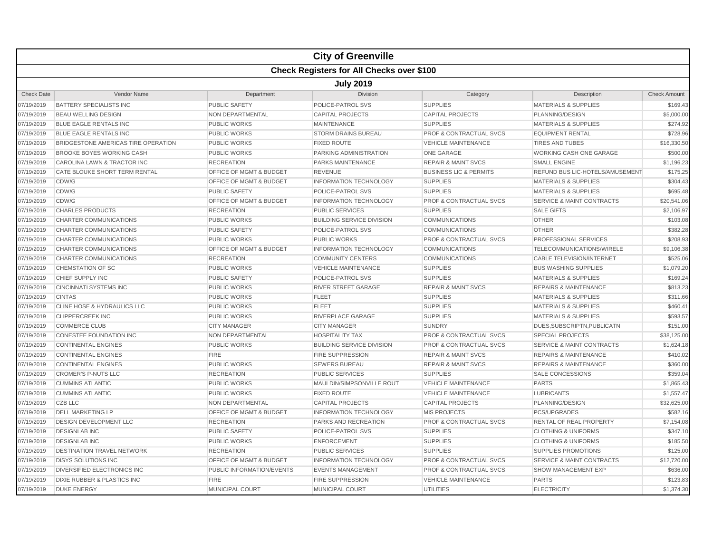|                   |                                                  |                                    | <b>City of Greenville</b>        |                                    |                                      |                     |  |  |  |
|-------------------|--------------------------------------------------|------------------------------------|----------------------------------|------------------------------------|--------------------------------------|---------------------|--|--|--|
|                   | <b>Check Registers for All Checks over \$100</b> |                                    |                                  |                                    |                                      |                     |  |  |  |
|                   | <b>July 2019</b>                                 |                                    |                                  |                                    |                                      |                     |  |  |  |
| <b>Check Date</b> | <b>Vendor Name</b>                               | Department                         | <b>Division</b>                  | Category                           | Description                          | <b>Check Amount</b> |  |  |  |
| 07/19/2019        | <b>BATTERY SPECIALISTS INC</b>                   | <b>PUBLIC SAFETY</b>               | POLICE-PATROL SVS                | <b>SUPPLIES</b>                    | <b>MATERIALS &amp; SUPPLIES</b>      | \$169.43            |  |  |  |
| 07/19/2019        | <b>BEAU WELLING DESIGN</b>                       | NON DEPARTMENTAL                   | <b>CAPITAL PROJECTS</b>          | <b>CAPITAL PROJECTS</b>            | PLANNING/DESIGN                      | \$5,000.00          |  |  |  |
| 07/19/2019        | BLUE EAGLE RENTALS INC                           | <b>PUBLIC WORKS</b>                | <b>MAINTENANCE</b>               | <b>SUPPLIES</b>                    | <b>MATERIALS &amp; SUPPLIES</b>      | \$274.92            |  |  |  |
| 07/19/2019        | <b>BLUE EAGLE RENTALS INC</b>                    | <b>PUBLIC WORKS</b>                | <b>STORM DRAINS BUREAU</b>       | <b>PROF &amp; CONTRACTUAL SVCS</b> | <b>EQUIPMENT RENTAL</b>              | \$728.96            |  |  |  |
| 07/19/2019        | BRIDGESTONE AMERICAS TIRE OPERATION              | <b>PUBLIC WORKS</b>                | <b>FIXED ROUTE</b>               | <b>VEHICLE MAINTENANCE</b>         | <b>TIRES AND TUBES</b>               | \$16,330.50         |  |  |  |
| 07/19/2019        | <b>BROOKE BOYES WORKING CASH</b>                 | <b>PUBLIC WORKS</b>                | PARKING ADMINISTRATION           | <b>ONE GARAGE</b>                  | <b>WORKING CASH ONE GARAGE</b>       | \$500.00            |  |  |  |
| 07/19/2019        | CAROLINA LAWN & TRACTOR INC                      | <b>RECREATION</b>                  | <b>PARKS MAINTENANCE</b>         | <b>REPAIR &amp; MAINT SVCS</b>     | <b>SMALL ENGINE</b>                  | \$1,196.23          |  |  |  |
| 07/19/2019        | <b>CATE BLOUKE SHORT TERM RENTAL</b>             | OFFICE OF MGMT & BUDGET            | <b>REVENUE</b>                   | <b>BUSINESS LIC &amp; PERMITS</b>  | REFUND BUS LIC-HOTELS/AMUSEMENT      | \$175.25            |  |  |  |
| 07/19/2019        | CDW/G                                            | <b>OFFICE OF MGMT &amp; BUDGET</b> | <b>INFORMATION TECHNOLOGY</b>    | <b>SUPPLIES</b>                    | <b>MATERIALS &amp; SUPPLIES</b>      | \$304.43            |  |  |  |
| 07/19/2019        | CDW/G                                            | <b>PUBLIC SAFETY</b>               | POLICE-PATROL SVS                | <b>SUPPLIES</b>                    | <b>MATERIALS &amp; SUPPLIES</b>      | \$695.48            |  |  |  |
| 07/19/2019        | CDW/G                                            | OFFICE OF MGMT & BUDGET            | <b>INFORMATION TECHNOLOGY</b>    | PROF & CONTRACTUAL SVCS            | <b>SERVICE &amp; MAINT CONTRACTS</b> | \$20,541.06         |  |  |  |
| 07/19/2019        | <b>CHARLES PRODUCTS</b>                          | <b>RECREATION</b>                  | <b>PUBLIC SERVICES</b>           | <b>SUPPLIES</b>                    | <b>SALE GIFTS</b>                    | \$2,106.97          |  |  |  |
| 07/19/2019        | CHARTER COMMUNICATIONS                           | <b>PUBLIC WORKS</b>                | <b>BUILDING SERVICE DIVISION</b> | <b>COMMUNICATIONS</b>              | <b>OTHER</b>                         | \$103.08            |  |  |  |
| 07/19/2019        | <b>CHARTER COMMUNICATIONS</b>                    | <b>PUBLIC SAFETY</b>               | POLICE-PATROL SVS                | <b>COMMUNICATIONS</b>              | <b>OTHER</b>                         | \$382.28            |  |  |  |
| 07/19/2019        | CHARTER COMMUNICATIONS                           | <b>PUBLIC WORKS</b>                | <b>PUBLIC WORKS</b>              | <b>PROF &amp; CONTRACTUAL SVCS</b> | PROFESSIONAL SERVICES                | \$208.93            |  |  |  |
| 07/19/2019        | CHARTER COMMUNICATIONS                           | OFFICE OF MGMT & BUDGET            | <b>INFORMATION TECHNOLOGY</b>    | <b>COMMUNICATIONS</b>              | TELECOMMUNICATIONS/WIRELE            | \$9,106.38          |  |  |  |
| 07/19/2019        | CHARTER COMMUNICATIONS                           | <b>RECREATION</b>                  | <b>COMMUNITY CENTERS</b>         | <b>COMMUNICATIONS</b>              | <b>CABLE TELEVISION/INTERNET</b>     | \$525.06            |  |  |  |
| 07/19/2019        | CHEMSTATION OF SC                                | <b>PUBLIC WORKS</b>                | <b>VEHICLE MAINTENANCE</b>       | <b>SUPPLIES</b>                    | <b>BUS WASHING SUPPLIES</b>          | \$1,079.20          |  |  |  |
| 07/19/2019        | CHIEF SUPPLY INC                                 | <b>PUBLIC SAFETY</b>               | <b>POLICE-PATROL SVS</b>         | <b>SUPPLIES</b>                    | <b>MATERIALS &amp; SUPPLIES</b>      | \$169.24            |  |  |  |
| 07/19/2019        | <b>CINCINNATI SYSTEMS INC</b>                    | <b>PUBLIC WORKS</b>                | <b>RIVER STREET GARAGE</b>       | <b>REPAIR &amp; MAINT SVCS</b>     | <b>REPAIRS &amp; MAINTENANCE</b>     | \$813.23            |  |  |  |
| 07/19/2019        | <b>CINTAS</b>                                    | <b>PUBLIC WORKS</b>                | <b>FLEET</b>                     | <b>SUPPLIES</b>                    | <b>MATERIALS &amp; SUPPLIES</b>      | \$311.66            |  |  |  |
| 07/19/2019        | CLINE HOSE & HYDRAULICS LLC                      | <b>PUBLIC WORKS</b>                | <b>FLEET</b>                     | <b>SUPPLIES</b>                    | <b>MATERIALS &amp; SUPPLIES</b>      | \$460.41            |  |  |  |
| 07/19/2019        | <b>CLIPPERCREEK INC</b>                          | <b>PUBLIC WORKS</b>                | RIVERPLACE GARAGE                | <b>SUPPLIES</b>                    | <b>MATERIALS &amp; SUPPLIES</b>      | \$593.57            |  |  |  |
| 07/19/2019        | <b>COMMERCE CLUB</b>                             | <b>CITY MANAGER</b>                | <b>CITY MANAGER</b>              | <b>SUNDRY</b>                      | DUES.SUBSCRIPTN.PUBLICATN            | \$151.00            |  |  |  |
| 07/19/2019        | <b>CONESTEE FOUNDATION INC</b>                   | <b>NON DEPARTMENTAL</b>            | <b>HOSPITALITY TAX</b>           | <b>PROF &amp; CONTRACTUAL SVCS</b> | <b>SPECIAL PROJECTS</b>              | \$38,125.00         |  |  |  |
| 07/19/2019        | <b>CONTINENTAL ENGINES</b>                       | <b>PUBLIC WORKS</b>                | <b>BUILDING SERVICE DIVISION</b> | <b>PROF &amp; CONTRACTUAL SVCS</b> | <b>SERVICE &amp; MAINT CONTRACTS</b> | \$1,624.18          |  |  |  |
| 07/19/2019        | <b>CONTINENTAL ENGINES</b>                       | <b>FIRE</b>                        | <b>FIRE SUPPRESSION</b>          | <b>REPAIR &amp; MAINT SVCS</b>     | <b>REPAIRS &amp; MAINTENANCE</b>     | \$410.02            |  |  |  |
| 07/19/2019        | <b>CONTINENTAL ENGINES</b>                       | PUBLIC WORKS                       | <b>SEWERS BUREAU</b>             | <b>REPAIR &amp; MAINT SVCS</b>     | <b>REPAIRS &amp; MAINTENANCE</b>     | \$360.00            |  |  |  |
| 07/19/2019        | <b>CROMER'S P-NUTS LLC</b>                       | <b>RECREATION</b>                  | <b>PUBLIC SERVICES</b>           | <b>SUPPLIES</b>                    | SALE CONCESSIONS                     | \$359.04            |  |  |  |
| 07/19/2019        | <b>CUMMINS ATLANTIC</b>                          | <b>PUBLIC WORKS</b>                | MAULDIN/SIMPSONVILLE ROUT        | <b>VEHICLE MAINTENANCE</b>         | <b>PARTS</b>                         | \$1,865.43          |  |  |  |
| 07/19/2019        | <b>CUMMINS ATLANTIC</b>                          | <b>PUBLIC WORKS</b>                | <b>FIXED ROUTE</b>               | <b>VEHICLE MAINTENANCE</b>         | <b>LUBRICANTS</b>                    | \$1,557.47          |  |  |  |
| 07/19/2019        | <b>CZB LLC</b>                                   | <b>NON DEPARTMENTAL</b>            | <b>CAPITAL PROJECTS</b>          | <b>CAPITAL PROJECTS</b>            | PLANNING/DESIGN                      | \$32,625.00         |  |  |  |
| 07/19/2019        | <b>DELL MARKETING LP</b>                         | OFFICE OF MGMT & BUDGET            | <b>INFORMATION TECHNOLOGY</b>    | <b>MIS PROJECTS</b>                | <b>PCS/UPGRADES</b>                  | \$582.16            |  |  |  |
| 07/19/2019        | <b>DESIGN DEVELOPMENT LLC</b>                    | <b>RECREATION</b>                  | <b>PARKS AND RECREATION</b>      | <b>PROF &amp; CONTRACTUAL SVCS</b> | RENTAL OF REAL PROPERTY              | \$7,154.08          |  |  |  |
| 07/19/2019        | <b>DESIGNLAB INC</b>                             | <b>PUBLIC SAFETY</b>               | POLICE-PATROL SVS                | <b>SUPPLIES</b>                    | <b>CLOTHING &amp; UNIFORMS</b>       | \$347.10            |  |  |  |
| 07/19/2019        | <b>DESIGNLAB INC</b>                             | <b>PUBLIC WORKS</b>                | <b>ENFORCEMENT</b>               | <b>SUPPLIES</b>                    | <b>CLOTHING &amp; UNIFORMS</b>       | \$185.50            |  |  |  |
| 07/19/2019        | <b>DESTINATION TRAVEL NETWORK</b>                | <b>RECREATION</b>                  | <b>PUBLIC SERVICES</b>           | <b>SUPPLIES</b>                    | <b>SUPPLIES PROMOTIONS</b>           | \$125.00            |  |  |  |
| 07/19/2019        | <b>DISYS SOLUTIONS INC</b>                       | OFFICE OF MGMT & BUDGET            | <b>INFORMATION TECHNOLOGY</b>    | <b>PROF &amp; CONTRACTUAL SVCS</b> | <b>SERVICE &amp; MAINT CONTRACTS</b> | \$12,720.00         |  |  |  |
| 07/19/2019        | DIVERSIFIED ELECTRONICS INC                      | PUBLIC INFORMATION/EVENTS          | <b>EVENTS MANAGEMENT</b>         | <b>PROF &amp; CONTRACTUAL SVCS</b> | SHOW MANAGEMENT EXP                  | \$636.00            |  |  |  |
| 07/19/2019        | <b>DIXIE RUBBER &amp; PLASTICS INC</b>           | <b>FIRE</b>                        | FIRE SUPPRESSION                 | <b>VEHICLE MAINTENANCE</b>         | <b>PARTS</b>                         | \$123.83            |  |  |  |
| 07/19/2019        | <b>DUKE ENERGY</b>                               | <b>MUNICIPAL COURT</b>             | <b>MUNICIPAL COURT</b>           | <b>UTILITIES</b>                   | <b>ELECTRICITY</b>                   | \$1,374.30          |  |  |  |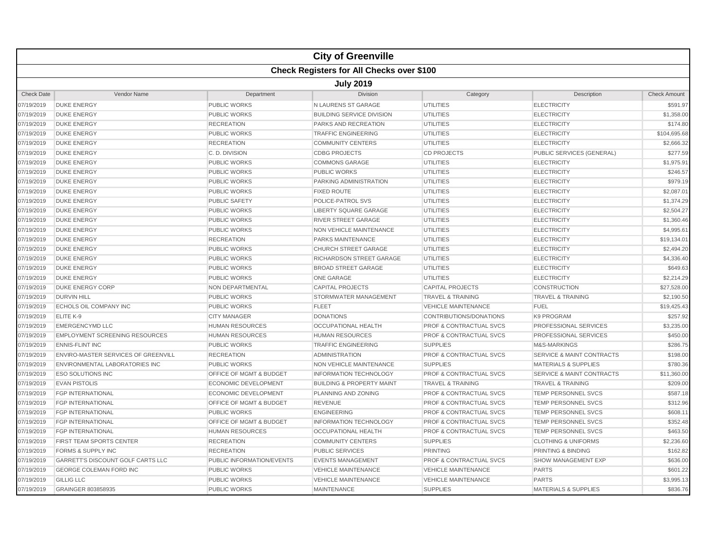|                   |                                                  |                                    | <b>City of Greenville</b>            |                                    |                                      |                     |  |  |  |  |
|-------------------|--------------------------------------------------|------------------------------------|--------------------------------------|------------------------------------|--------------------------------------|---------------------|--|--|--|--|
|                   | <b>Check Registers for All Checks over \$100</b> |                                    |                                      |                                    |                                      |                     |  |  |  |  |
| <b>July 2019</b>  |                                                  |                                    |                                      |                                    |                                      |                     |  |  |  |  |
| <b>Check Date</b> | Vendor Name                                      | Department                         | <b>Division</b>                      | Category                           | Description                          | <b>Check Amount</b> |  |  |  |  |
| 07/19/2019        | <b>DUKE ENERGY</b>                               | <b>PUBLIC WORKS</b>                | N LAURENS ST GARAGE                  | <b>UTILITIES</b>                   | <b>ELECTRICITY</b>                   | \$591.97            |  |  |  |  |
| 07/19/2019        | <b>DUKE ENERGY</b>                               | <b>PUBLIC WORKS</b>                | <b>BUILDING SERVICE DIVISION</b>     | UTILITIES                          | <b>ELECTRICITY</b>                   | \$1,358.00          |  |  |  |  |
| 07/19/2019        | <b>DUKE ENERGY</b>                               | <b>RECREATION</b>                  | PARKS AND RECREATION                 | <b>UTILITIES</b>                   | <b>ELECTRICITY</b>                   | \$174.80            |  |  |  |  |
| 07/19/2019        | <b>DUKE ENERGY</b>                               | <b>PUBLIC WORKS</b>                | <b>TRAFFIC ENGINEERING</b>           | <b>UTILITIES</b>                   | <b>ELECTRICITY</b>                   | \$104,695.68        |  |  |  |  |
| 07/19/2019        | <b>DUKE ENERGY</b>                               | <b>RECREATION</b>                  | <b>COMMUNITY CENTERS</b>             | UTILITIES                          | <b>ELECTRICITY</b>                   | \$2,666.3           |  |  |  |  |
| 07/19/2019        | <b>DUKE ENERGY</b>                               | C. D. DIVISION                     | <b>CDBG PROJECTS</b>                 | <b>CD PROJECTS</b>                 | PUBLIC SERVICES (GENERAL)            | \$277.59            |  |  |  |  |
| 07/19/2019        | <b>DUKE ENERGY</b>                               | <b>PUBLIC WORKS</b>                | <b>COMMONS GARAGE</b>                | <b>UTILITIES</b>                   | <b>ELECTRICITY</b>                   | \$1,975.9           |  |  |  |  |
| 07/19/2019        | <b>DUKE ENERGY</b>                               | <b>PUBLIC WORKS</b>                | <b>PUBLIC WORKS</b>                  | <b>UTILITIES</b>                   | <b>ELECTRICITY</b>                   | \$246.57            |  |  |  |  |
| 07/19/2019        | <b>DUKE ENERGY</b>                               | <b>PUBLIC WORKS</b>                | PARKING ADMINISTRATION               | <b>UTILITIES</b>                   | <b>ELECTRICITY</b>                   | \$979.19            |  |  |  |  |
| 07/19/2019        | <b>DUKE ENERGY</b>                               | <b>PUBLIC WORKS</b>                | <b>FIXED ROUTE</b>                   | <b>UTILITIES</b>                   | <b>ELECTRICITY</b>                   | \$2,087.0           |  |  |  |  |
| 07/19/2019        | <b>DUKE ENERGY</b>                               | <b>PUBLIC SAFETY</b>               | POLICE-PATROL SVS                    | <b>UTILITIES</b>                   | <b>ELECTRICITY</b>                   | \$1,374.29          |  |  |  |  |
| 07/19/2019        | <b>DUKE ENERGY</b>                               | <b>PUBLIC WORKS</b>                | LIBERTY SQUARE GARAGE                | <b>UTILITIES</b>                   | <b>ELECTRICITY</b>                   | \$2,504.27          |  |  |  |  |
| 07/19/2019        | <b>DUKE ENERGY</b>                               | <b>PUBLIC WORKS</b>                | <b>RIVER STREET GARAGE</b>           | <b>UTILITIES</b>                   | <b>ELECTRICITY</b>                   | \$1,360.46          |  |  |  |  |
| 07/19/2019        | <b>DUKE ENERGY</b>                               | <b>PUBLIC WORKS</b>                | NON VEHICLE MAINTENANCE              | UTILITIES                          | <b>ELECTRICITY</b>                   | \$4,995.6           |  |  |  |  |
| 07/19/2019        | <b>DUKE ENERGY</b>                               | <b>RECREATION</b>                  | <b>PARKS MAINTENANCE</b>             | UTILITIES                          | <b>ELECTRICITY</b>                   | \$19,134.0          |  |  |  |  |
| 07/19/2019        | <b>DUKE ENERGY</b>                               | <b>PUBLIC WORKS</b>                | <b>CHURCH STREET GARAGE</b>          | <b>UTILITIES</b>                   | <b>ELECTRICITY</b>                   | \$2,494.20          |  |  |  |  |
| 07/19/2019        | <b>DUKE ENERGY</b>                               | <b>PUBLIC WORKS</b>                | RICHARDSON STREET GARAGE             | <b>UTILITIES</b>                   | <b>ELECTRICITY</b>                   | \$4,336.4           |  |  |  |  |
| 07/19/2019        | <b>DUKE ENERGY</b>                               | <b>PUBLIC WORKS</b>                | <b>BROAD STREET GARAGE</b>           | <b>UTILITIES</b>                   | <b>ELECTRICITY</b>                   | \$649.63            |  |  |  |  |
| 07/19/2019        | <b>DUKE ENERGY</b>                               | <b>PUBLIC WORKS</b>                | <b>ONE GARAGE</b>                    | UTILITIES                          | <b>ELECTRICITY</b>                   | \$2,214.29          |  |  |  |  |
| 07/19/2019        | <b>DUKE ENERGY CORP</b>                          | NON DEPARTMENTAL                   | <b>CAPITAL PROJECTS</b>              | <b>CAPITAL PROJECTS</b>            | <b>CONSTRUCTION</b>                  | \$27,528.00         |  |  |  |  |
| 07/19/2019        | <b>DURVIN HILL</b>                               | <b>PUBLIC WORKS</b>                | STORMWATER MANAGEMENT                | <b>TRAVEL &amp; TRAINING</b>       | <b>TRAVEL &amp; TRAINING</b>         | \$2,190.50          |  |  |  |  |
| 07/19/2019        | <b>ECHOLS OIL COMPANY INC</b>                    | <b>PUBLIC WORKS</b>                | <b>FLEET</b>                         | <b>VEHICLE MAINTENANCE</b>         | <b>FUEL</b>                          | \$19,425.4          |  |  |  |  |
| 07/19/2019        | ELITE K-9                                        | <b>CITY MANAGER</b>                | <b>DONATIONS</b>                     | CONTRIBUTIONS/DONATIONS            | <b>K9 PROGRAM</b>                    | \$257.92            |  |  |  |  |
| 07/19/2019        | <b>EMERGENCYMD LLC</b>                           | <b>HUMAN RESOURCES</b>             | <b>OCCUPATIONAL HEALTH</b>           | <b>PROF &amp; CONTRACTUAL SVCS</b> | <b>PROFESSIONAL SERVICES</b>         | \$3,235.00          |  |  |  |  |
| 07/19/2019        | <b>EMPLOYMENT SCREENING RESOURCES</b>            | <b>HUMAN RESOURCES</b>             | <b>HUMAN RESOURCES</b>               | <b>PROF &amp; CONTRACTUAL SVCS</b> | <b>PROFESSIONAL SERVICES</b>         | \$450.00            |  |  |  |  |
| 07/19/2019        | <b>ENNIS-FLINT INC</b>                           | <b>PUBLIC WORKS</b>                | <b>TRAFFIC ENGINEERING</b>           | <b>SUPPLIES</b>                    | M&S-MARKINGS                         | \$286.7             |  |  |  |  |
| 07/19/2019        | <b>ENVIRO-MASTER SERVICES OF GREENVILL</b>       | <b>RECREATION</b>                  | <b>ADMINISTRATION</b>                | <b>PROF &amp; CONTRACTUAL SVCS</b> | <b>SERVICE &amp; MAINT CONTRACTS</b> | \$198.0             |  |  |  |  |
| 07/19/2019        | <b>ENVIRONMENTAL LABORATORIES INC</b>            | <b>PUBLIC WORKS</b>                | <b>NON VEHICLE MAINTENANCE</b>       | <b>SUPPLIES</b>                    | <b>MATERIALS &amp; SUPPLIES</b>      | \$780.36            |  |  |  |  |
| 07/19/2019        | <b>ESO SOLUTIONS INC</b>                         | <b>OFFICE OF MGMT &amp; BUDGET</b> | <b>INFORMATION TECHNOLOGY</b>        | <b>PROF &amp; CONTRACTUAL SVCS</b> | <b>SERVICE &amp; MAINT CONTRACTS</b> | \$11,360.00         |  |  |  |  |
| 07/19/2019        | <b>EVAN PISTOLIS</b>                             | <b>ECONOMIC DEVELOPMENT</b>        | <b>BUILDING &amp; PROPERTY MAINT</b> | <b>TRAVEL &amp; TRAINING</b>       | <b>TRAVEL &amp; TRAINING</b>         | \$209.00            |  |  |  |  |
| 07/19/2019        | <b>FGP INTERNATIONAL</b>                         | <b>ECONOMIC DEVELOPMENT</b>        | PLANNING AND ZONING                  | <b>PROF &amp; CONTRACTUAL SVCS</b> | <b>TEMP PERSONNEL SVCS</b>           | \$587.1             |  |  |  |  |
| 07/19/2019        | <b>FGP INTERNATIONAL</b>                         | <b>OFFICE OF MGMT &amp; BUDGET</b> | <b>REVENUE</b>                       | <b>PROF &amp; CONTRACTUAL SVCS</b> | <b>TEMP PERSONNEL SVCS</b>           | \$312.96            |  |  |  |  |
| 07/19/2019        | <b>FGP INTERNATIONAL</b>                         | <b>PUBLIC WORKS</b>                | <b>ENGINEERING</b>                   | <b>PROF &amp; CONTRACTUAL SVCS</b> | TEMP PERSONNEL SVCS                  | \$608.1             |  |  |  |  |
| 07/19/2019        | <b>FGP INTERNATIONAL</b>                         | <b>OFFICE OF MGMT &amp; BUDGET</b> | <b>INFORMATION TECHNOLOGY</b>        | <b>PROF &amp; CONTRACTUAL SVCS</b> | <b>TEMP PERSONNEL SVCS</b>           | \$352.48            |  |  |  |  |
| 07/19/2019        | <b>FGP INTERNATIONAL</b>                         | <b>HUMAN RESOURCES</b>             | <b>OCCUPATIONAL HEALTH</b>           | <b>PROF &amp; CONTRACTUAL SVCS</b> | <b>TEMP PERSONNEL SVCS</b>           | \$463.50            |  |  |  |  |
| 07/19/2019        | FIRST TEAM SPORTS CENTER                         | <b>RECREATION</b>                  | <b>COMMUNITY CENTERS</b>             | <b>SUPPLIES</b>                    | <b>CLOTHING &amp; UNIFORMS</b>       | \$2,236.60          |  |  |  |  |
| 07/19/2019        | <b>FORMS &amp; SUPPLY INC</b>                    | <b>RECREATION</b>                  | <b>PUBLIC SERVICES</b>               | PRINTING                           | <b>PRINTING &amp; BINDING</b>        | \$162.82            |  |  |  |  |
| 07/19/2019        | <b>GARRETT'S DISCOUNT GOLF CARTS LLC</b>         | PUBLIC INFORMATION/EVENTS          | <b>EVENTS MANAGEMENT</b>             | <b>PROF &amp; CONTRACTUAL SVCS</b> | <b>SHOW MANAGEMENT EXP</b>           | \$636.00            |  |  |  |  |
| 07/19/2019        | <b>GEORGE COLEMAN FORD INC</b>                   | <b>PUBLIC WORKS</b>                | <b>VEHICLE MAINTENANCE</b>           | <b>VEHICLE MAINTENANCE</b>         | <b>PARTS</b>                         | \$601.22            |  |  |  |  |
| 07/19/2019        | <b>GILLIG LLC</b>                                | <b>PUBLIC WORKS</b>                | <b>VEHICLE MAINTENANCE</b>           | <b>VEHICLE MAINTENANCE</b>         | <b>PARTS</b>                         | \$3,995.1           |  |  |  |  |
| 07/19/2019        | <b>GRAINGER 803858935</b>                        | <b>PUBLIC WORKS</b>                | <b>MAINTENANCE</b>                   | <b>SUPPLIES</b>                    | <b>MATERIALS &amp; SUPPLIES</b>      | \$836.76            |  |  |  |  |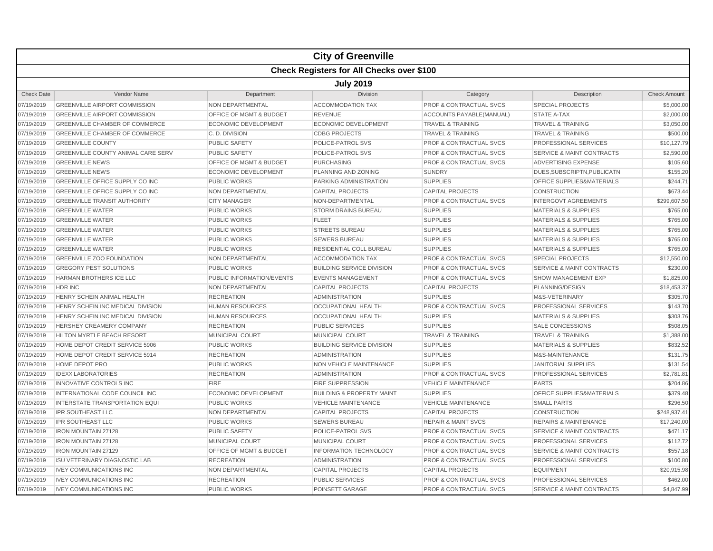|                   |                                                  |                                    | <b>City of Greenville</b>            |                                    |                                      |                     |  |  |  |
|-------------------|--------------------------------------------------|------------------------------------|--------------------------------------|------------------------------------|--------------------------------------|---------------------|--|--|--|
|                   | <b>Check Registers for All Checks over \$100</b> |                                    |                                      |                                    |                                      |                     |  |  |  |
|                   | <b>July 2019</b>                                 |                                    |                                      |                                    |                                      |                     |  |  |  |
| <b>Check Date</b> | Vendor Name                                      | Department                         | <b>Division</b>                      | Category                           | Description                          | <b>Check Amount</b> |  |  |  |
| 07/19/2019        | <b>GREENVILLE AIRPORT COMMISSION</b>             | NON DEPARTMENTAL                   | <b>ACCOMMODATION TAX</b>             | <b>PROF &amp; CONTRACTUAL SVCS</b> | <b>SPECIAL PROJECTS</b>              | \$5,000.00          |  |  |  |
| 07/19/2019        | <b>GREENVILLE AIRPORT COMMISSION</b>             | OFFICE OF MGMT & BUDGET            | <b>REVENUE</b>                       | <b>ACCOUNTS PAYABLE (MANUAL)</b>   | <b>STATE A-TAX</b>                   | \$2,000.00          |  |  |  |
| 07/19/2019        | GREENVILLE CHAMBER OF COMMERCE                   | <b>ECONOMIC DEVELOPMENT</b>        | ECONOMIC DEVELOPMENT                 | <b>TRAVEL &amp; TRAINING</b>       | <b>TRAVEL &amp; TRAINING</b>         | \$3,050.00          |  |  |  |
| 07/19/2019        | <b>GREENVILLE CHAMBER OF COMMERCE</b>            | C.D. DIVISION                      | <b>CDBG PROJECTS</b>                 | <b>TRAVEL &amp; TRAINING</b>       | <b>TRAVEL &amp; TRAINING</b>         | \$500.00            |  |  |  |
| 07/19/2019        | <b>GREENVILLE COUNTY</b>                         | <b>PUBLIC SAFETY</b>               | POLICE-PATROL SVS                    | PROF & CONTRACTUAL SVCS            | PROFESSIONAL SERVICES                | \$10,127.79         |  |  |  |
| 07/19/2019        | <b>GREENVILLE COUNTY ANIMAL CARE SERV</b>        | <b>PUBLIC SAFETY</b>               | <b>POLICE-PATROL SVS</b>             | <b>PROF &amp; CONTRACTUAL SVCS</b> | <b>SERVICE &amp; MAINT CONTRACTS</b> | \$2,590.00          |  |  |  |
| 07/19/2019        | <b>GREENVILLE NEWS</b>                           | <b>OFFICE OF MGMT &amp; BUDGET</b> | <b>PURCHASING</b>                    | <b>PROF &amp; CONTRACTUAL SVCS</b> | <b>ADVERTISING EXPENSE</b>           | \$105.60            |  |  |  |
| 07/19/2019        | <b>GREENVILLE NEWS</b>                           | <b>ECONOMIC DEVELOPMENT</b>        | PLANNING AND ZONING                  | <b>SUNDRY</b>                      | DUES, SUBSCRIPTN, PUBLICATN          | \$155.20            |  |  |  |
| 07/19/2019        | <b>GREENVILLE OFFICE SUPPLY CO INC</b>           | <b>PUBLIC WORKS</b>                | PARKING ADMINISTRATION               | <b>SUPPLIES</b>                    | OFFICE SUPPLIES&MATERIALS            | \$244.71            |  |  |  |
| 07/19/2019        | GREENVILLE OFFICE SUPPLY CO INC                  | NON DEPARTMENTAL                   | <b>CAPITAL PROJECTS</b>              | <b>CAPITAL PROJECTS</b>            | <b>CONSTRUCTION</b>                  | \$673.44            |  |  |  |
| 07/19/2019        | <b>GREENVILLE TRANSIT AUTHORITY</b>              | <b>CITY MANAGER</b>                | NON-DEPARTMENTAL                     | <b>PROF &amp; CONTRACTUAL SVCS</b> | <b>INTERGOVT AGREEMENTS</b>          | \$299,607.50        |  |  |  |
| 07/19/2019        | <b>GREENVILLE WATER</b>                          | <b>PUBLIC WORKS</b>                | <b>STORM DRAINS BUREAU</b>           | <b>SUPPLIES</b>                    | <b>MATERIALS &amp; SUPPLIES</b>      | \$765.00            |  |  |  |
| 07/19/2019        | <b>GREENVILLE WATER</b>                          | <b>PUBLIC WORKS</b>                | <b>FLEET</b>                         | <b>SUPPLIES</b>                    | <b>MATERIALS &amp; SUPPLIES</b>      | \$765.00            |  |  |  |
| 07/19/2019        | <b>GREENVILLE WATER</b>                          | <b>PUBLIC WORKS</b>                | <b>STREETS BUREAU</b>                | <b>SUPPLIES</b>                    | <b>MATERIALS &amp; SUPPLIES</b>      | \$765.00            |  |  |  |
| 07/19/2019        | <b>GREENVILLE WATER</b>                          | <b>PUBLIC WORKS</b>                | <b>SEWERS BUREAU</b>                 | <b>SUPPLIES</b>                    | <b>MATERIALS &amp; SUPPLIES</b>      | \$765.00            |  |  |  |
| 07/19/2019        | <b>GREENVILLE WATER</b>                          | <b>PUBLIC WORKS</b>                | RESIDENTIAL COLL BUREAU              | <b>SUPPLIES</b>                    | <b>MATERIALS &amp; SUPPLIES</b>      | \$765.00            |  |  |  |
| 07/19/2019        | <b>GREENVILLE ZOO FOUNDATION</b>                 | NON DEPARTMENTAL                   | <b>ACCOMMODATION TAX</b>             | PROF & CONTRACTUAL SVCS            | <b>SPECIAL PROJECTS</b>              | \$12,550.00         |  |  |  |
| 07/19/2019        | <b>GREGORY PEST SOLUTIONS</b>                    | <b>PUBLIC WORKS</b>                | <b>BUILDING SERVICE DIVISION</b>     | <b>PROF &amp; CONTRACTUAL SVCS</b> | <b>SERVICE &amp; MAINT CONTRACTS</b> | \$230.00            |  |  |  |
| 07/19/2019        | HARMAN BROTHERS ICE LLC                          | PUBLIC INFORMATION/EVENTS          | <b>EVENTS MANAGEMENT</b>             | <b>PROF &amp; CONTRACTUAL SVCS</b> | <b>SHOW MANAGEMENT EXP</b>           | \$1,825.00          |  |  |  |
| 07/19/2019        | HDR INC                                          | NON DEPARTMENTAL                   | <b>CAPITAL PROJECTS</b>              | <b>CAPITAL PROJECTS</b>            | PLANNING/DESIGN                      | \$18,453.37         |  |  |  |
| 07/19/2019        | HENRY SCHEIN ANIMAL HEALTH                       | <b>RECREATION</b>                  | <b>ADMINISTRATION</b>                | <b>SUPPLIES</b>                    | M&S-VETERINARY                       | \$305.70            |  |  |  |
| 07/19/2019        | HENRY SCHEIN INC MEDICAL DIVISION                | <b>HUMAN RESOURCES</b>             | OCCUPATIONAL HEALTH                  | <b>PROF &amp; CONTRACTUAL SVCS</b> | <b>PROFESSIONAL SERVICES</b>         | \$143.70            |  |  |  |
| 07/19/2019        | HENRY SCHEIN INC MEDICAL DIVISION                | <b>HUMAN RESOURCES</b>             | OCCUPATIONAL HEALTH                  | <b>SUPPLIES</b>                    | <b>MATERIALS &amp; SUPPLIES</b>      | \$303.76            |  |  |  |
| 07/19/2019        | <b>HERSHEY CREAMERY COMPANY</b>                  | <b>RECREATION</b>                  | <b>PUBLIC SERVICES</b>               | <b>SUPPLIES</b>                    | <b>SALE CONCESSIONS</b>              | \$508.05            |  |  |  |
| 07/19/2019        | HILTON MYRTLE BEACH RESORT                       | MUNICIPAL COURT                    | <b>MUNICIPAL COURT</b>               | <b>TRAVEL &amp; TRAINING</b>       | <b>TRAVEL &amp; TRAINING</b>         | \$1,388.00          |  |  |  |
| 07/19/2019        | HOME DEPOT CREDIT SERVICE 5906                   | <b>PUBLIC WORKS</b>                | <b>BUILDING SERVICE DIVISION</b>     | <b>SUPPLIES</b>                    | <b>MATERIALS &amp; SUPPLIES</b>      | \$832.52            |  |  |  |
| 07/19/2019        | HOME DEPOT CREDIT SERVICE 5914                   | <b>RECREATION</b>                  | <b>ADMINISTRATION</b>                | <b>SUPPLIES</b>                    | M&S-MAINTENANCE                      | \$131.75            |  |  |  |
| 07/19/2019        | HOME DEPOT PRO                                   | <b>PUBLIC WORKS</b>                | <b>NON VEHICLE MAINTENANCE</b>       | <b>SUPPLIES</b>                    | <b>JANITORIAL SUPPLIES</b>           | \$131.54            |  |  |  |
| 07/19/2019        | <b>IDEXX LABORATORIES</b>                        | <b>RECREATION</b>                  | <b>ADMINISTRATION</b>                | <b>PROF &amp; CONTRACTUAL SVCS</b> | <b>PROFESSIONAL SERVICES</b>         | \$2,781.81          |  |  |  |
| 07/19/2019        | <b>INNOVATIVE CONTROLS INC</b>                   | <b>FIRE</b>                        | <b>FIRE SUPPRESSION</b>              | <b>VEHICLE MAINTENANCE</b>         | <b>PARTS</b>                         | \$204.86            |  |  |  |
| 07/19/2019        | INTERNATIONAL CODE COUNCIL INC                   | <b>ECONOMIC DEVELOPMENT</b>        | <b>BUILDING &amp; PROPERTY MAINT</b> | <b>SUPPLIES</b>                    | OFFICE SUPPLIES&MATERIALS            | \$379.48            |  |  |  |
| 07/19/2019        | <b>INTERSTATE TRANSPORTATION EQUI</b>            | <b>PUBLIC WORKS</b>                | <b>VEHICLE MAINTENANCE</b>           | <b>VEHICLE MAINTENANCE</b>         | <b>SMALL PARTS</b>                   | \$296.50            |  |  |  |
| 07/19/2019        | <b>IPR SOUTHEAST LLC</b>                         | NON DEPARTMENTAL                   | <b>CAPITAL PROJECTS</b>              | <b>CAPITAL PROJECTS</b>            | <b>CONSTRUCTION</b>                  | \$248.937.41        |  |  |  |
| 07/19/2019        | <b>IPR SOUTHEAST LLC</b>                         | <b>PUBLIC WORKS</b>                | <b>SEWERS BUREAU</b>                 | <b>REPAIR &amp; MAINT SVCS</b>     | <b>REPAIRS &amp; MAINTENANCE</b>     | \$17,240.00         |  |  |  |
| 07/19/2019        | <b>IRON MOUNTAIN 27128</b>                       | <b>PUBLIC SAFETY</b>               | POLICE-PATROL SVS                    | <b>PROF &amp; CONTRACTUAL SVCS</b> | <b>SERVICE &amp; MAINT CONTRACTS</b> | \$471.17            |  |  |  |
| 07/19/2019        | <b>IRON MOUNTAIN 27128</b>                       | <b>MUNICIPAL COURT</b>             | <b>MUNICIPAL COURT</b>               | <b>PROF &amp; CONTRACTUAL SVCS</b> | <b>PROFESSIONAL SERVICES</b>         | \$112.72            |  |  |  |
| 07/19/2019        | <b>IRON MOUNTAIN 27129</b>                       | OFFICE OF MGMT & BUDGET            | <b>INFORMATION TECHNOLOGY</b>        | <b>PROF &amp; CONTRACTUAL SVCS</b> | <b>SERVICE &amp; MAINT CONTRACTS</b> | \$557.18            |  |  |  |
| 07/19/2019        | <b>ISU VETERINARY DIAGNOSTIC LAB</b>             | <b>RECREATION</b>                  | <b>ADMINISTRATION</b>                | <b>PROF &amp; CONTRACTUAL SVCS</b> | PROFESSIONAL SERVICES                | \$100.80            |  |  |  |
| 07/19/2019        | <b>IVEY COMMUNICATIONS INC</b>                   | <b>NON DEPARTMENTAL</b>            | <b>CAPITAL PROJECTS</b>              | <b>CAPITAL PROJECTS</b>            | <b>EQUIPMENT</b>                     | \$20,915.98         |  |  |  |
| 07/19/2019        | <b>IVEY COMMUNICATIONS INC</b>                   | <b>RECREATION</b>                  | <b>PUBLIC SERVICES</b>               | <b>PROF &amp; CONTRACTUAL SVCS</b> | PROFESSIONAL SERVICES                | \$462.00            |  |  |  |
| 07/19/2019        | <b>IVEY COMMUNICATIONS INC</b>                   | <b>PUBLIC WORKS</b>                | POINSETT GARAGE                      | <b>PROF &amp; CONTRACTUAL SVCS</b> | <b>SERVICE &amp; MAINT CONTRACTS</b> | \$4,847.99          |  |  |  |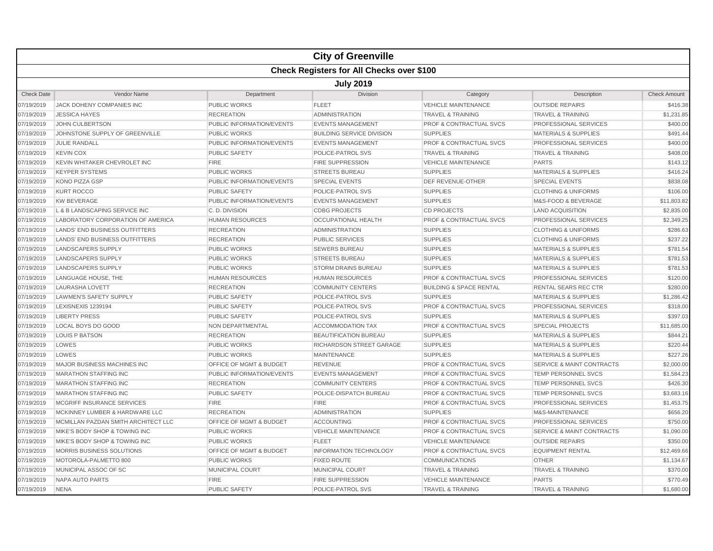|                   |                                                  |                                    | <b>City of Greenville</b>        |                                    |                                      |                     |  |  |  |
|-------------------|--------------------------------------------------|------------------------------------|----------------------------------|------------------------------------|--------------------------------------|---------------------|--|--|--|
|                   | <b>Check Registers for All Checks over \$100</b> |                                    |                                  |                                    |                                      |                     |  |  |  |
|                   | <b>July 2019</b>                                 |                                    |                                  |                                    |                                      |                     |  |  |  |
| <b>Check Date</b> | <b>Vendor Name</b>                               | Department                         | <b>Division</b>                  | Category                           | Description                          | <b>Check Amount</b> |  |  |  |
| 07/19/2019        | <b>JACK DOHENY COMPANIES INC</b>                 | <b>PUBLIC WORKS</b>                | <b>FLEET</b>                     | <b>VEHICLE MAINTENANCE</b>         | <b>OUTSIDE REPAIRS</b>               | \$416.38            |  |  |  |
| 07/19/2019        | <b>JESSICA HAYES</b>                             | <b>RECREATION</b>                  | <b>ADMINISTRATION</b>            | <b>TRAVEL &amp; TRAINING</b>       | <b>TRAVEL &amp; TRAINING</b>         | \$1,231.85          |  |  |  |
| 07/19/2019        | JOHN CULBERTSON                                  | PUBLIC INFORMATION/EVENTS          | <b>EVENTS MANAGEMENT</b>         | <b>PROF &amp; CONTRACTUAL SVCS</b> | PROFESSIONAL SERVICES                | \$400.00            |  |  |  |
| 07/19/2019        | JOHNSTONE SUPPLY OF GREENVILLE                   | <b>PUBLIC WORKS</b>                | <b>BUILDING SERVICE DIVISION</b> | <b>SUPPLIES</b>                    | <b>MATERIALS &amp; SUPPLIES</b>      | \$491.44            |  |  |  |
| 07/19/2019        | <b>JULIE RANDALL</b>                             | PUBLIC INFORMATION/EVENTS          | <b>EVENTS MANAGEMENT</b>         | PROF & CONTRACTUAL SVCS            | PROFESSIONAL SERVICES                | \$400.00            |  |  |  |
| 07/19/2019        | <b>KEVIN COX</b>                                 | <b>PUBLIC SAFETY</b>               | POLICE-PATROL SVS                | <b>TRAVEL &amp; TRAINING</b>       | <b>TRAVEL &amp; TRAINING</b>         | \$408.00            |  |  |  |
| 07/19/2019        | KEVIN WHITAKER CHEVROLET INC                     | FIRE                               | <b>FIRE SUPPRESSION</b>          | <b>VEHICLE MAINTENANCE</b>         | <b>PARTS</b>                         | \$143.12            |  |  |  |
| 07/19/2019        | <b>KEYPER SYSTEMS</b>                            | <b>PUBLIC WORKS</b>                | <b>STREETS BUREAU</b>            | <b>SUPPLIES</b>                    | <b>MATERIALS &amp; SUPPLIES</b>      | \$416.24            |  |  |  |
| 07/19/2019        | <b>KONO PIZZA GSP</b>                            | PUBLIC INFORMATION/EVENTS          | <b>SPECIAL EVENTS</b>            | <b>DEF REVENUE-OTHER</b>           | <b>SPECIAL EVENTS</b>                | \$838.08            |  |  |  |
| 07/19/2019        | <b>KURT ROCCO</b>                                | <b>PUBLIC SAFETY</b>               | POLICE-PATROL SVS                | <b>SUPPLIES</b>                    | <b>CLOTHING &amp; UNIFORMS</b>       | \$106.00            |  |  |  |
| 07/19/2019        | <b>KW BEVERAGE</b>                               | PUBLIC INFORMATION/EVENTS          | <b>EVENTS MANAGEMENT</b>         | <b>SUPPLIES</b>                    | <b>M&amp;S-FOOD &amp; BEVERAGE</b>   | \$11,803.82         |  |  |  |
| 07/19/2019        | L & B LANDSCAPING SERVICE INC                    | C. D. DIVISION                     | <b>CDBG PROJECTS</b>             | <b>CD PROJECTS</b>                 | <b>LAND ACQUISITION</b>              | \$2,835.00          |  |  |  |
| 07/19/2019        | LABORATORY CORPORATION OF AMERICA                | <b>HUMAN RESOURCES</b>             | <b>OCCUPATIONAL HEALTH</b>       | <b>PROF &amp; CONTRACTUAL SVCS</b> | PROFESSIONAL SERVICES                | \$2,349.25          |  |  |  |
| 07/19/2019        | <b>LANDS' END BUSINESS OUTFITTERS</b>            | <b>RECREATION</b>                  | <b>ADMINISTRATION</b>            | <b>SUPPLIES</b>                    | <b>CLOTHING &amp; UNIFORMS</b>       | \$286.63            |  |  |  |
| 07/19/2019        | LANDS' END BUSINESS OUTFITTERS                   | <b>RECREATION</b>                  | <b>PUBLIC SERVICES</b>           | <b>SUPPLIES</b>                    | <b>CLOTHING &amp; UNIFORMS</b>       | \$237.22            |  |  |  |
| 07/19/2019        | <b>LANDSCAPERS SUPPLY</b>                        | <b>PUBLIC WORKS</b>                | <b>SEWERS BUREAU</b>             | <b>SUPPLIES</b>                    | <b>MATERIALS &amp; SUPPLIES</b>      | \$781.54            |  |  |  |
| 07/19/2019        | LANDSCAPERS SUPPLY                               | <b>PUBLIC WORKS</b>                | <b>STREETS BUREAU</b>            | <b>SUPPLIES</b>                    | <b>MATERIALS &amp; SUPPLIES</b>      | \$781.53            |  |  |  |
| 07/19/2019        | <b>LANDSCAPERS SUPPLY</b>                        | <b>PUBLIC WORKS</b>                | <b>STORM DRAINS BUREAU</b>       | <b>SUPPLIES</b>                    | <b>MATERIALS &amp; SUPPLIES</b>      | \$781.53            |  |  |  |
| 07/19/2019        | LANGUAGE HOUSE, THE                              | <b>HUMAN RESOURCES</b>             | <b>HUMAN RESOURCES</b>           | <b>PROF &amp; CONTRACTUAL SVCS</b> | <b>PROFESSIONAL SERVICES</b>         | \$120.00            |  |  |  |
| 07/19/2019        | LAURASHA LOVETT                                  | <b>RECREATION</b>                  | <b>COMMUNITY CENTERS</b>         | <b>BUILDING &amp; SPACE RENTAL</b> | RENTAL SEARS REC CTR                 | \$280.00            |  |  |  |
| 07/19/2019        | <b>LAWMEN'S SAFETY SUPPLY</b>                    | <b>PUBLIC SAFETY</b>               | POLICE-PATROL SVS                | <b>SUPPLIES</b>                    | <b>MATERIALS &amp; SUPPLIES</b>      | \$1,286.42          |  |  |  |
| 07/19/2019        | LEXISNEXIS 1239194                               | <b>PUBLIC SAFETY</b>               | POLICE-PATROL SVS                | <b>PROF &amp; CONTRACTUAL SVCS</b> | PROFESSIONAL SERVICES                | \$318.00            |  |  |  |
| 07/19/2019        | <b>LIBERTY PRESS</b>                             | <b>PUBLIC SAFETY</b>               | POLICE-PATROL SVS                | <b>SUPPLIES</b>                    | <b>MATERIALS &amp; SUPPLIES</b>      | \$397.03            |  |  |  |
| 07/19/2019        | LOCAL BOYS DO GOOD                               | NON DEPARTMENTAL                   | <b>ACCOMMODATION TAX</b>         | <b>PROF &amp; CONTRACTUAL SVCS</b> | <b>SPECIAL PROJECTS</b>              | \$11,685.00         |  |  |  |
| 07/19/2019        | <b>LOUIS P BATSON</b>                            | <b>RECREATION</b>                  | <b>BEAUTIFICATION BUREAU</b>     | <b>SUPPLIES</b>                    | <b>MATERIALS &amp; SUPPLIES</b>      | \$844.21            |  |  |  |
| 07/19/2019        | LOWES                                            | <b>PUBLIC WORKS</b>                | <b>RICHARDSON STREET GARAGE</b>  | <b>SUPPLIES</b>                    | <b>MATERIALS &amp; SUPPLIES</b>      | \$220.44            |  |  |  |
| 07/19/2019        | LOWES                                            | <b>PUBLIC WORKS</b>                | <b>MAINTENANCE</b>               | <b>SUPPLIES</b>                    | <b>MATERIALS &amp; SUPPLIES</b>      | \$227.26            |  |  |  |
| 07/19/2019        | MAJOR BUSINESS MACHINES INC                      | OFFICE OF MGMT & BUDGET            | <b>REVENUE</b>                   | PROF & CONTRACTUAL SVCS            | <b>SERVICE &amp; MAINT CONTRACTS</b> | \$2,000.00          |  |  |  |
| 07/19/2019        | <b>MARATHON STAFFING INC</b>                     | PUBLIC INFORMATION/EVENTS          | <b>EVENTS MANAGEMENT</b>         | <b>PROF &amp; CONTRACTUAL SVCS</b> | <b>TEMP PERSONNEL SVCS</b>           | \$1,584.23          |  |  |  |
| 07/19/2019        | <b>MARATHON STAFFING INC</b>                     | <b>RECREATION</b>                  | <b>COMMUNITY CENTERS</b>         | <b>PROF &amp; CONTRACTUAL SVCS</b> | <b>TEMP PERSONNEL SVCS</b>           | \$426.30            |  |  |  |
| 07/19/2019        | <b>MARATHON STAFFING INC</b>                     | <b>PUBLIC SAFETY</b>               | POLICE-DISPATCH BUREAU           | <b>PROF &amp; CONTRACTUAL SVCS</b> | <b>TEMP PERSONNEL SVCS</b>           | \$3,683.16          |  |  |  |
| 07/19/2019        | MCGRIFF INSURANCE SERVICES                       | FIRE                               | <b>FIRE</b>                      | PROF & CONTRACTUAL SVCS            | PROFESSIONAL SERVICES                | \$1,453.75          |  |  |  |
| 07/19/2019        | MCKINNEY LUMBER & HARDWARE LLC                   | <b>RECREATION</b>                  | <b>ADMINISTRATION</b>            | <b>SUPPLIES</b>                    | M&S-MAINTENANCE                      | \$656.20            |  |  |  |
| 07/19/2019        | MCMILLAN PAZDAN SMITH ARCHITECT LLC              | <b>OFFICE OF MGMT &amp; BUDGET</b> | <b>ACCOUNTING</b>                | <b>PROF &amp; CONTRACTUAL SVCS</b> | <b>PROFESSIONAL SERVICES</b>         | \$750.00            |  |  |  |
| 07/19/2019        | MIKE'S BODY SHOP & TOWING INC                    | <b>PUBLIC WORKS</b>                | <b>VEHICLE MAINTENANCE</b>       | <b>PROF &amp; CONTRACTUAL SVCS</b> | <b>SERVICE &amp; MAINT CONTRACTS</b> | \$1,090.00          |  |  |  |
| 07/19/2019        | MIKE'S BODY SHOP & TOWING INC                    | <b>PUBLIC WORKS</b>                | <b>FLEET</b>                     | <b>VEHICLE MAINTENANCE</b>         | <b>OUTSIDE REPAIRS</b>               | \$350.00            |  |  |  |
| 07/19/2019        | MORRIS BUSINESS SOLUTIONS                        | OFFICE OF MGMT & BUDGET            | <b>INFORMATION TECHNOLOGY</b>    | PROF & CONTRACTUAL SVCS            | <b>EQUIPMENT RENTAL</b>              | \$12,469.66         |  |  |  |
| 07/19/2019        | MOTOROLA-PALMETTO 800                            | <b>PUBLIC WORKS</b>                | <b>FIXED ROUTE</b>               | <b>COMMUNICATIONS</b>              | <b>OTHER</b>                         | \$1,134.67          |  |  |  |
| 07/19/2019        | MUNICIPAL ASSOC OF SC                            | <b>MUNICIPAL COURT</b>             | <b>MUNICIPAL COURT</b>           | <b>TRAVEL &amp; TRAINING</b>       | <b>TRAVEL &amp; TRAINING</b>         | \$370.00            |  |  |  |
| 07/19/2019        | <b>NAPA AUTO PARTS</b>                           | FIRE                               | <b>FIRE SUPPRESSION</b>          | <b>VEHICLE MAINTENANCE</b>         | <b>PARTS</b>                         | \$770.49            |  |  |  |
| 07/19/2019        | <b>NENA</b>                                      | <b>PUBLIC SAFETY</b>               | POLICE-PATROL SVS                | <b>TRAVEL &amp; TRAINING</b>       | <b>TRAVEL &amp; TRAINING</b>         | \$1,680.00          |  |  |  |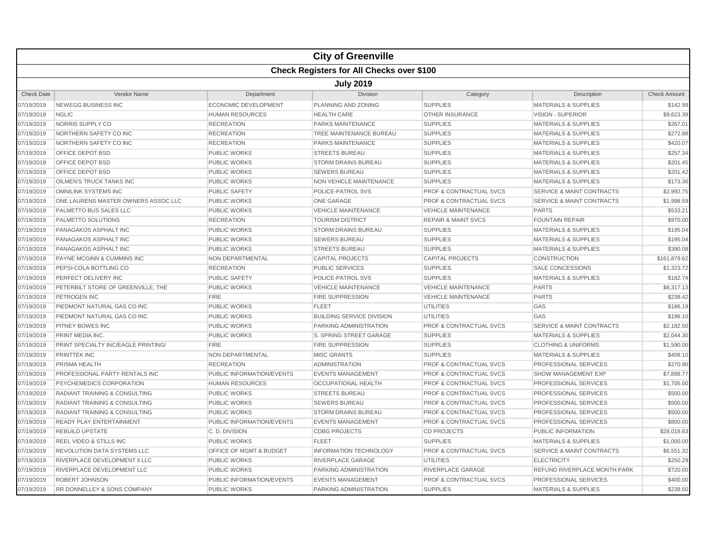|                   |                                                  |                             | <b>City of Greenville</b>        |                                    |                                      |                     |  |  |  |
|-------------------|--------------------------------------------------|-----------------------------|----------------------------------|------------------------------------|--------------------------------------|---------------------|--|--|--|
|                   | <b>Check Registers for All Checks over \$100</b> |                             |                                  |                                    |                                      |                     |  |  |  |
|                   | <b>July 2019</b>                                 |                             |                                  |                                    |                                      |                     |  |  |  |
| <b>Check Date</b> | <b>Vendor Name</b>                               | Department                  | <b>Division</b>                  | Category                           | Description                          | <b>Check Amount</b> |  |  |  |
| 07/19/2019        | <b>NEWEGG BUSINESS INC</b>                       | <b>ECONOMIC DEVELOPMENT</b> | <b>PLANNING AND ZONING</b>       | <b>SUPPLIES</b>                    | <b>MATERIALS &amp; SUPPLIES</b>      | \$142.99            |  |  |  |
| 07/19/2019        | <b>NGLIC</b>                                     | <b>HUMAN RESOURCES</b>      | <b>HEALTH CARE</b>               | <b>OTHER INSURANCE</b>             | <b>VISION - SUPERIOR</b>             | \$9,623.39          |  |  |  |
| 07/19/2019        | NORRIS SUPPLY CO                                 | <b>RECREATION</b>           | PARKS MAINTENANCE                | <b>SUPPLIES</b>                    | <b>MATERIALS &amp; SUPPLIES</b>      | \$267.01            |  |  |  |
| 07/19/2019        | NORTHERN SAFETY CO INC                           | <b>RECREATION</b>           | TREE MAINTENANCE BUREAU          | <b>SUPPLIES</b>                    | <b>MATERIALS &amp; SUPPLIES</b>      | \$272.88            |  |  |  |
| 07/19/2019        | NORTHERN SAFETY CO INC                           | <b>RECREATION</b>           | PARKS MAINTENANCE                | <b>SUPPLIES</b>                    | <b>MATERIALS &amp; SUPPLIES</b>      | \$420.07            |  |  |  |
| 07/19/2019        | OFFICE DEPOT BSD                                 | <b>PUBLIC WORKS</b>         | <b>STREETS BUREAU</b>            | <b>SUPPLIES</b>                    | <b>MATERIALS &amp; SUPPLIES</b>      | \$257.34            |  |  |  |
| 07/19/2019        | OFFICE DEPOT BSD                                 | <b>PUBLIC WORKS</b>         | <b>STORM DRAINS BUREAU</b>       | <b>SUPPLIES</b>                    | <b>MATERIALS &amp; SUPPLIES</b>      | \$201.45            |  |  |  |
| 07/19/2019        | OFFICE DEPOT BSD                                 | <b>PUBLIC WORKS</b>         | <b>SEWERS BUREAU</b>             | <b>SUPPLIES</b>                    | <b>MATERIALS &amp; SUPPLIES</b>      | \$201.42            |  |  |  |
| 07/19/2019        | <b>OILMEN'S TRUCK TANKS INC</b>                  | <b>PUBLIC WORKS</b>         | <b>NON VEHICLE MAINTENANCE</b>   | <b>SUPPLIES</b>                    | <b>MATERIALS &amp; SUPPLIES</b>      | \$173.36            |  |  |  |
| 07/19/2019        | <b>OMNILINK SYSTEMS INC</b>                      | <b>PUBLIC SAFETY</b>        | POLICE-PATROL SVS                | <b>PROF &amp; CONTRACTUAL SVCS</b> | <b>SERVICE &amp; MAINT CONTRACTS</b> | \$2,992.75          |  |  |  |
| 07/19/2019        | ONE LAURENS MASTER OWNERS ASSOC LLC              | <b>PUBLIC WORKS</b>         | <b>ONE GARAGE</b>                | <b>PROF &amp; CONTRACTUAL SVCS</b> | <b>SERVICE &amp; MAINT CONTRACTS</b> | \$1,998.59          |  |  |  |
| 07/19/2019        | PALMETTO BUS SALES LLC                           | <b>PUBLIC WORKS</b>         | <b>VEHICLE MAINTENANCE</b>       | <b>VEHICLE MAINTENANCE</b>         | <b>PARTS</b>                         | \$533.21            |  |  |  |
| 07/19/2019        | PALMETTO SOLUTIONS                               | <b>RECREATION</b>           | <b>TOURISM DISTRICT</b>          | <b>REPAIR &amp; MAINT SVCS</b>     | <b>FOUNTAIN REPAIR</b>               | \$970.00            |  |  |  |
| 07/19/2019        | PANAGAKOS ASPHALT INC                            | <b>PUBLIC WORKS</b>         | <b>STORM DRAINS BUREAU</b>       | <b>SUPPLIES</b>                    | <b>MATERIALS &amp; SUPPLIES</b>      | \$195.04            |  |  |  |
| 07/19/2019        | PANAGAKOS ASPHALT INC                            | <b>PUBLIC WORKS</b>         | <b>SEWERS BUREAU</b>             | <b>SUPPLIES</b>                    | <b>MATERIALS &amp; SUPPLIES</b>      | \$195.04            |  |  |  |
| 07/19/2019        | PANAGAKOS ASPHALT INC                            | <b>PUBLIC WORKS</b>         | <b>STREETS BUREAU</b>            | <b>SUPPLIES</b>                    | <b>MATERIALS &amp; SUPPLIES</b>      | \$390.08            |  |  |  |
| 07/19/2019        | PAYNE MCGINN & CUMMINS INC                       | NON DEPARTMENTAL            | <b>CAPITAL PROJECTS</b>          | <b>CAPITAL PROJECTS</b>            | <b>CONSTRUCTION</b>                  | \$161,879.62        |  |  |  |
| 07/19/2019        | PEPSI-COLA BOTTLING CO                           | <b>RECREATION</b>           | <b>PUBLIC SERVICES</b>           | <b>SUPPLIES</b>                    | <b>SALE CONCESSIONS</b>              | \$1,323.72          |  |  |  |
| 07/19/2019        | PERFECT DELIVERY INC                             | <b>PUBLIC SAFETY</b>        | POLICE-PATROL SVS                | <b>SUPPLIES</b>                    | <b>MATERIALS &amp; SUPPLIES</b>      | \$182.74            |  |  |  |
| 07/19/2019        | PETERBILT STORE OF GREENVILLE, THE               | <b>PUBLIC WORKS</b>         | <b>VEHICLE MAINTENANCE</b>       | <b>VEHICLE MAINTENANCE</b>         | <b>PARTS</b>                         | \$8,317.13          |  |  |  |
| 07/19/2019        | PETROGEN INC                                     | <b>FIRE</b>                 | <b>FIRE SUPPRESSION</b>          | <b>VEHICLE MAINTENANCE</b>         | <b>PARTS</b>                         | \$238.42            |  |  |  |
| 07/19/2019        | PIEDMONT NATURAL GAS CO INC                      | <b>PUBLIC WORKS</b>         | <b>FLEET</b>                     | <b>UTILITIES</b>                   | GAS                                  | \$186.19            |  |  |  |
| 07/19/2019        | PIEDMONT NATURAL GAS CO INC                      | <b>PUBLIC WORKS</b>         | <b>BUILDING SERVICE DIVISION</b> | UTILITIES                          | GAS                                  | \$196.10            |  |  |  |
| 07/19/2019        | <b>PITNEY BOWES INC</b>                          | <b>PUBLIC WORKS</b>         | PARKING ADMINISTRATION           | <b>PROF &amp; CONTRACTUAL SVCS</b> | <b>SERVICE &amp; MAINT CONTRACTS</b> | \$2,182.50          |  |  |  |
| 07/19/2019        | PRINT MEDIA INC.                                 | <b>PUBLIC WORKS</b>         | S. SPRING STREET GARAGE          | <b>SUPPLIES</b>                    | <b>MATERIALS &amp; SUPPLIES</b>      | \$2,044.30          |  |  |  |
| 07/19/2019        | PRINT SPECIALTY INC/EAGLE PRINTING/              | <b>FIRE</b>                 | <b>FIRE SUPPRESSION</b>          | <b>SUPPLIES</b>                    | <b>CLOTHING &amp; UNIFORMS</b>       | \$1,590.00          |  |  |  |
| 07/19/2019        | <b>PRINTTEK INC</b>                              | NON DEPARTMENTAL            | <b>MISC GRANTS</b>               | <b>SUPPLIES</b>                    | <b>MATERIALS &amp; SUPPLIES</b>      | \$408.10            |  |  |  |
| 07/19/2019        | PRISMA HEALTH                                    | <b>RECREATION</b>           | <b>ADMINISTRATION</b>            | PROF & CONTRACTUAL SVCS            | PROFESSIONAL SERVICES                | \$270.90            |  |  |  |
| 07/19/2019        | PROFESSIONAL PARTY RENTALS INC                   | PUBLIC INFORMATION/EVENTS   | <b>EVENTS MANAGEMENT</b>         | <b>PROF &amp; CONTRACTUAL SVCS</b> | <b>SHOW MANAGEMENT EXP</b>           | \$7,898.77          |  |  |  |
| 07/19/2019        | PSYCHEMEDICS CORPORATION                         | <b>HUMAN RESOURCES</b>      | <b>OCCUPATIONAL HEALTH</b>       | <b>PROF &amp; CONTRACTUAL SVCS</b> | PROFESSIONAL SERVICES                | \$1,705.00          |  |  |  |
| 07/19/2019        | RADIANT TRAINING & CONSULTING                    | <b>PUBLIC WORKS</b>         | <b>STREETS BUREAU</b>            | <b>PROF &amp; CONTRACTUAL SVCS</b> | PROFESSIONAL SERVICES                | \$500.00            |  |  |  |
| 07/19/2019        | RADIANT TRAINING & CONSULTING                    | <b>PUBLIC WORKS</b>         | <b>SEWERS BUREAU</b>             | <b>PROF &amp; CONTRACTUAL SVCS</b> | PROFESSIONAL SERVICES                | \$500.00            |  |  |  |
| 07/19/2019        | <b>RADIANT TRAINING &amp; CONSULTING</b>         | <b>PUBLIC WORKS</b>         | <b>STORM DRAINS BUREAU</b>       | <b>PROF &amp; CONTRACTUAL SVCS</b> | <b>PROFESSIONAL SERVICES</b>         | \$500.00            |  |  |  |
| 07/19/2019        | <b>READY PLAY ENTERTAINMENT</b>                  | PUBLIC INFORMATION/EVENTS   | <b>EVENTS MANAGEMENT</b>         | <b>PROF &amp; CONTRACTUAL SVCS</b> | <b>PROFESSIONAL SERVICES</b>         | \$800.00            |  |  |  |
| 07/19/2019        | <b>REBUILD UPSTATE</b>                           | C. D. DIVISION              | <b>CDBG PROJECTS</b>             | <b>CD PROJECTS</b>                 | PUBLIC INFORMATION                   | \$28,018.63         |  |  |  |
| 07/19/2019        | <b>REEL VIDEO &amp; STILLS INC</b>               | <b>PUBLIC WORKS</b>         | <b>FLEET</b>                     | <b>SUPPLIES</b>                    | <b>MATERIALS &amp; SUPPLIES</b>      | \$1,000.00          |  |  |  |
| 07/19/2019        | REVOLUTION DATA SYSTEMS LLC                      | OFFICE OF MGMT & BUDGET     | <b>INFORMATION TECHNOLOGY</b>    | PROF & CONTRACTUAL SVCS            | <b>SERVICE &amp; MAINT CONTRACTS</b> | \$6,551.32          |  |  |  |
| 07/19/2019        | RIVERPLACE DEVELOPMENT II LLC                    | <b>PUBLIC WORKS</b>         | RIVERPLACE GARAGE                | <b>UTILITIES</b>                   | <b>ELECTRICITY</b>                   | \$250.29            |  |  |  |
| 07/19/2019        | RIVERPLACE DEVELOPMENT LLC                       | <b>PUBLIC WORKS</b>         | PARKING ADMINISTRATION           | <b>RIVERPLACE GARAGE</b>           | REFUND RIVERPLACE MONTH PARK         | \$720.00            |  |  |  |
| 07/19/2019        | <b>ROBERT JOHNSON</b>                            | PUBLIC INFORMATION/EVENTS   | <b>EVENTS MANAGEMENT</b>         | <b>PROF &amp; CONTRACTUAL SVCS</b> | PROFESSIONAL SERVICES                | \$400.00            |  |  |  |
| 07/19/2019        | <b>RR DONNELLEY &amp; SONS COMPANY</b>           | <b>PUBLIC WORKS</b>         | <b>PARKING ADMINISTRATION</b>    | <b>SUPPLIES</b>                    | <b>MATERIALS &amp; SUPPLIES</b>      | \$238.50            |  |  |  |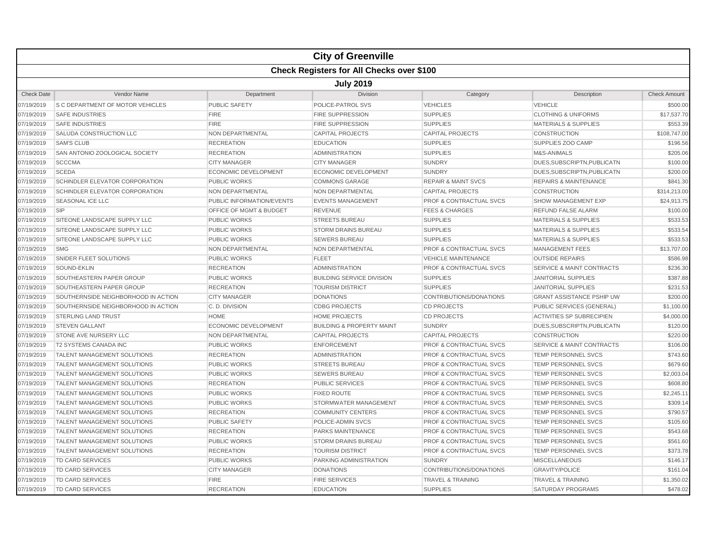|                   |                                                  |                                    | <b>City of Greenville</b>            |                                    |                                      |                     |  |  |  |
|-------------------|--------------------------------------------------|------------------------------------|--------------------------------------|------------------------------------|--------------------------------------|---------------------|--|--|--|
|                   | <b>Check Registers for All Checks over \$100</b> |                                    |                                      |                                    |                                      |                     |  |  |  |
|                   | <b>July 2019</b>                                 |                                    |                                      |                                    |                                      |                     |  |  |  |
| <b>Check Date</b> | Vendor Name                                      | Department                         | Division                             | Category                           | Description                          | <b>Check Amount</b> |  |  |  |
| 07/19/2019        | S C DEPARTMENT OF MOTOR VEHICLES                 | PUBLIC SAFETY                      | POLICE-PATROL SVS                    | <b>VEHICLES</b>                    | <b>VEHICLE</b>                       | \$500.00            |  |  |  |
| 07/19/2019        | <b>SAFE INDUSTRIES</b>                           | <b>FIRE</b>                        | <b>FIRE SUPPRESSION</b>              | <b>SUPPLIES</b>                    | <b>CLOTHING &amp; UNIFORMS</b>       | \$17,537.70         |  |  |  |
| 07/19/2019        | <b>SAFE INDUSTRIES</b>                           | <b>FIRE</b>                        | <b>FIRE SUPPRESSION</b>              | <b>SUPPLIES</b>                    | <b>MATERIALS &amp; SUPPLIES</b>      | \$553.39            |  |  |  |
| 07/19/2019        | SALUDA CONSTRUCTION LLC                          | NON DEPARTMENTAL                   | <b>CAPITAL PROJECTS</b>              | <b>CAPITAL PROJECTS</b>            | <b>CONSTRUCTION</b>                  | \$108,747.00        |  |  |  |
| 07/19/2019        | <b>SAM'S CLUB</b>                                | <b>RECREATION</b>                  | <b>EDUCATION</b>                     | <b>SUPPLIES</b>                    | SUPPLIES ZOO CAMP                    | \$196.56            |  |  |  |
| 07/19/2019        | SAN ANTONIO ZOOLOGICAL SOCIETY                   | <b>RECREATION</b>                  | <b>ADMINISTRATION</b>                | <b>SUPPLIES</b>                    | M&S-ANIMALS                          | \$205.06            |  |  |  |
| 07/19/2019        | <b>SCCCMA</b>                                    | <b>CITY MANAGER</b>                | <b>CITY MANAGER</b>                  | <b>SUNDRY</b>                      | DUES, SUBSCRIPTN, PUBLICATN          | \$100.00            |  |  |  |
| 07/19/2019        | <b>SCEDA</b>                                     | <b>ECONOMIC DEVELOPMENT</b>        | <b>ECONOMIC DEVELOPMENT</b>          | <b>SUNDRY</b>                      | DUES, SUBSCRIPTN, PUBLICATN          | \$200.00            |  |  |  |
| 07/19/2019        | SCHINDLER ELEVATOR CORPORATION                   | <b>PUBLIC WORKS</b>                | <b>COMMONS GARAGE</b>                | <b>REPAIR &amp; MAINT SVCS</b>     | <b>REPAIRS &amp; MAINTENANCE</b>     | \$841.30            |  |  |  |
| 07/19/2019        | SCHINDLER ELEVATOR CORPORATION                   | <b>NON DEPARTMENTAL</b>            | <b>NON DEPARTMENTAL</b>              | <b>CAPITAL PROJECTS</b>            | <b>CONSTRUCTION</b>                  | \$314,213.00        |  |  |  |
| 07/19/2019        | <b>SEASONAL ICE LLC</b>                          | PUBLIC INFORMATION/EVENTS          | <b>EVENTS MANAGEMENT</b>             | <b>PROF &amp; CONTRACTUAL SVCS</b> | <b>SHOW MANAGEMENT EXP</b>           | \$24,913.75         |  |  |  |
| 07/19/2019        | <b>SIP</b>                                       | <b>OFFICE OF MGMT &amp; BUDGET</b> | <b>REVENUE</b>                       | <b>FEES &amp; CHARGES</b>          | <b>REFUND FALSE ALARM</b>            | \$100.00            |  |  |  |
| 07/19/2019        | SITEONE LANDSCAPE SUPPLY LLC                     | PUBLIC WORKS                       | <b>STREETS BUREAU</b>                | <b>SUPPLIES</b>                    | <b>MATERIALS &amp; SUPPLIES</b>      | \$533.53            |  |  |  |
| 07/19/2019        | SITEONE LANDSCAPE SUPPLY LLC                     | <b>PUBLIC WORKS</b>                | <b>STORM DRAINS BUREAU</b>           | <b>SUPPLIES</b>                    | <b>MATERIALS &amp; SUPPLIES</b>      | \$533.54            |  |  |  |
| 07/19/2019        | SITEONE LANDSCAPE SUPPLY LLC                     | <b>PUBLIC WORKS</b>                | <b>SEWERS BUREAU</b>                 | <b>SUPPLIES</b>                    | <b>MATERIALS &amp; SUPPLIES</b>      | \$533.53            |  |  |  |
| 07/19/2019        | <b>SMG</b>                                       | NON DEPARTMENTAL                   | NON DEPARTMENTAL                     | <b>PROF &amp; CONTRACTUAL SVCS</b> | <b>MANAGEMENT FEES</b>               | \$13,707.00         |  |  |  |
| 07/19/2019        | SNIDER FLEET SOLUTIONS                           | <b>PUBLIC WORKS</b>                | <b>FLEET</b>                         | <b>VEHICLE MAINTENANCE</b>         | <b>OUTSIDE REPAIRS</b>               | \$586.98            |  |  |  |
| 07/19/2019        | SOUND-EKLIN                                      | <b>RECREATION</b>                  | <b>ADMINISTRATION</b>                | <b>PROF &amp; CONTRACTUAL SVCS</b> | <b>SERVICE &amp; MAINT CONTRACTS</b> | \$236.30            |  |  |  |
| 07/19/2019        | SOUTHEASTERN PAPER GROUP                         | <b>PUBLIC WORKS</b>                | <b>BUILDING SERVICE DIVISION</b>     | <b>SUPPLIES</b>                    | <b>JANITORIAL SUPPLIES</b>           | \$387.88            |  |  |  |
| 07/19/2019        | SOUTHEASTERN PAPER GROUP                         | <b>RECREATION</b>                  | <b>TOURISM DISTRICT</b>              | <b>SUPPLIES</b>                    | <b>JANITORIAL SUPPLIES</b>           | \$231.53            |  |  |  |
| 07/19/2019        | SOUTHERNSIDE NEIGHBORHOOD IN ACTION              | <b>CITY MANAGER</b>                | <b>DONATIONS</b>                     | CONTRIBUTIONS/DONATIONS            | <b>GRANT ASSISTANCE PSHIP UW</b>     | \$200.00            |  |  |  |
| 07/19/2019        | SOUTHERNSIDE NEIGHBORHOOD IN ACTION              | C. D. DIVISION                     | <b>CDBG PROJECTS</b>                 | <b>CD PROJECTS</b>                 | PUBLIC SERVICES (GENERAL)            | \$1,100.00          |  |  |  |
| 07/19/2019        | <b>STERLING LAND TRUST</b>                       | <b>HOME</b>                        | <b>HOME PROJECTS</b>                 | <b>CD PROJECTS</b>                 | <b>ACTIVITIES SP SUBRECIPIEN</b>     | \$4,000.00          |  |  |  |
| 07/19/2019        | <b>STEVEN GALLANT</b>                            | <b>ECONOMIC DEVELOPMENT</b>        | <b>BUILDING &amp; PROPERTY MAINT</b> | <b>SUNDRY</b>                      | DUES.SUBSCRIPTN.PUBLICATN            | \$120.00            |  |  |  |
| 07/19/2019        | <b>STONE AVE NURSERY LLC</b>                     | NON DEPARTMENTAL                   | <b>CAPITAL PROJECTS</b>              | <b>CAPITAL PROJECTS</b>            | <b>CONSTRUCTION</b>                  | \$220.00            |  |  |  |
| 07/19/2019        | <b>T2 SYSTEMS CANADA INC</b>                     | <b>PUBLIC WORKS</b>                | <b>ENFORCEMENT</b>                   | <b>PROF &amp; CONTRACTUAL SVCS</b> | <b>SERVICE &amp; MAINT CONTRACTS</b> | \$106.00            |  |  |  |
| 07/19/2019        | TALENT MANAGEMENT SOLUTIONS                      | <b>RECREATION</b>                  | <b>ADMINISTRATION</b>                | <b>PROF &amp; CONTRACTUAL SVCS</b> | <b>TEMP PERSONNEL SVCS</b>           | \$743.60            |  |  |  |
| 07/19/2019        | <b>TALENT MANAGEMENT SOLUTIONS</b>               | <b>PUBLIC WORKS</b>                | <b>STREETS BUREAU</b>                | <b>PROF &amp; CONTRACTUAL SVCS</b> | <b>TEMP PERSONNEL SVCS</b>           | \$679.60            |  |  |  |
| 07/19/2019        | <b>TALENT MANAGEMENT SOLUTIONS</b>               | <b>PUBLIC WORKS</b>                | <b>SEWERS BUREAU</b>                 | <b>PROF &amp; CONTRACTUAL SVCS</b> | <b>TEMP PERSONNEL SVCS</b>           | \$2,003.04          |  |  |  |
| 07/19/2019        | TALENT MANAGEMENT SOLUTIONS                      | <b>RECREATION</b>                  | <b>PUBLIC SERVICES</b>               | <b>PROF &amp; CONTRACTUAL SVCS</b> | <b>TEMP PERSONNEL SVCS</b>           | \$608.80            |  |  |  |
| 07/19/2019        | TALENT MANAGEMENT SOLUTIONS                      | <b>PUBLIC WORKS</b>                | <b>FIXED ROUTE</b>                   | <b>PROF &amp; CONTRACTUAL SVCS</b> | <b>TEMP PERSONNEL SVCS</b>           | \$2,245.11          |  |  |  |
| 07/19/2019        | TALENT MANAGEMENT SOLUTIONS                      | <b>PUBLIC WORKS</b>                | STORMWATER MANAGEMENT                | <b>PROF &amp; CONTRACTUAL SVCS</b> | TEMP PERSONNEL SVCS                  | \$309.14            |  |  |  |
| 07/19/2019        | TALENT MANAGEMENT SOLUTIONS                      | <b>RECREATION</b>                  | <b>COMMUNITY CENTERS</b>             | <b>PROF &amp; CONTRACTUAL SVCS</b> | <b>TEMP PERSONNEL SVCS</b>           | \$790.57            |  |  |  |
| 07/19/2019        | TALENT MANAGEMENT SOLUTIONS                      | <b>PUBLIC SAFETY</b>               | POLICE-ADMIN SVCS                    | <b>PROF &amp; CONTRACTUAL SVCS</b> | <b>TEMP PERSONNEL SVCS</b>           | \$105.60            |  |  |  |
| 07/19/2019        | TALENT MANAGEMENT SOLUTIONS                      | <b>RECREATION</b>                  | <b>PARKS MAINTENANCE</b>             | <b>PROF &amp; CONTRACTUAL SVCS</b> | <b>TEMP PERSONNEL SVCS</b>           | \$543.68            |  |  |  |
| 07/19/2019        | <b>TALENT MANAGEMENT SOLUTIONS</b>               | <b>PUBLIC WORKS</b>                | <b>STORM DRAINS BUREAU</b>           | <b>PROF &amp; CONTRACTUAL SVCS</b> | <b>TEMP PERSONNEL SVCS</b>           | \$561.60            |  |  |  |
| 07/19/2019        | TALENT MANAGEMENT SOLUTIONS                      | <b>RECREATION</b>                  | <b>TOURISM DISTRICT</b>              | <b>PROF &amp; CONTRACTUAL SVCS</b> | <b>TEMP PERSONNEL SVCS</b>           | \$373.78            |  |  |  |
| 07/19/2019        | TD CARD SERVICES                                 | <b>PUBLIC WORKS</b>                | PARKING ADMINISTRATION               | <b>SUNDRY</b>                      | <b>MISCELLANEOUS</b>                 | \$146.17            |  |  |  |
| 07/19/2019        | <b>TD CARD SERVICES</b>                          | <b>CITY MANAGER</b>                | <b>DONATIONS</b>                     | CONTRIBUTIONS/DONATIONS            | <b>GRAVITY/POLICE</b>                | \$161.04            |  |  |  |
| 07/19/2019        | TD CARD SERVICES                                 | <b>FIRE</b>                        | <b>FIRE SERVICES</b>                 | <b>TRAVEL &amp; TRAINING</b>       | <b>TRAVEL &amp; TRAINING</b>         | \$1,350.02          |  |  |  |
| 07/19/2019        | <b>TD CARD SERVICES</b>                          | <b>RECREATION</b>                  | <b>EDUCATION</b>                     | <b>SUPPLIES</b>                    | <b>SATURDAY PROGRAMS</b>             | \$478.02            |  |  |  |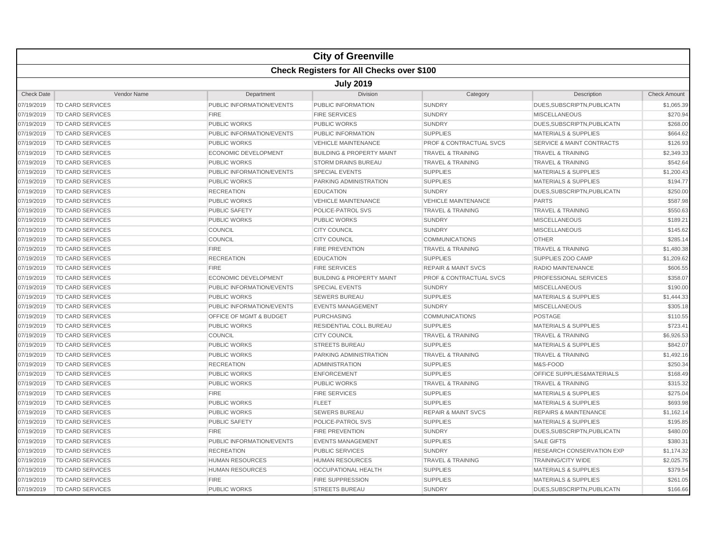|                   |                                                  |                             | <b>City of Greenville</b>            |                                    |                                      |                     |  |  |  |
|-------------------|--------------------------------------------------|-----------------------------|--------------------------------------|------------------------------------|--------------------------------------|---------------------|--|--|--|
|                   | <b>Check Registers for All Checks over \$100</b> |                             |                                      |                                    |                                      |                     |  |  |  |
|                   | <b>July 2019</b>                                 |                             |                                      |                                    |                                      |                     |  |  |  |
| <b>Check Date</b> | Vendor Name                                      | Department                  | Division                             | Category                           | Description                          | <b>Check Amount</b> |  |  |  |
| 07/19/2019        | TD CARD SERVICES                                 | PUBLIC INFORMATION/EVENTS   | PUBLIC INFORMATION                   | <b>SUNDRY</b>                      | DUES, SUBSCRIPTN, PUBLICATN          | \$1,065.39          |  |  |  |
| 07/19/2019        | <b>TD CARD SERVICES</b>                          | <b>FIRE</b>                 | <b>FIRE SERVICES</b>                 | <b>SUNDRY</b>                      | <b>MISCELLANEOUS</b>                 | \$270.94            |  |  |  |
| 07/19/2019        | TD CARD SERVICES                                 | <b>PUBLIC WORKS</b>         | PUBLIC WORKS                         | <b>SUNDRY</b>                      | DUES, SUBSCRIPTN, PUBLICATN          | \$268.00            |  |  |  |
| 07/19/2019        | <b>TD CARD SERVICES</b>                          | PUBLIC INFORMATION/EVENTS   | PUBLIC INFORMATION                   | <b>SUPPLIES</b>                    | <b>MATERIALS &amp; SUPPLIES</b>      | \$664.62            |  |  |  |
| 07/19/2019        | <b>TD CARD SERVICES</b>                          | <b>PUBLIC WORKS</b>         | <b>VEHICLE MAINTENANCE</b>           | <b>PROF &amp; CONTRACTUAL SVCS</b> | <b>SERVICE &amp; MAINT CONTRACTS</b> | \$126.93            |  |  |  |
| 07/19/2019        | TD CARD SERVICES                                 | <b>ECONOMIC DEVELOPMENT</b> | <b>BUILDING &amp; PROPERTY MAINT</b> | <b>TRAVEL &amp; TRAINING</b>       | <b>TRAVEL &amp; TRAINING</b>         | \$2,349.33          |  |  |  |
| 07/19/2019        | <b>TD CARD SERVICES</b>                          | <b>PUBLIC WORKS</b>         | <b>STORM DRAINS BUREAU</b>           | <b>TRAVEL &amp; TRAINING</b>       | <b>TRAVEL &amp; TRAINING</b>         | \$542.64            |  |  |  |
| 07/19/2019        | <b>TD CARD SERVICES</b>                          | PUBLIC INFORMATION/EVENTS   | <b>SPECIAL EVENTS</b>                | <b>SUPPLIES</b>                    | <b>MATERIALS &amp; SUPPLIES</b>      | \$1,200.43          |  |  |  |
| 07/19/2019        | <b>TD CARD SERVICES</b>                          | <b>PUBLIC WORKS</b>         | PARKING ADMINISTRATION               | <b>SUPPLIES</b>                    | <b>MATERIALS &amp; SUPPLIES</b>      | \$194.77            |  |  |  |
| 07/19/2019        | <b>TD CARD SERVICES</b>                          | <b>RECREATION</b>           | <b>EDUCATION</b>                     | <b>SUNDRY</b>                      | DUES, SUBSCRIPTN, PUBLICATN          | \$250.00            |  |  |  |
| 07/19/2019        | TD CARD SERVICES                                 | <b>PUBLIC WORKS</b>         | <b>VEHICLE MAINTENANCE</b>           | <b>VEHICLE MAINTENANCE</b>         | <b>PARTS</b>                         | \$587.98            |  |  |  |
| 07/19/2019        | <b>TD CARD SERVICES</b>                          | <b>PUBLIC SAFETY</b>        | POLICE-PATROL SVS                    | <b>TRAVEL &amp; TRAINING</b>       | <b>TRAVEL &amp; TRAINING</b>         | \$550.63            |  |  |  |
| 07/19/2019        | <b>TD CARD SERVICES</b>                          | <b>PUBLIC WORKS</b>         | <b>PUBLIC WORKS</b>                  | <b>SUNDRY</b>                      | <b>MISCELLANEOUS</b>                 | \$189.21            |  |  |  |
| 07/19/2019        | <b>TD CARD SERVICES</b>                          | COUNCIL                     | <b>CITY COUNCIL</b>                  | <b>SUNDRY</b>                      | <b>MISCELLANEOUS</b>                 | \$145.62            |  |  |  |
| 07/19/2019        | TD CARD SERVICES                                 | <b>COUNCIL</b>              | <b>CITY COUNCIL</b>                  | <b>COMMUNICATIONS</b>              | <b>OTHER</b>                         | \$285.14            |  |  |  |
| 07/19/2019        | TD CARD SERVICES                                 | <b>FIRE</b>                 | <b>FIRE PREVENTION</b>               | <b>TRAVEL &amp; TRAINING</b>       | <b>TRAVEL &amp; TRAINING</b>         | \$1,480.38          |  |  |  |
| 07/19/2019        | TD CARD SERVICES                                 | <b>RECREATION</b>           | <b>EDUCATION</b>                     | <b>SUPPLIES</b>                    | SUPPLIES ZOO CAMP                    | \$1,209.62          |  |  |  |
| 07/19/2019        | TD CARD SERVICES                                 | <b>FIRE</b>                 | <b>FIRE SERVICES</b>                 | <b>REPAIR &amp; MAINT SVCS</b>     | RADIO MAINTENANCE                    | \$606.55            |  |  |  |
| 07/19/2019        | <b>TD CARD SERVICES</b>                          | <b>ECONOMIC DEVELOPMENT</b> | <b>BUILDING &amp; PROPERTY MAINT</b> | <b>PROF &amp; CONTRACTUAL SVCS</b> | <b>PROFESSIONAL SERVICES</b>         | \$358.07            |  |  |  |
| 07/19/2019        | <b>TD CARD SERVICES</b>                          | PUBLIC INFORMATION/EVENTS   | <b>SPECIAL EVENTS</b>                | <b>SUNDRY</b>                      | <b>MISCELLANEOUS</b>                 | \$190.00            |  |  |  |
| 07/19/2019        | <b>TD CARD SERVICES</b>                          | <b>PUBLIC WORKS</b>         | <b>SEWERS BUREAU</b>                 | <b>SUPPLIES</b>                    | <b>MATERIALS &amp; SUPPLIES</b>      | \$1,444.33          |  |  |  |
| 07/19/2019        | <b>TD CARD SERVICES</b>                          | PUBLIC INFORMATION/EVENTS   | <b>EVENTS MANAGEMENT</b>             | <b>SUNDRY</b>                      | <b>MISCELLANEOUS</b>                 | \$305.18            |  |  |  |
| 07/19/2019        | <b>TD CARD SERVICES</b>                          | OFFICE OF MGMT & BUDGET     | <b>PURCHASING</b>                    | <b>COMMUNICATIONS</b>              | POSTAGE                              | \$110.55            |  |  |  |
| 07/19/2019        | <b>TD CARD SERVICES</b>                          | <b>PUBLIC WORKS</b>         | <b>RESIDENTIAL COLL BUREAU</b>       | <b>SUPPLIES</b>                    | <b>MATERIALS &amp; SUPPLIES</b>      | \$723.41            |  |  |  |
| 07/19/2019        | <b>TD CARD SERVICES</b>                          | COUNCIL                     | <b>CITY COUNCIL</b>                  | <b>TRAVEL &amp; TRAINING</b>       | <b>TRAVEL &amp; TRAINING</b>         | \$6,926.53          |  |  |  |
| 07/19/2019        | TD CARD SERVICES                                 | <b>PUBLIC WORKS</b>         | <b>STREETS BUREAU</b>                | <b>SUPPLIES</b>                    | <b>MATERIALS &amp; SUPPLIES</b>      | \$842.07            |  |  |  |
| 07/19/2019        | TD CARD SERVICES                                 | <b>PUBLIC WORKS</b>         | PARKING ADMINISTRATION               | <b>TRAVEL &amp; TRAINING</b>       | <b>TRAVEL &amp; TRAINING</b>         | \$1,492.16          |  |  |  |
| 07/19/2019        | TD CARD SERVICES                                 | <b>RECREATION</b>           | <b>ADMINISTRATION</b>                | <b>SUPPLIES</b>                    | M&S-FOOD                             | \$250.34            |  |  |  |
| 07/19/2019        | <b>TD CARD SERVICES</b>                          | <b>PUBLIC WORKS</b>         | <b>ENFORCEMENT</b>                   | <b>SUPPLIES</b>                    | OFFICE SUPPLIES&MATERIALS            | \$168.49            |  |  |  |
| 07/19/2019        | <b>TD CARD SERVICES</b>                          | <b>PUBLIC WORKS</b>         | <b>PUBLIC WORKS</b>                  | <b>TRAVEL &amp; TRAINING</b>       | <b>TRAVEL &amp; TRAINING</b>         | \$315.32            |  |  |  |
| 07/19/2019        | TD CARD SERVICES                                 | <b>FIRE</b>                 | <b>FIRE SERVICES</b>                 | <b>SUPPLIES</b>                    | <b>MATERIALS &amp; SUPPLIES</b>      | \$275.04            |  |  |  |
| 07/19/2019        | <b>TD CARD SERVICES</b>                          | <b>PUBLIC WORKS</b>         | <b>FLEET</b>                         | <b>SUPPLIES</b>                    | <b>MATERIALS &amp; SUPPLIES</b>      | \$693.98            |  |  |  |
| 07/19/2019        | <b>TD CARD SERVICES</b>                          | <b>PUBLIC WORKS</b>         | <b>SEWERS BUREAU</b>                 | <b>REPAIR &amp; MAINT SVCS</b>     | <b>REPAIRS &amp; MAINTENANCE</b>     | \$1,162.14          |  |  |  |
| 07/19/2019        | <b>TD CARD SERVICES</b>                          | <b>PUBLIC SAFETY</b>        | POLICE-PATROL SVS                    | <b>SUPPLIES</b>                    | <b>MATERIALS &amp; SUPPLIES</b>      | \$195.85            |  |  |  |
| 07/19/2019        | TD CARD SERVICES                                 | <b>FIRE</b>                 | <b>FIRE PREVENTION</b>               | <b>SUNDRY</b>                      | DUES, SUBSCRIPTN, PUBLICATN          | \$480.00            |  |  |  |
| 07/19/2019        | TD CARD SERVICES                                 | PUBLIC INFORMATION/EVENTS   | <b>EVENTS MANAGEMENT</b>             | <b>SUPPLIES</b>                    | <b>SALE GIFTS</b>                    | \$380.31            |  |  |  |
| 07/19/2019        | <b>TD CARD SERVICES</b>                          | <b>RECREATION</b>           | <b>PUBLIC SERVICES</b>               | <b>SUNDRY</b>                      | RESEARCH CONSERVATION EXP            | \$1,174.32          |  |  |  |
| 07/19/2019        | <b>TD CARD SERVICES</b>                          | <b>HUMAN RESOURCES</b>      | <b>HUMAN RESOURCES</b>               | <b>TRAVEL &amp; TRAINING</b>       | <b>TRAINING/CITY WIDE</b>            | \$2,025.75          |  |  |  |
| 07/19/2019        | <b>TD CARD SERVICES</b>                          | <b>HUMAN RESOURCES</b>      | <b>OCCUPATIONAL HEALTH</b>           | <b>SUPPLIES</b>                    | <b>MATERIALS &amp; SUPPLIES</b>      | \$379.54            |  |  |  |
| 07/19/2019        | TD CARD SERVICES                                 | <b>FIRE</b>                 | <b>FIRE SUPPRESSION</b>              | <b>SUPPLIES</b>                    | <b>MATERIALS &amp; SUPPLIES</b>      | \$261.05            |  |  |  |
| 07/19/2019        | <b>TD CARD SERVICES</b>                          | <b>PUBLIC WORKS</b>         | <b>STREETS BUREAU</b>                | <b>SUNDRY</b>                      | DUES, SUBSCRIPTN, PUBLICATN          | \$166.66            |  |  |  |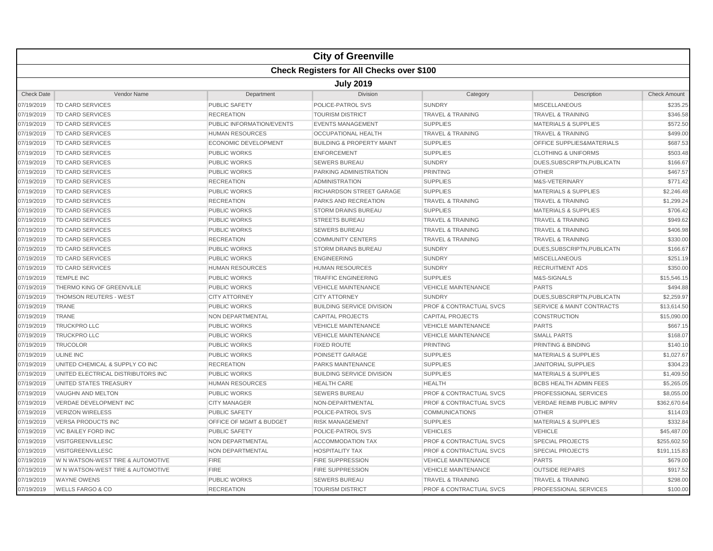|                   |                                                  |                                    | <b>City of Greenville</b>            |                                    |                                      |                     |  |  |  |
|-------------------|--------------------------------------------------|------------------------------------|--------------------------------------|------------------------------------|--------------------------------------|---------------------|--|--|--|
|                   | <b>Check Registers for All Checks over \$100</b> |                                    |                                      |                                    |                                      |                     |  |  |  |
|                   | <b>July 2019</b>                                 |                                    |                                      |                                    |                                      |                     |  |  |  |
| <b>Check Date</b> | Vendor Name                                      | Department                         | Division                             | Category                           | Description                          | <b>Check Amount</b> |  |  |  |
| 07/19/2019        | TD CARD SERVICES                                 | PUBLIC SAFETY                      | POLICE-PATROL SVS                    | <b>SUNDRY</b>                      | <b>MISCELLANEOUS</b>                 | \$235.25            |  |  |  |
| 07/19/2019        | <b>TD CARD SERVICES</b>                          | <b>RECREATION</b>                  | <b>TOURISM DISTRICT</b>              | <b>TRAVEL &amp; TRAINING</b>       | <b>TRAVEL &amp; TRAINING</b>         | \$346.58            |  |  |  |
| 07/19/2019        | TD CARD SERVICES                                 | PUBLIC INFORMATION/EVENTS          | <b>EVENTS MANAGEMENT</b>             | <b>SUPPLIES</b>                    | <b>MATERIALS &amp; SUPPLIES</b>      | \$572.50            |  |  |  |
| 07/19/2019        | <b>TD CARD SERVICES</b>                          | <b>HUMAN RESOURCES</b>             | <b>OCCUPATIONAL HEALTH</b>           | <b>TRAVEL &amp; TRAINING</b>       | <b>TRAVEL &amp; TRAINING</b>         | \$499.00            |  |  |  |
| 07/19/2019        | TD CARD SERVICES                                 | ECONOMIC DEVELOPMENT               | <b>BUILDING &amp; PROPERTY MAINT</b> | <b>SUPPLIES</b>                    | <b>OFFICE SUPPLIES&amp;MATERIALS</b> | \$687.53            |  |  |  |
| 07/19/2019        | <b>TD CARD SERVICES</b>                          | <b>PUBLIC WORKS</b>                | <b>ENFORCEMENT</b>                   | <b>SUPPLIES</b>                    | <b>CLOTHING &amp; UNIFORMS</b>       | \$503.48            |  |  |  |
| 07/19/2019        | TD CARD SERVICES                                 | <b>PUBLIC WORKS</b>                | <b>SEWERS BUREAU</b>                 | <b>SUNDRY</b>                      | DUES, SUBSCRIPTN, PUBLICATN          | \$166.67            |  |  |  |
| 07/19/2019        | TD CARD SERVICES                                 | <b>PUBLIC WORKS</b>                | PARKING ADMINISTRATION               | <b>PRINTING</b>                    | <b>OTHER</b>                         | \$467.57            |  |  |  |
| 07/19/2019        | <b>TD CARD SERVICES</b>                          | <b>RECREATION</b>                  | <b>ADMINISTRATION</b>                | <b>SUPPLIES</b>                    | M&S-VETERINARY                       | \$771.42            |  |  |  |
| 07/19/2019        | <b>TD CARD SERVICES</b>                          | <b>PUBLIC WORKS</b>                | RICHARDSON STREET GARAGE             | <b>SUPPLIES</b>                    | <b>MATERIALS &amp; SUPPLIES</b>      | \$2,246.48          |  |  |  |
| 07/19/2019        | <b>TD CARD SERVICES</b>                          | <b>RECREATION</b>                  | <b>PARKS AND RECREATION</b>          | <b>TRAVEL &amp; TRAINING</b>       | <b>TRAVEL &amp; TRAINING</b>         | \$1,299.24          |  |  |  |
| 07/19/2019        | <b>TD CARD SERVICES</b>                          | <b>PUBLIC WORKS</b>                | <b>STORM DRAINS BUREAU</b>           | <b>SUPPLIES</b>                    | <b>MATERIALS &amp; SUPPLIES</b>      | \$706.42            |  |  |  |
| 07/19/2019        | <b>TD CARD SERVICES</b>                          | <b>PUBLIC WORKS</b>                | <b>STREETS BUREAU</b>                | <b>TRAVEL &amp; TRAINING</b>       | <b>TRAVEL &amp; TRAINING</b>         | \$949.62            |  |  |  |
| 07/19/2019        | <b>TD CARD SERVICES</b>                          | <b>PUBLIC WORKS</b>                | <b>SEWERS BUREAU</b>                 | <b>TRAVEL &amp; TRAINING</b>       | <b>TRAVEL &amp; TRAINING</b>         | \$406.98            |  |  |  |
| 07/19/2019        | <b>TD CARD SERVICES</b>                          | <b>RECREATION</b>                  | <b>COMMUNITY CENTERS</b>             | <b>TRAVEL &amp; TRAINING</b>       | <b>TRAVEL &amp; TRAINING</b>         | \$330.00            |  |  |  |
| 07/19/2019        | <b>TD CARD SERVICES</b>                          | <b>PUBLIC WORKS</b>                | <b>STORM DRAINS BUREAU</b>           | <b>SUNDRY</b>                      | DUES, SUBSCRIPTN, PUBLICATN          | \$166.67            |  |  |  |
| 07/19/2019        | <b>TD CARD SERVICES</b>                          | <b>PUBLIC WORKS</b>                | <b>ENGINEERING</b>                   | <b>SUNDRY</b>                      | <b>MISCELLANEOUS</b>                 | \$251.19            |  |  |  |
| 07/19/2019        | <b>TD CARD SERVICES</b>                          | <b>HUMAN RESOURCES</b>             | <b>HUMAN RESOURCES</b>               | <b>SUNDRY</b>                      | <b>RECRUITMENT ADS</b>               | \$350.00            |  |  |  |
| 07/19/2019        | <b>TEMPLE INC</b>                                | <b>PUBLIC WORKS</b>                | <b>TRAFFIC ENGINEERING</b>           | <b>SUPPLIES</b>                    | M&S-SIGNALS                          | \$15,546.15         |  |  |  |
| 07/19/2019        | THERMO KING OF GREENVILLE                        | <b>PUBLIC WORKS</b>                | <b>VEHICLE MAINTENANCE</b>           | <b>VEHICLE MAINTENANCE</b>         | <b>PARTS</b>                         | \$494.88            |  |  |  |
| 07/19/2019        | <b>THOMSON REUTERS - WEST</b>                    | <b>CITY ATTORNEY</b>               | <b>CITY ATTORNEY</b>                 | <b>SUNDRY</b>                      | DUES.SUBSCRIPTN.PUBLICATN            | \$2.259.97          |  |  |  |
| 07/19/2019        | <b>TRANE</b>                                     | <b>PUBLIC WORKS</b>                | <b>BUILDING SERVICE DIVISION</b>     | <b>PROF &amp; CONTRACTUAL SVCS</b> | <b>SERVICE &amp; MAINT CONTRACTS</b> | \$13,614.50         |  |  |  |
| 07/19/2019        | <b>TRANE</b>                                     | NON DEPARTMENTAL                   | <b>CAPITAL PROJECTS</b>              | <b>CAPITAL PROJECTS</b>            | <b>CONSTRUCTION</b>                  | \$15,090.00         |  |  |  |
| 07/19/2019        | <b>TRUCKPRO LLC</b>                              | <b>PUBLIC WORKS</b>                | <b>VEHICLE MAINTENANCE</b>           | <b>VEHICLE MAINTENANCE</b>         | <b>PARTS</b>                         | \$667.15            |  |  |  |
| 07/19/2019        | <b>TRUCKPRO LLC</b>                              | <b>PUBLIC WORKS</b>                | <b>VEHICLE MAINTENANCE</b>           | <b>VEHICLE MAINTENANCE</b>         | <b>SMALL PARTS</b>                   | \$168.07            |  |  |  |
| 07/19/2019        | <b>TRUCOLOR</b>                                  | <b>PUBLIC WORKS</b>                | <b>FIXED ROUTE</b>                   | <b>PRINTING</b>                    | PRINTING & BINDING                   | \$140.10            |  |  |  |
| 07/19/2019        | <b>ULINE INC</b>                                 | <b>PUBLIC WORKS</b>                | POINSETT GARAGE                      | <b>SUPPLIES</b>                    | <b>MATERIALS &amp; SUPPLIES</b>      | \$1,027.67          |  |  |  |
| 07/19/2019        | UNITED CHEMICAL & SUPPLY CO INC                  | <b>RECREATION</b>                  | <b>PARKS MAINTENANCE</b>             | <b>SUPPLIES</b>                    | JANITORIAL SUPPLIES                  | \$304.23            |  |  |  |
| 07/19/2019        | UNITED ELECTRICAL DISTRIBUTORS INC               | <b>PUBLIC WORKS</b>                | <b>BUILDING SERVICE DIVISION</b>     | <b>SUPPLIES</b>                    | <b>MATERIALS &amp; SUPPLIES</b>      | \$1,409.50          |  |  |  |
| 07/19/2019        | UNITED STATES TREASURY                           | <b>HUMAN RESOURCES</b>             | <b>HEALTH CARE</b>                   | <b>HEALTH</b>                      | <b>BCBS HEALTH ADMIN FEES</b>        | \$5,265.05          |  |  |  |
| 07/19/2019        | VAUGHN AND MELTON                                | <b>PUBLIC WORKS</b>                | <b>SEWERS BUREAU</b>                 | <b>PROF &amp; CONTRACTUAL SVCS</b> | PROFESSIONAL SERVICES                | \$8,055.00          |  |  |  |
| 07/19/2019        | VERDAE DEVELOPMENT INC                           | <b>CITY MANAGER</b>                | NON-DEPARTMENTAL                     | <b>PROF &amp; CONTRACTUAL SVCS</b> | VERDAE REIMB PUBLIC IMPRV            | \$362,670.64        |  |  |  |
| 07/19/2019        | <b>VERIZON WIRELESS</b>                          | <b>PUBLIC SAFETY</b>               | POLICE-PATROL SVS                    | <b>COMMUNICATIONS</b>              | <b>OTHER</b>                         | \$114.03            |  |  |  |
| 07/19/2019        | <b>VERSA PRODUCTS INC</b>                        | <b>OFFICE OF MGMT &amp; BUDGET</b> | <b>RISK MANAGEMENT</b>               | <b>SUPPLIES</b>                    | <b>MATERIALS &amp; SUPPLIES</b>      | \$332.84            |  |  |  |
| 07/19/2019        | <b>VIC BAILEY FORD INC</b>                       | <b>PUBLIC SAFETY</b>               | POLICE-PATROL SVS                    | <b>VEHICLES</b>                    | <b>VEHICLE</b>                       | \$45,487.00         |  |  |  |
| 07/19/2019        | VISITGREENVILLESC                                | <b>NON DEPARTMENTAL</b>            | <b>ACCOMMODATION TAX</b>             | <b>PROF &amp; CONTRACTUAL SVCS</b> | <b>SPECIAL PROJECTS</b>              | \$255,602.50        |  |  |  |
| 07/19/2019        | <b>VISITGREENVILLESC</b>                         | NON DEPARTMENTAL                   | <b>HOSPITALITY TAX</b>               | <b>PROF &amp; CONTRACTUAL SVCS</b> | <b>SPECIAL PROJECTS</b>              | \$191,115.83        |  |  |  |
| 07/19/2019        | W N WATSON-WEST TIRE & AUTOMOTIVE                | <b>FIRE</b>                        | <b>FIRE SUPPRESSION</b>              | <b>VEHICLE MAINTENANCE</b>         | <b>PARTS</b>                         | \$679.00            |  |  |  |
| 07/19/2019        | W N WATSON-WEST TIRE & AUTOMOTIVE                | <b>FIRE</b>                        | <b>FIRE SUPPRESSION</b>              | <b>VEHICLE MAINTENANCE</b>         | <b>OUTSIDE REPAIRS</b>               | \$917.52            |  |  |  |
| 07/19/2019        | <b>WAYNE OWENS</b>                               | <b>PUBLIC WORKS</b>                | <b>SEWERS BUREAU</b>                 | <b>TRAVEL &amp; TRAINING</b>       | <b>TRAVEL &amp; TRAINING</b>         | \$298.00            |  |  |  |
| 07/19/2019        | <b>WELLS FARGO &amp; CO</b>                      | <b>RECREATION</b>                  | <b>TOURISM DISTRICT</b>              | <b>PROF &amp; CONTRACTUAL SVCS</b> | PROFESSIONAL SERVICES                | \$100.00            |  |  |  |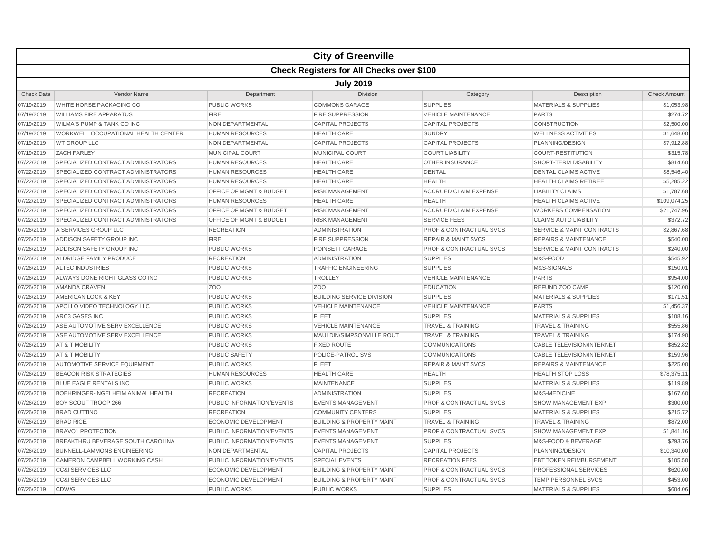|                   |                                                  |                                    | <b>City of Greenville</b>            |                                    |                                      |                     |  |  |  |
|-------------------|--------------------------------------------------|------------------------------------|--------------------------------------|------------------------------------|--------------------------------------|---------------------|--|--|--|
|                   | <b>Check Registers for All Checks over \$100</b> |                                    |                                      |                                    |                                      |                     |  |  |  |
|                   | <b>July 2019</b>                                 |                                    |                                      |                                    |                                      |                     |  |  |  |
| <b>Check Date</b> | <b>Vendor Name</b>                               | Department                         | <b>Division</b>                      | Category                           | Description                          | <b>Check Amount</b> |  |  |  |
| 07/19/2019        | WHITE HORSE PACKAGING CO                         | PUBLIC WORKS                       | <b>COMMONS GARAGE</b>                | <b>SUPPLIES</b>                    | <b>MATERIALS &amp; SUPPLIES</b>      | \$1,053.98          |  |  |  |
| 07/19/2019        | <b>WILLIAMS FIRE APPARATUS</b>                   | <b>FIRE</b>                        | <b>FIRE SUPPRESSION</b>              | <b>VEHICLE MAINTENANCE</b>         | <b>PARTS</b>                         | \$274.72            |  |  |  |
| 07/19/2019        | <b>WILMA'S PUMP &amp; TANK CO INC</b>            | NON DEPARTMENTAL                   | <b>CAPITAL PROJECTS</b>              | <b>CAPITAL PROJECTS</b>            | <b>CONSTRUCTION</b>                  | \$2,500.00          |  |  |  |
| 07/19/2019        | WORKWELL OCCUPATIONAL HEALTH CENTER              | <b>HUMAN RESOURCES</b>             | <b>HEALTH CARE</b>                   | <b>SUNDRY</b>                      | <b>WELLNESS ACTIVITIES</b>           | \$1,648.00          |  |  |  |
| 07/19/2019        | <b>WT GROUP LLC</b>                              | NON DEPARTMENTAL                   | <b>CAPITAL PROJECTS</b>              | <b>CAPITAL PROJECTS</b>            | PLANNING/DESIGN                      | \$7,912.88          |  |  |  |
| 07/19/2019        | <b>ZACH FARLEY</b>                               | <b>MUNICIPAL COURT</b>             | <b>MUNICIPAL COURT</b>               | <b>COURT LIABILITY</b>             | <b>COURT-RESTITUTION</b>             | \$315.78            |  |  |  |
| 07/22/2019        | <b>SPECIALIZED CONTRACT ADMINISTRATORS</b>       | <b>HUMAN RESOURCES</b>             | <b>HEALTH CARE</b>                   | <b>OTHER INSURANCE</b>             | SHORT-TERM DISABILITY                | \$814.60            |  |  |  |
| 07/22/2019        | SPECIALIZED CONTRACT ADMINISTRATORS              | <b>HUMAN RESOURCES</b>             | <b>HEALTH CARE</b>                   | <b>DENTAL</b>                      | <b>DENTAL CLAIMS ACTIVE</b>          | \$8,546.40          |  |  |  |
| 07/22/2019        | <b>SPECIALIZED CONTRACT ADMINISTRATORS</b>       | <b>HUMAN RESOURCES</b>             | <b>HEALTH CARE</b>                   | <b>HEALTH</b>                      | <b>HEALTH CLAIMS RETIREE</b>         | \$5,285.22          |  |  |  |
| 07/22/2019        | SPECIALIZED CONTRACT ADMINISTRATORS              | OFFICE OF MGMT & BUDGET            | <b>RISK MANAGEMENT</b>               | <b>ACCRUED CLAIM EXPENSE</b>       | <b>LIABILITY CLAIMS</b>              | \$1,787.68          |  |  |  |
| 07/22/2019        | SPECIALIZED CONTRACT ADMINISTRATORS              | <b>HUMAN RESOURCES</b>             | <b>HEALTH CARE</b>                   | <b>HEALTH</b>                      | <b>HEALTH CLAIMS ACTIVE</b>          | \$109,074.25        |  |  |  |
| 07/22/2019        | SPECIALIZED CONTRACT ADMINISTRATORS              | <b>OFFICE OF MGMT &amp; BUDGET</b> | <b>RISK MANAGEMENT</b>               | <b>ACCRUED CLAIM EXPENSE</b>       | <b>WORKERS COMPENSATION</b>          | \$21,747.96         |  |  |  |
| 07/22/2019        | SPECIALIZED CONTRACT ADMINISTRATORS              | OFFICE OF MGMT & BUDGET            | <b>RISK MANAGEMENT</b>               | <b>SERVICE FEES</b>                | <b>CLAIMS AUTO LIABILITY</b>         | \$372.72            |  |  |  |
| 07/26/2019        | A SERVICES GROUP LLC                             | <b>RECREATION</b>                  | <b>ADMINISTRATION</b>                | <b>PROF &amp; CONTRACTUAL SVCS</b> | <b>SERVICE &amp; MAINT CONTRACTS</b> | \$2,867.68          |  |  |  |
| 07/26/2019        | ADDISON SAFETY GROUP INC                         | <b>FIRE</b>                        | <b>FIRE SUPPRESSION</b>              | <b>REPAIR &amp; MAINT SVCS</b>     | <b>REPAIRS &amp; MAINTENANCE</b>     | \$540.00            |  |  |  |
| 07/26/2019        | ADDISON SAFETY GROUP INC                         | <b>PUBLIC WORKS</b>                | POINSETT GARAGE                      | <b>PROF &amp; CONTRACTUAL SVCS</b> | <b>SERVICE &amp; MAINT CONTRACTS</b> | \$240.00            |  |  |  |
| 07/26/2019        | ALDRIDGE FAMILY PRODUCE                          | <b>RECREATION</b>                  | <b>ADMINISTRATION</b>                | <b>SUPPLIES</b>                    | M&S-FOOD                             | \$545.92            |  |  |  |
| 07/26/2019        | ALTEC INDUSTRIES                                 | <b>PUBLIC WORKS</b>                | <b>TRAFFIC ENGINEERING</b>           | <b>SUPPLIES</b>                    | M&S-SIGNALS                          | \$150.01            |  |  |  |
| 07/26/2019        | ALWAYS DONE RIGHT GLASS CO INC                   | <b>PUBLIC WORKS</b>                | <b>TROLLEY</b>                       | <b>VEHICLE MAINTENANCE</b>         | <b>PARTS</b>                         | \$954.00            |  |  |  |
| 07/26/2019        | AMANDA CRAVEN                                    | Z <sub>O</sub> O                   | Z <sub>O</sub> O                     | <b>EDUCATION</b>                   | REFUND ZOO CAMP                      | \$120.00            |  |  |  |
| 07/26/2019        | AMERICAN LOCK & KEY                              | <b>PUBLIC WORKS</b>                | <b>BUILDING SERVICE DIVISION</b>     | <b>SUPPLIES</b>                    | <b>MATERIALS &amp; SUPPLIES</b>      | \$171.51            |  |  |  |
| 07/26/2019        | APOLLO VIDEO TECHNOLOGY LLC                      | <b>PUBLIC WORKS</b>                | <b>VEHICLE MAINTENANCE</b>           | <b>VEHICLE MAINTENANCE</b>         | <b>PARTS</b>                         | \$1,456.37          |  |  |  |
| 07/26/2019        | ARC3 GASES INC                                   | <b>PUBLIC WORKS</b>                | <b>FLEET</b>                         | <b>SUPPLIES</b>                    | <b>MATERIALS &amp; SUPPLIES</b>      | \$108.16            |  |  |  |
| 07/26/2019        | ASE AUTOMOTIVE SERV EXCELLENCE                   | <b>PUBLIC WORKS</b>                | <b>VEHICLE MAINTENANCE</b>           | <b>TRAVEL &amp; TRAINING</b>       | <b>TRAVEL &amp; TRAINING</b>         | \$555.86            |  |  |  |
| 07/26/2019        | ASE AUTOMOTIVE SERV EXCELLENCE                   | <b>PUBLIC WORKS</b>                | MAULDIN/SIMPSONVILLE ROUT            | <b>TRAVEL &amp; TRAINING</b>       | <b>TRAVEL &amp; TRAINING</b>         | \$174.90            |  |  |  |
| 07/26/2019        | AT & T MOBILITY                                  | <b>PUBLIC WORKS</b>                | <b>FIXED ROUTE</b>                   | <b>COMMUNICATIONS</b>              | <b>CABLE TELEVISION/INTERNET</b>     | \$852.82            |  |  |  |
| 07/26/2019        | AT & T MOBILITY                                  | <b>PUBLIC SAFETY</b>               | <b>POLICE-PATROL SVS</b>             | <b>COMMUNICATIONS</b>              | <b>CABLE TELEVISION/INTERNET</b>     | \$159.96            |  |  |  |
| 07/26/2019        | <b>AUTOMOTIVE SERVICE EQUIPMENT</b>              | <b>PUBLIC WORKS</b>                | <b>FLEET</b>                         | <b>REPAIR &amp; MAINT SVCS</b>     | <b>REPAIRS &amp; MAINTENANCE</b>     | \$225.00            |  |  |  |
| 07/26/2019        | <b>BEACON RISK STRATEGIES</b>                    | <b>HUMAN RESOURCES</b>             | <b>HEALTH CARE</b>                   | <b>HEALTH</b>                      | <b>HEALTH STOP LOSS</b>              | \$78,375.11         |  |  |  |
| 07/26/2019        | BLUE EAGLE RENTALS INC                           | <b>PUBLIC WORKS</b>                | <b>MAINTENANCE</b>                   | <b>SUPPLIES</b>                    | <b>MATERIALS &amp; SUPPLIES</b>      | \$119.89            |  |  |  |
| 07/26/2019        | BOEHRINGER-INGELHEIM ANIMAL HEALTH               | <b>RECREATION</b>                  | <b>ADMINISTRATION</b>                | <b>SUPPLIES</b>                    | M&S-MEDICINE                         | \$167.60            |  |  |  |
| 07/26/2019        | BOY SCOUT TROOP 266                              | PUBLIC INFORMATION/EVENTS          | <b>EVENTS MANAGEMENT</b>             | <b>PROF &amp; CONTRACTUAL SVCS</b> | <b>SHOW MANAGEMENT EXP</b>           | \$300.00            |  |  |  |
| 07/26/2019        | <b>BRAD CUTTINO</b>                              | <b>RECREATION</b>                  | <b>COMMUNITY CENTERS</b>             | <b>SUPPLIES</b>                    | <b>MATERIALS &amp; SUPPLIES</b>      | \$215.72            |  |  |  |
| 07/26/2019        | <b>BRAD RICE</b>                                 | <b>ECONOMIC DEVELOPMENT</b>        | <b>BUILDING &amp; PROPERTY MAINT</b> | <b>TRAVEL &amp; TRAINING</b>       | <b>TRAVEL &amp; TRAINING</b>         | \$872.00            |  |  |  |
| 07/26/2019        | <b>BRAVO1 PROTECTION</b>                         | PUBLIC INFORMATION/EVENTS          | <b>EVENTS MANAGEMENT</b>             | <b>PROF &amp; CONTRACTUAL SVCS</b> | <b>SHOW MANAGEMENT EXP</b>           | \$1,841.16          |  |  |  |
| 07/26/2019        | <b>BREAKTHRU BEVERAGE SOUTH CAROLINA</b>         | PUBLIC INFORMATION/EVENTS          | <b>EVENTS MANAGEMENT</b>             | <b>SUPPLIES</b>                    | M&S-FOOD & BEVERAGE                  | \$293.76            |  |  |  |
| 07/26/2019        | <b>BUNNELL-LAMMONS ENGINEERING</b>               | <b>NON DEPARTMENTAL</b>            | <b>CAPITAL PROJECTS</b>              | <b>CAPITAL PROJECTS</b>            | PLANNING/DESIGN                      | \$10,340.00         |  |  |  |
| 07/26/2019        | CAMERON CAMPBELL WORKING CASH                    | PUBLIC INFORMATION/EVENTS          | <b>SPECIAL EVENTS</b>                | <b>RECREATION FEES</b>             | <b>EBT TOKEN REIMBURSEMENT</b>       | \$105.50            |  |  |  |
| 07/26/2019        | <b>CC&amp;I SERVICES LLC</b>                     | <b>ECONOMIC DEVELOPMENT</b>        | <b>BUILDING &amp; PROPERTY MAINT</b> | <b>PROF &amp; CONTRACTUAL SVCS</b> | PROFESSIONAL SERVICES                | \$620.00            |  |  |  |
| 07/26/2019        | <b>CC&amp;I SERVICES LLC</b>                     | <b>ECONOMIC DEVELOPMENT</b>        | <b>BUILDING &amp; PROPERTY MAINT</b> | <b>PROF &amp; CONTRACTUAL SVCS</b> | TEMP PERSONNEL SVCS                  | \$453.00            |  |  |  |
| 07/26/2019        | CDW/G                                            | <b>PUBLIC WORKS</b>                | <b>PUBLIC WORKS</b>                  | <b>SUPPLIES</b>                    | <b>MATERIALS &amp; SUPPLIES</b>      | \$604.06            |  |  |  |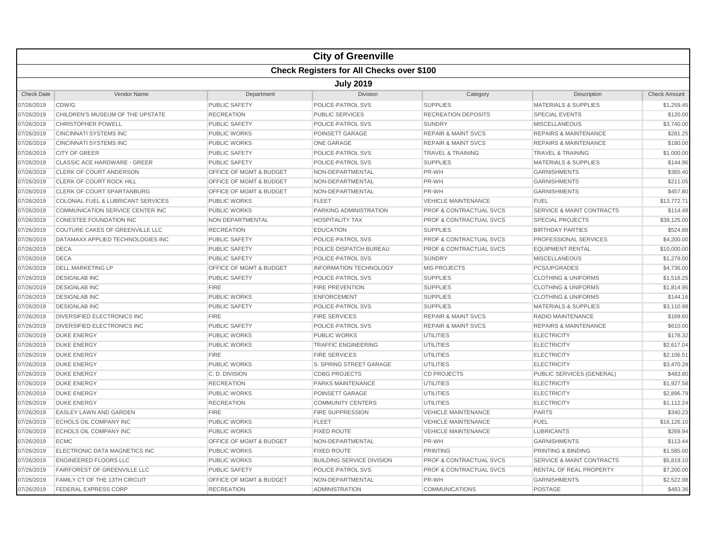|                   |                                                  |                                    | <b>City of Greenville</b>        |                                    |                                      |                     |  |  |  |  |
|-------------------|--------------------------------------------------|------------------------------------|----------------------------------|------------------------------------|--------------------------------------|---------------------|--|--|--|--|
|                   | <b>Check Registers for All Checks over \$100</b> |                                    |                                  |                                    |                                      |                     |  |  |  |  |
|                   | <b>July 2019</b>                                 |                                    |                                  |                                    |                                      |                     |  |  |  |  |
| <b>Check Date</b> | <b>Vendor Name</b>                               | Department                         | <b>Division</b>                  | Category                           | Description                          | <b>Check Amount</b> |  |  |  |  |
| 07/26/2019        | CDW/G                                            | <b>PUBLIC SAFETY</b>               | POLICE-PATROL SVS                | <b>SUPPLIES</b>                    | <b>MATERIALS &amp; SUPPLIES</b>      | \$1,259.45          |  |  |  |  |
| 07/26/2019        | CHILDREN'S MUSEUM OF THE UPSTATE                 | <b>RECREATION</b>                  | <b>PUBLIC SERVICES</b>           | <b>RECREATION DEPOSITS</b>         | <b>SPECIAL EVENTS</b>                | \$120.00            |  |  |  |  |
| 07/26/2019        | <b>CHRISTOPHER POWELL</b>                        | <b>PUBLIC SAFETY</b>               | POLICE-PATROL SVS                | <b>SUNDRY</b>                      | <b>MISCELLANEOUS</b>                 | \$3,740.00          |  |  |  |  |
| 07/26/2019        | <b>CINCINNATI SYSTEMS INC</b>                    | <b>PUBLIC WORKS</b>                | POINSETT GARAGE                  | <b>REPAIR &amp; MAINT SVCS</b>     | <b>REPAIRS &amp; MAINTENANCE</b>     | \$281.25            |  |  |  |  |
| 07/26/2019        | <b>CINCINNATI SYSTEMS INC</b>                    | <b>PUBLIC WORKS</b>                | <b>ONE GARAGE</b>                | <b>REPAIR &amp; MAINT SVCS</b>     | <b>REPAIRS &amp; MAINTENANCE</b>     | \$180.00            |  |  |  |  |
| 07/26/2019        | <b>CITY OF GREER</b>                             | <b>PUBLIC SAFETY</b>               | POLICE-PATROL SVS                | <b>TRAVEL &amp; TRAINING</b>       | <b>TRAVEL &amp; TRAINING</b>         | \$1,000.00          |  |  |  |  |
| 07/26/2019        | CLASSIC ACE HARDWARE - GREER                     | <b>PUBLIC SAFETY</b>               | POLICE-PATROL SVS                | <b>SUPPLIES</b>                    | <b>MATERIALS &amp; SUPPLIES</b>      | \$144.96            |  |  |  |  |
| 07/26/2019        | CLERK OF COURT ANDERSON                          | OFFICE OF MGMT & BUDGET            | NON-DEPARTMENTAL                 | PR-WH                              | <b>GARNISHMENTS</b>                  | \$365.40            |  |  |  |  |
| 07/26/2019        | CLERK OF COURT ROCK HILL                         | OFFICE OF MGMT & BUDGET            | NON-DEPARTMENTAL                 | PR-WH                              | <b>GARNISHMENTS</b>                  | \$211.05            |  |  |  |  |
| 07/26/2019        | <b>CLERK OF COURT SPARTANBURG</b>                | <b>OFFICE OF MGMT &amp; BUDGET</b> | NON-DEPARTMENTAL                 | PR-WH                              | <b>GARNISHMENTS</b>                  | \$457.80            |  |  |  |  |
| 07/26/2019        | <b>COLONIAL FUEL &amp; LUBRICANT SERVICES</b>    | <b>PUBLIC WORKS</b>                | <b>FLEET</b>                     | <b>VEHICLE MAINTENANCE</b>         | <b>FUEL</b>                          | \$13,772.71         |  |  |  |  |
| 07/26/2019        | COMMUNICATION SERVICE CENTER INC                 | <b>PUBLIC WORKS</b>                | <b>PARKING ADMINISTRATION</b>    | <b>PROF &amp; CONTRACTUAL SVCS</b> | <b>SERVICE &amp; MAINT CONTRACTS</b> | \$114.48            |  |  |  |  |
| 07/26/2019        | CONESTEE FOUNDATION INC                          | NON DEPARTMENTAL                   | <b>HOSPITALITY TAX</b>           | <b>PROF &amp; CONTRACTUAL SVCS</b> | <b>SPECIAL PROJECTS</b>              | \$38,125.00         |  |  |  |  |
| 07/26/2019        | COUTURE CAKES OF GREENVILLE LLC                  | <b>RECREATION</b>                  | <b>EDUCATION</b>                 | <b>SUPPLIES</b>                    | <b>BIRTHDAY PARTIES</b>              | \$524.88            |  |  |  |  |
| 07/26/2019        | DATAMAXX APPLIED TECHNOLOGIES INC                | <b>PUBLIC SAFETY</b>               | POLICE-PATROL SVS                | PROF & CONTRACTUAL SVCS            | PROFESSIONAL SERVICES                | \$4,200.00          |  |  |  |  |
| 07/26/2019        | <b>DECA</b>                                      | <b>PUBLIC SAFETY</b>               | POLICE-DISPATCH BUREAU           | <b>PROF &amp; CONTRACTUAL SVCS</b> | <b>EQUIPMENT RENTAL</b>              | \$10,000.00         |  |  |  |  |
| 07/26/2019        | <b>DECA</b>                                      | <b>PUBLIC SAFETY</b>               | POLICE-PATROL SVS                | <b>SUNDRY</b>                      | <b>MISCELLANEOUS</b>                 | \$1,279.00          |  |  |  |  |
| 07/26/2019        | <b>DELL MARKETING LP</b>                         | OFFICE OF MGMT & BUDGET            | <b>INFORMATION TECHNOLOGY</b>    | <b>MIS PROJECTS</b>                | PCS/UPGRADES                         | \$4,736.00          |  |  |  |  |
| 07/26/2019        | <b>DESIGNLAB INC</b>                             | <b>PUBLIC SAFETY</b>               | POLICE-PATROL SVS                | <b>SUPPLIES</b>                    | <b>CLOTHING &amp; UNIFORMS</b>       | \$1,518.25          |  |  |  |  |
| 07/26/2019        | <b>DESIGNLAB INC</b>                             | <b>FIRE</b>                        | <b>FIRE PREVENTION</b>           | <b>SUPPLIES</b>                    | <b>CLOTHING &amp; UNIFORMS</b>       | \$1,814.95          |  |  |  |  |
| 07/26/2019        | <b>DESIGNLAB INC</b>                             | <b>PUBLIC WORKS</b>                | <b>ENFORCEMENT</b>               | <b>SUPPLIES</b>                    | <b>CLOTHING &amp; UNIFORMS</b>       | \$144.16            |  |  |  |  |
| 07/26/2019        | <b>DESIGNLAB INC</b>                             | <b>PUBLIC SAFETY</b>               | POLICE-PATROL SVS                | <b>SUPPLIES</b>                    | <b>MATERIALS &amp; SUPPLIES</b>      | \$3,110.98          |  |  |  |  |
| 07/26/2019        | <b>DIVERSIFIED ELECTRONICS INC</b>               | <b>FIRE</b>                        | <b>FIRE SERVICES</b>             | <b>REPAIR &amp; MAINT SVCS</b>     | <b>RADIO MAINTENANCE</b>             | \$169.60            |  |  |  |  |
| 07/26/2019        | DIVERSIFIED ELECTRONICS INC                      | <b>PUBLIC SAFETY</b>               | <b>POLICE-PATROL SVS</b>         | <b>REPAIR &amp; MAINT SVCS</b>     | <b>REPAIRS &amp; MAINTENANCE</b>     | \$610.00            |  |  |  |  |
| 07/26/2019        | <b>DUKE ENERGY</b>                               | <b>PUBLIC WORKS</b>                | PUBLIC WORKS                     | <b>UTILITIES</b>                   | <b>ELECTRICITY</b>                   | \$178.32            |  |  |  |  |
| 07/26/2019        | <b>DUKE ENERGY</b>                               | <b>PUBLIC WORKS</b>                | <b>TRAFFIC ENGINEERING</b>       | <b>UTILITIES</b>                   | <b>ELECTRICITY</b>                   | \$2,617.04          |  |  |  |  |
| 07/26/2019        | <b>DUKE ENERGY</b>                               | <b>FIRE</b>                        | <b>FIRE SERVICES</b>             | <b>UTILITIES</b>                   | <b>ELECTRICITY</b>                   | \$2,106.51          |  |  |  |  |
| 07/26/2019        | <b>DUKE ENERGY</b>                               | <b>PUBLIC WORKS</b>                | S. SPRING STREET GARAGE          | <b>UTILITIES</b>                   | <b>ELECTRICITY</b>                   | \$3,470.28          |  |  |  |  |
| 07/26/2019        | <b>DUKE ENERGY</b>                               | C.D. DIVISION                      | <b>CDBG PROJECTS</b>             | <b>CD PROJECTS</b>                 | PUBLIC SERVICES (GENERAL)            | \$483.80            |  |  |  |  |
| 07/26/2019        | <b>DUKE ENERGY</b>                               | <b>RECREATION</b>                  | <b>PARKS MAINTENANCE</b>         | <b>UTILITIES</b>                   | <b>ELECTRICITY</b>                   | \$1,927.58          |  |  |  |  |
| 07/26/2019        | <b>DUKE ENERGY</b>                               | <b>PUBLIC WORKS</b>                | POINSETT GARAGE                  | <b>UTILITIES</b>                   | <b>ELECTRICITY</b>                   | \$2,896.79          |  |  |  |  |
| 07/26/2019        | <b>DUKE ENERGY</b>                               | <b>RECREATION</b>                  | <b>COMMUNITY CENTERS</b>         | <b>UTILITIES</b>                   | <b>ELECTRICITY</b>                   | \$1,112.24          |  |  |  |  |
| 07/26/2019        | <b>EASLEY LAWN AND GARDEN</b>                    | <b>FIRE</b>                        | <b>FIRE SUPPRESSION</b>          | <b>VEHICLE MAINTENANCE</b>         | <b>PARTS</b>                         | \$340.23            |  |  |  |  |
| 07/26/2019        | <b>ECHOLS OIL COMPANY INC</b>                    | <b>PUBLIC WORKS</b>                | <b>FLEET</b>                     | <b>VEHICLE MAINTENANCE</b>         | <b>FUEL</b>                          | \$16,126.10         |  |  |  |  |
| 07/26/2019        | ECHOLS OIL COMPANY INC                           | <b>PUBLIC WORKS</b>                | <b>FIXED ROUTE</b>               | <b>VEHICLE MAINTENANCE</b>         | <b>LUBRICANTS</b>                    | \$269.94            |  |  |  |  |
| 07/26/2019        | <b>ECMC</b>                                      | OFFICE OF MGMT & BUDGET            | NON-DEPARTMENTAL                 | PR-WH                              | <b>GARNISHMENTS</b>                  | \$113.44            |  |  |  |  |
| 07/26/2019        | ELECTRONIC DATA MAGNETICS INC                    | <b>PUBLIC WORKS</b>                | <b>FIXED ROUTE</b>               | <b>PRINTING</b>                    | PRINTING & BINDING                   | \$1,585.00          |  |  |  |  |
| 07/26/2019        | <b>ENGINEERED FLOORS LLC</b>                     | <b>PUBLIC WORKS</b>                | <b>BUILDING SERVICE DIVISION</b> | <b>PROF &amp; CONTRACTUAL SVCS</b> | <b>SERVICE &amp; MAINT CONTRACTS</b> | \$5,819.10          |  |  |  |  |
| 07/26/2019        | <b>FAIRFOREST OF GREENVILLE LLC</b>              | <b>PUBLIC SAFETY</b>               | POLICE-PATROL SVS                | <b>PROF &amp; CONTRACTUAL SVCS</b> | <b>RENTAL OF REAL PROPERTY</b>       | \$7,200.00          |  |  |  |  |
| 07/26/2019        | FAMILY CT OF THE 13TH CIRCUIT                    | <b>OFFICE OF MGMT &amp; BUDGET</b> | NON-DEPARTMENTAL                 | PR-WH                              | <b>GARNISHMENTS</b>                  | \$2,522.98          |  |  |  |  |
| 07/26/2019        | <b>FEDERAL EXPRESS CORP</b>                      | <b>RECREATION</b>                  | <b>ADMINISTRATION</b>            | <b>COMMUNICATIONS</b>              | <b>POSTAGE</b>                       | \$483.36            |  |  |  |  |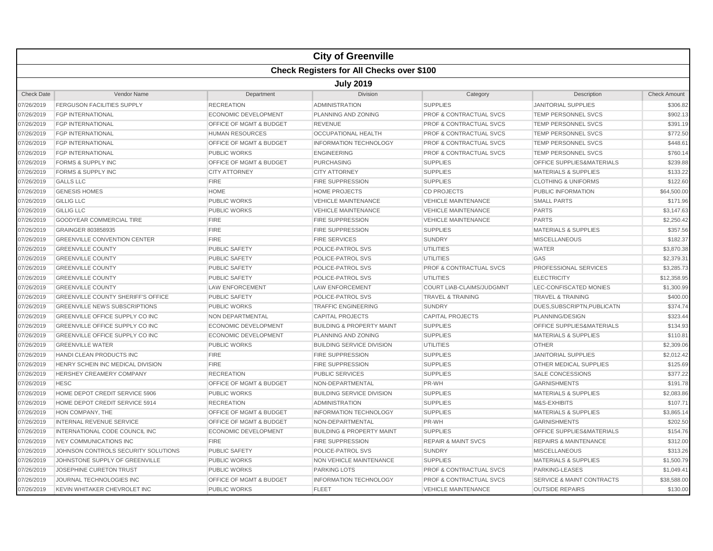|                   |                                                  |                                    | <b>City of Greenville</b>            |                                    |                                      |                     |  |  |  |
|-------------------|--------------------------------------------------|------------------------------------|--------------------------------------|------------------------------------|--------------------------------------|---------------------|--|--|--|
|                   | <b>Check Registers for All Checks over \$100</b> |                                    |                                      |                                    |                                      |                     |  |  |  |
|                   | <b>July 2019</b>                                 |                                    |                                      |                                    |                                      |                     |  |  |  |
| <b>Check Date</b> | <b>Vendor Name</b>                               | Department                         | <b>Division</b>                      | Category                           | Description                          | <b>Check Amount</b> |  |  |  |
| 07/26/2019        | <b>FERGUSON FACILITIES SUPPLY</b>                | <b>RECREATION</b>                  | <b>ADMINISTRATION</b>                | <b>SUPPLIES</b>                    | <b>JANITORIAL SUPPLIES</b>           | \$306.82            |  |  |  |
| 07/26/2019        | <b>FGP INTERNATIONAL</b>                         | <b>ECONOMIC DEVELOPMENT</b>        | <b>PLANNING AND ZONING</b>           | PROF & CONTRACTUAL SVCS            | <b>TEMP PERSONNEL SVCS</b>           | \$902.13            |  |  |  |
| 07/26/2019        | <b>FGP INTERNATIONAL</b>                         | OFFICE OF MGMT & BUDGET            | <b>REVENUE</b>                       | PROF & CONTRACTUAL SVCS            | <b>TEMP PERSONNEL SVCS</b>           | \$391.19            |  |  |  |
| 07/26/2019        | <b>FGP INTERNATIONAL</b>                         | <b>HUMAN RESOURCES</b>             | <b>OCCUPATIONAL HEALTH</b>           | <b>PROF &amp; CONTRACTUAL SVCS</b> | <b>TEMP PERSONNEL SVCS</b>           | \$772.50            |  |  |  |
| 07/26/2019        | <b>FGP INTERNATIONAL</b>                         | <b>OFFICE OF MGMT &amp; BUDGET</b> | <b>INFORMATION TECHNOLOGY</b>        | <b>PROF &amp; CONTRACTUAL SVCS</b> | TEMP PERSONNEL SVCS                  | \$448.61            |  |  |  |
| 07/26/2019        | <b>FGP INTERNATIONAL</b>                         | <b>PUBLIC WORKS</b>                | <b>ENGINEERING</b>                   | <b>PROF &amp; CONTRACTUAL SVCS</b> | <b>TEMP PERSONNEL SVCS</b>           | \$760.14            |  |  |  |
| 07/26/2019        | <b>FORMS &amp; SUPPLY INC</b>                    | <b>OFFICE OF MGMT &amp; BUDGET</b> | <b>PURCHASING</b>                    | <b>SUPPLIES</b>                    | <b>OFFICE SUPPLIES&amp;MATERIALS</b> | \$239.88            |  |  |  |
| 07/26/2019        | <b>FORMS &amp; SUPPLY INC</b>                    | <b>CITY ATTORNEY</b>               | <b>CITY ATTORNEY</b>                 | <b>SUPPLIES</b>                    | <b>MATERIALS &amp; SUPPLIES</b>      | \$133.22            |  |  |  |
| 07/26/2019        | <b>GALLS LLC</b>                                 | <b>FIRE</b>                        | <b>FIRE SUPPRESSION</b>              | <b>SUPPLIES</b>                    | <b>CLOTHING &amp; UNIFORMS</b>       | \$122.60            |  |  |  |
| 07/26/2019        | <b>GENESIS HOMES</b>                             | <b>HOME</b>                        | <b>HOME PROJECTS</b>                 | <b>CD PROJECTS</b>                 | PUBLIC INFORMATION                   | \$64,500.00         |  |  |  |
| 07/26/2019        | <b>GILLIG LLC</b>                                | <b>PUBLIC WORKS</b>                | <b>VEHICLE MAINTENANCE</b>           | <b>VEHICLE MAINTENANCE</b>         | <b>SMALL PARTS</b>                   | \$171.96            |  |  |  |
| 07/26/2019        | <b>GILLIG LLC</b>                                | <b>PUBLIC WORKS</b>                | <b>VEHICLE MAINTENANCE</b>           | <b>VEHICLE MAINTENANCE</b>         | <b>PARTS</b>                         | \$3,147.63          |  |  |  |
| 07/26/2019        | <b>GOODYEAR COMMERCIAL TIRE</b>                  | <b>FIRE</b>                        | <b>FIRE SUPPRESSION</b>              | <b>VEHICLE MAINTENANCE</b>         | <b>PARTS</b>                         | \$2,250.42          |  |  |  |
| 07/26/2019        | GRAINGER 803858935                               | <b>FIRE</b>                        | <b>FIRE SUPPRESSION</b>              | <b>SUPPLIES</b>                    | <b>MATERIALS &amp; SUPPLIES</b>      | \$357.56            |  |  |  |
| 07/26/2019        | <b>GREENVILLE CONVENTION CENTER</b>              | <b>FIRE</b>                        | <b>FIRE SERVICES</b>                 | <b>SUNDRY</b>                      | <b>MISCELLANEOUS</b>                 | \$182.37            |  |  |  |
| 07/26/2019        | <b>GREENVILLE COUNTY</b>                         | <b>PUBLIC SAFETY</b>               | POLICE-PATROL SVS                    | <b>UTILITIES</b>                   | <b>WATER</b>                         | \$3,870.38          |  |  |  |
| 07/26/2019        | <b>GREENVILLE COUNTY</b>                         | <b>PUBLIC SAFETY</b>               | POLICE-PATROL SVS                    | <b>UTILITIES</b>                   | GAS                                  | \$2,379.31          |  |  |  |
| 07/26/2019        | <b>GREENVILLE COUNTY</b>                         | <b>PUBLIC SAFETY</b>               | POLICE-PATROL SVS                    | <b>PROF &amp; CONTRACTUAL SVCS</b> | PROFESSIONAL SERVICES                | \$3,285.73          |  |  |  |
| 07/26/2019        | <b>GREENVILLE COUNTY</b>                         | <b>PUBLIC SAFETY</b>               | POLICE-PATROL SVS                    | <b>UTILITIES</b>                   | <b>ELECTRICITY</b>                   | \$12,358.95         |  |  |  |
| 07/26/2019        | <b>GREENVILLE COUNTY</b>                         | <b>LAW ENFORCEMENT</b>             | <b>LAW ENFORCEMENT</b>               | COURT LIAB-CLAIMS/JUDGMNT          | LEC-CONFISCATED MONIES               | \$1,300.99          |  |  |  |
| 07/26/2019        | <b>GREENVILLE COUNTY SHERIFF'S OFFICE</b>        | <b>PUBLIC SAFETY</b>               | POLICE-PATROL SVS                    | <b>TRAVEL &amp; TRAINING</b>       | <b>TRAVEL &amp; TRAINING</b>         | \$400.00            |  |  |  |
| 07/26/2019        | <b>GREENVILLE NEWS SUBSCRIPTIONS</b>             | <b>PUBLIC WORKS</b>                | <b>TRAFFIC ENGINEERING</b>           | <b>SUNDRY</b>                      | DUES, SUBSCRIPTN, PUBLICATN          | \$374.74            |  |  |  |
| 07/26/2019        | GREENVILLE OFFICE SUPPLY CO INC                  | NON DEPARTMENTAL                   | <b>CAPITAL PROJECTS</b>              | <b>CAPITAL PROJECTS</b>            | PLANNING/DESIGN                      | \$323.44            |  |  |  |
| 07/26/2019        | <b>GREENVILLE OFFICE SUPPLY CO INC</b>           | <b>ECONOMIC DEVELOPMENT</b>        | <b>BUILDING &amp; PROPERTY MAINT</b> | <b>SUPPLIES</b>                    | <b>OFFICE SUPPLIES&amp;MATERIALS</b> | \$134.93            |  |  |  |
| 07/26/2019        | <b>GREENVILLE OFFICE SUPPLY CO INC</b>           | <b>ECONOMIC DEVELOPMENT</b>        | PLANNING AND ZONING                  | <b>SUPPLIES</b>                    | <b>MATERIALS &amp; SUPPLIES</b>      | \$110.81            |  |  |  |
| 07/26/2019        | <b>GREENVILLE WATER</b>                          | <b>PUBLIC WORKS</b>                | <b>BUILDING SERVICE DIVISION</b>     | <b>UTILITIES</b>                   | <b>OTHER</b>                         | \$2,309.06          |  |  |  |
| 07/26/2019        | <b>HANDI CLEAN PRODUCTS INC</b>                  | <b>FIRE</b>                        | <b>FIRE SUPPRESSION</b>              | <b>SUPPLIES</b>                    | <b>JANITORIAL SUPPLIES</b>           | \$2,012.42          |  |  |  |
| 07/26/2019        | HENRY SCHEIN INC MEDICAL DIVISION                | <b>FIRE</b>                        | <b>FIRE SUPPRESSION</b>              | <b>SUPPLIES</b>                    | OTHER MEDICAL SUPPLIES               | \$125.69            |  |  |  |
| 07/26/2019        | HERSHEY CREAMERY COMPANY                         | <b>RECREATION</b>                  | <b>PUBLIC SERVICES</b>               | <b>SUPPLIES</b>                    | SALE CONCESSIONS                     | \$377.22            |  |  |  |
| 07/26/2019        | <b>HESC</b>                                      | OFFICE OF MGMT & BUDGET            | NON-DEPARTMENTAL                     | PR-WH                              | <b>GARNISHMENTS</b>                  | \$191.78            |  |  |  |
| 07/26/2019        | HOME DEPOT CREDIT SERVICE 5906                   | <b>PUBLIC WORKS</b>                | <b>BUILDING SERVICE DIVISION</b>     | <b>SUPPLIES</b>                    | MATERIALS & SUPPLIES                 | \$2,083.86          |  |  |  |
| 07/26/2019        | HOME DEPOT CREDIT SERVICE 5914                   | <b>RECREATION</b>                  | <b>ADMINISTRATION</b>                | <b>SUPPLIES</b>                    | M&S-EXHIBITS                         | \$107.71            |  |  |  |
| 07/26/2019        | HON COMPANY, THE                                 | OFFICE OF MGMT & BUDGET            | <b>INFORMATION TECHNOLOGY</b>        | <b>SUPPLIES</b>                    | <b>MATERIALS &amp; SUPPLIES</b>      | \$3,865.14          |  |  |  |
| 07/26/2019        | <b>INTERNAL REVENUE SERVICE</b>                  | <b>OFFICE OF MGMT &amp; BUDGET</b> | NON-DEPARTMENTAL                     | PR-WH                              | <b>GARNISHMENTS</b>                  | \$202.50            |  |  |  |
| 07/26/2019        | INTERNATIONAL CODE COUNCIL INC                   | <b>ECONOMIC DEVELOPMENT</b>        | <b>BUILDING &amp; PROPERTY MAINT</b> | <b>SUPPLIES</b>                    | OFFICE SUPPLIES&MATERIALS            | \$154.76            |  |  |  |
| 07/26/2019        | <b>IVEY COMMUNICATIONS INC</b>                   | <b>FIRE</b>                        | <b>FIRE SUPPRESSION</b>              | <b>REPAIR &amp; MAINT SVCS</b>     | <b>REPAIRS &amp; MAINTENANCE</b>     | \$312.00            |  |  |  |
| 07/26/2019        | JOHNSON CONTROLS SECURITY SOLUTIONS              | <b>PUBLIC SAFETY</b>               | POLICE-PATROL SVS                    | <b>SUNDRY</b>                      | <b>MISCELLANEOUS</b>                 | \$313.26            |  |  |  |
| 07/26/2019        | JOHNSTONE SUPPLY OF GREENVILLE                   | <b>PUBLIC WORKS</b>                | <b>NON VEHICLE MAINTENANCE</b>       | <b>SUPPLIES</b>                    | <b>MATERIALS &amp; SUPPLIES</b>      | \$1,500.79          |  |  |  |
| 07/26/2019        | JOSEPHINE CURETON TRUST                          | <b>PUBLIC WORKS</b>                | <b>PARKING LOTS</b>                  | <b>PROF &amp; CONTRACTUAL SVCS</b> | PARKING-LEASES                       | \$1,049.41          |  |  |  |
| 07/26/2019        | JOURNAL TECHNOLOGIES INC                         | <b>OFFICE OF MGMT &amp; BUDGET</b> | <b>INFORMATION TECHNOLOGY</b>        | PROF & CONTRACTUAL SVCS            | <b>SERVICE &amp; MAINT CONTRACTS</b> | \$38,588.00         |  |  |  |
| 07/26/2019        | KEVIN WHITAKER CHEVROLET INC                     | <b>PUBLIC WORKS</b>                | <b>FLEET</b>                         | <b>VEHICLE MAINTENANCE</b>         | <b>OUTSIDE REPAIRS</b>               | \$130.00            |  |  |  |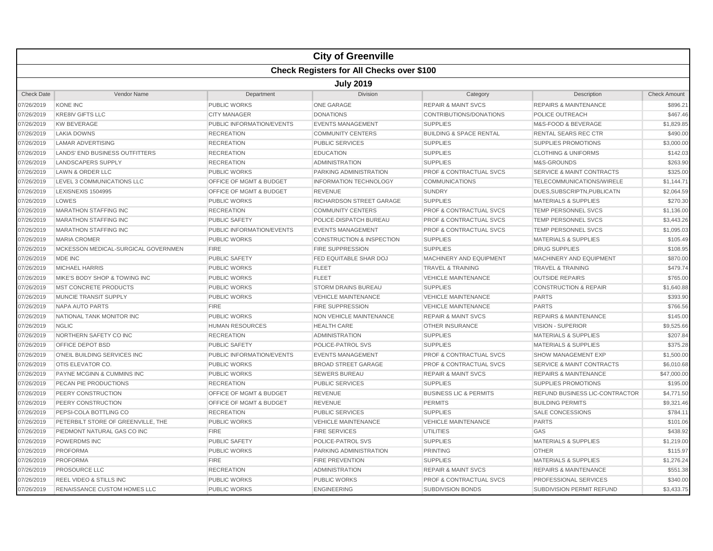|                   |                                       |                                    | <b>City of Greenville</b>                        |                                    |                                      |                     |
|-------------------|---------------------------------------|------------------------------------|--------------------------------------------------|------------------------------------|--------------------------------------|---------------------|
|                   |                                       |                                    | <b>Check Registers for All Checks over \$100</b> |                                    |                                      |                     |
|                   |                                       |                                    | <b>July 2019</b>                                 |                                    |                                      |                     |
| <b>Check Date</b> | Vendor Name                           | Department                         | Division                                         | Category                           | Description                          | <b>Check Amount</b> |
| 07/26/2019        | <b>KONE INC</b>                       | PUBLIC WORKS                       | <b>ONE GARAGE</b>                                | <b>REPAIR &amp; MAINT SVCS</b>     | <b>REPAIRS &amp; MAINTENANCE</b>     | \$896.21            |
| 07/26/2019        | <b>KRE8IV GIFTS LLC</b>               | <b>CITY MANAGER</b>                | <b>DONATIONS</b>                                 | CONTRIBUTIONS/DONATIONS            | POLICE OUTREACH                      | \$467.46            |
| 07/26/2019        | <b>KW BEVERAGE</b>                    | PUBLIC INFORMATION/EVENTS          | <b>EVENTS MANAGEMENT</b>                         | <b>SUPPLIES</b>                    | M&S-FOOD & BEVERAGE                  | \$1,829.85          |
| 07/26/2019        | <b>LAKIA DOWNS</b>                    | <b>RECREATION</b>                  | <b>COMMUNITY CENTERS</b>                         | <b>BUILDING &amp; SPACE RENTAL</b> | RENTAL SEARS REC CTR                 | \$490.00            |
| 07/26/2019        | <b>LAMAR ADVERTISING</b>              | <b>RECREATION</b>                  | PUBLIC SERVICES                                  | <b>SUPPLIES</b>                    | <b>SUPPLIES PROMOTIONS</b>           | \$3,000.00          |
| 07/26/2019        | <b>LANDS' END BUSINESS OUTFITTERS</b> | <b>RECREATION</b>                  | <b>EDUCATION</b>                                 | <b>SUPPLIES</b>                    | <b>CLOTHING &amp; UNIFORMS</b>       | \$142.03            |
| 07/26/2019        | <b>LANDSCAPERS SUPPLY</b>             | <b>RECREATION</b>                  | <b>ADMINISTRATION</b>                            | <b>SUPPLIES</b>                    | M&S-GROUNDS                          | \$263.90            |
| 07/26/2019        | <b>LAWN &amp; ORDER LLC</b>           | <b>PUBLIC WORKS</b>                | PARKING ADMINISTRATION                           | PROF & CONTRACTUAL SVCS            | <b>SERVICE &amp; MAINT CONTRACTS</b> | \$325.00            |
| 07/26/2019        | LEVEL 3 COMMUNICATIONS LLC            | <b>OFFICE OF MGMT &amp; BUDGET</b> | <b>INFORMATION TECHNOLOGY</b>                    | <b>COMMUNICATIONS</b>              | TELECOMMUNICATIONS/WIRELE            | \$1,144.71          |
| 07/26/2019        | LEXISNEXIS 1504995                    | OFFICE OF MGMT & BUDGET            | <b>REVENUE</b>                                   | <b>SUNDRY</b>                      | DUES, SUBSCRIPTN, PUBLICATN          | \$2,064.59          |
| 07/26/2019        | LOWES                                 | <b>PUBLIC WORKS</b>                | RICHARDSON STREET GARAGE                         | <b>SUPPLIES</b>                    | <b>MATERIALS &amp; SUPPLIES</b>      | \$270.30            |
| 07/26/2019        | <b>MARATHON STAFFING INC</b>          | <b>RECREATION</b>                  | <b>COMMUNITY CENTERS</b>                         | <b>PROF &amp; CONTRACTUAL SVCS</b> | <b>TEMP PERSONNEL SVCS</b>           | \$1,136.00          |
| 07/26/2019        | <b>MARATHON STAFFING INC</b>          | <b>PUBLIC SAFETY</b>               | POLICE-DISPATCH BUREAU                           | <b>PROF &amp; CONTRACTUAL SVCS</b> | <b>TEMP PERSONNEL SVCS</b>           | \$3,443.26          |
| 07/26/2019        | <b>MARATHON STAFFING INC</b>          | PUBLIC INFORMATION/EVENTS          | <b>EVENTS MANAGEMENT</b>                         | <b>PROF &amp; CONTRACTUAL SVCS</b> | <b>TEMP PERSONNEL SVCS</b>           | \$1,095.03          |
| 07/26/2019        | <b>MARIA CROMER</b>                   | <b>PUBLIC WORKS</b>                | <b>CONSTRUCTION &amp; INSPECTION</b>             | <b>SUPPLIES</b>                    | <b>MATERIALS &amp; SUPPLIES</b>      | \$105.49            |
| 07/26/2019        | MCKESSON MEDICAL-SURGICAL GOVERNMEN   | <b>FIRE</b>                        | <b>FIRE SUPPRESSION</b>                          | <b>SUPPLIES</b>                    | <b>DRUG SUPPLIES</b>                 | \$108.95            |
| 07/26/2019        | MDE INC                               | <b>PUBLIC SAFETY</b>               | FED EQUITABLE SHAR DOJ                           | MACHINERY AND EQUIPMENT            | MACHINERY AND EQUIPMENT              | \$870.00            |
| 07/26/2019        | <b>MICHAEL HARRIS</b>                 | <b>PUBLIC WORKS</b>                | <b>FLEET</b>                                     | <b>TRAVEL &amp; TRAINING</b>       | <b>TRAVEL &amp; TRAINING</b>         | \$479.74            |
| 07/26/2019        | MIKE'S BODY SHOP & TOWING INC         | <b>PUBLIC WORKS</b>                | <b>FLEET</b>                                     | <b>VEHICLE MAINTENANCE</b>         | <b>OUTSIDE REPAIRS</b>               | \$765.00            |
| 07/26/2019        | <b>MST CONCRETE PRODUCTS</b>          | <b>PUBLIC WORKS</b>                | <b>STORM DRAINS BUREAU</b>                       | <b>SUPPLIES</b>                    | <b>CONSTRUCTION &amp; REPAIR</b>     | \$1,640.88          |
| 07/26/2019        | <b>MUNCIE TRANSIT SUPPLY</b>          | <b>PUBLIC WORKS</b>                | <b>VEHICLE MAINTENANCE</b>                       | <b>VEHICLE MAINTENANCE</b>         | <b>PARTS</b>                         | \$393.90            |
| 07/26/2019        | NAPA AUTO PARTS                       | <b>FIRE</b>                        | <b>FIRE SUPPRESSION</b>                          | <b>VEHICLE MAINTENANCE</b>         | <b>PARTS</b>                         | \$766.56            |
| 07/26/2019        | NATIONAL TANK MONITOR INC             | <b>PUBLIC WORKS</b>                | NON VEHICLE MAINTENANCE                          | <b>REPAIR &amp; MAINT SVCS</b>     | <b>REPAIRS &amp; MAINTENANCE</b>     | \$145.00            |
| 07/26/2019        | <b>NGLIC</b>                          | <b>HUMAN RESOURCES</b>             | <b>HEALTH CARE</b>                               | <b>OTHER INSURANCE</b>             | <b>VISION - SUPERIOR</b>             | \$9,525.66          |
| 07/26/2019        | NORTHERN SAFETY CO INC                | <b>RECREATION</b>                  | <b>ADMINISTRATION</b>                            | <b>SUPPLIES</b>                    | <b>MATERIALS &amp; SUPPLIES</b>      | \$207.84            |
| 07/26/2019        | OFFICE DEPOT BSD                      | <b>PUBLIC SAFETY</b>               | POLICE-PATROL SVS                                | <b>SUPPLIES</b>                    | <b>MATERIALS &amp; SUPPLIES</b>      | \$375.28            |
| 07/26/2019        | O'NEIL BUILDING SERVICES INC          | PUBLIC INFORMATION/EVENTS          | <b>EVENTS MANAGEMENT</b>                         | <b>PROF &amp; CONTRACTUAL SVCS</b> | <b>SHOW MANAGEMENT EXP</b>           | \$1,500.00          |
| 07/26/2019        | <b>OTIS ELEVATOR CO.</b>              | <b>PUBLIC WORKS</b>                | <b>BROAD STREET GARAGE</b>                       | <b>PROF &amp; CONTRACTUAL SVCS</b> | <b>SERVICE &amp; MAINT CONTRACTS</b> | \$6,010.68          |
| 07/26/2019        | PAYNE MCGINN & CUMMINS INC            | <b>PUBLIC WORKS</b>                | <b>SEWERS BUREAU</b>                             | <b>REPAIR &amp; MAINT SVCS</b>     | <b>REPAIRS &amp; MAINTENANCE</b>     | \$47,000.00         |
| 07/26/2019        | PECAN PIE PRODUCTIONS                 | <b>RECREATION</b>                  | PUBLIC SERVICES                                  | <b>SUPPLIES</b>                    | SUPPLIES PROMOTIONS                  | \$195.00            |
| 07/26/2019        | PEERY CONSTRUCTION                    | OFFICE OF MGMT & BUDGET            | <b>REVENUE</b>                                   | <b>BUSINESS LIC &amp; PERMITS</b>  | REFUND BUSINESS LIC-CONTRACTOR       | \$4,771.50          |
| 07/26/2019        | PEERY CONSTRUCTION                    | OFFICE OF MGMT & BUDGET            | <b>REVENUE</b>                                   | <b>PERMITS</b>                     | <b>BUILDING PERMITS</b>              | \$9,321.46          |
| 07/26/2019        | PEPSI-COLA BOTTLING CO                | <b>RECREATION</b>                  | <b>PUBLIC SERVICES</b>                           | <b>SUPPLIES</b>                    | <b>SALE CONCESSIONS</b>              | \$784.11            |
| 07/26/2019        | PETERBILT STORE OF GREENVILLE. THE    | <b>PUBLIC WORKS</b>                | <b>VEHICLE MAINTENANCE</b>                       | <b>VEHICLE MAINTENANCE</b>         | <b>PARTS</b>                         | \$101.06            |
| 07/26/2019        | PIEDMONT NATURAL GAS CO INC           | <b>FIRE</b>                        | <b>FIRE SERVICES</b>                             | <b>UTILITIES</b>                   | GAS                                  | \$438.92            |
| 07/26/2019        | <b>POWERDMS INC</b>                   | <b>PUBLIC SAFETY</b>               | <b>POLICE-PATROL SVS</b>                         | <b>SUPPLIES</b>                    | <b>MATERIALS &amp; SUPPLIES</b>      | \$1,219.00          |
| 07/26/2019        | <b>PROFORMA</b>                       | PUBLIC WORKS                       | PARKING ADMINISTRATION                           | <b>PRINTING</b>                    | <b>OTHER</b>                         | \$115.97            |
| 07/26/2019        | <b>PROFORMA</b>                       | <b>FIRE</b>                        | <b>FIRE PREVENTION</b>                           | <b>SUPPLIES</b>                    | <b>MATERIALS &amp; SUPPLIES</b>      | \$1,276.24          |
| 07/26/2019        | <b>PROSOURCE LLC</b>                  | <b>RECREATION</b>                  | <b>ADMINISTRATION</b>                            | <b>REPAIR &amp; MAINT SVCS</b>     | <b>REPAIRS &amp; MAINTENANCE</b>     | \$551.38            |
| 07/26/2019        | <b>REEL VIDEO &amp; STILLS INC</b>    | <b>PUBLIC WORKS</b>                | <b>PUBLIC WORKS</b>                              | <b>PROF &amp; CONTRACTUAL SVCS</b> | PROFESSIONAL SERVICES                | \$340.00            |
| 07/26/2019        | <b>RENAISSANCE CUSTOM HOMES LLC</b>   | <b>PUBLIC WORKS</b>                | <b>ENGINEERING</b>                               | <b>SUBDIVISION BONDS</b>           | SUBDIVISION PERMIT REFUND            | \$3,433.75          |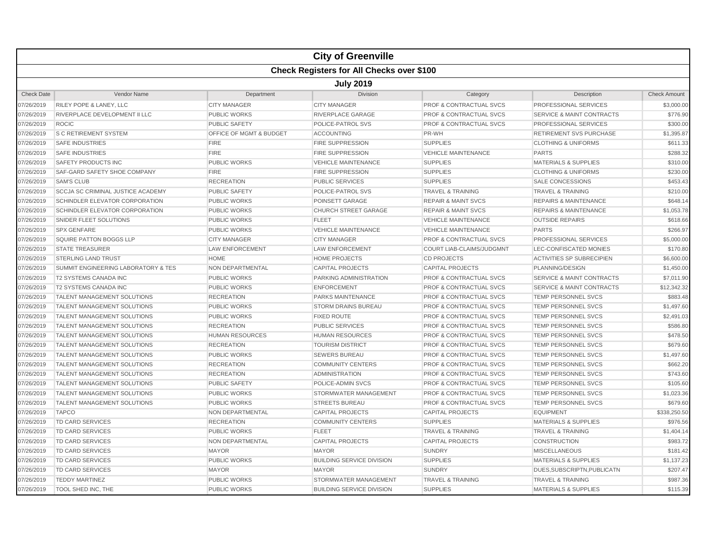|                   |                                          |                         | <b>City of Greenville</b>                        |                                    |                                      |                     |  |  |  |
|-------------------|------------------------------------------|-------------------------|--------------------------------------------------|------------------------------------|--------------------------------------|---------------------|--|--|--|
|                   |                                          |                         | <b>Check Registers for All Checks over \$100</b> |                                    |                                      |                     |  |  |  |
|                   | <b>July 2019</b>                         |                         |                                                  |                                    |                                      |                     |  |  |  |
| <b>Check Date</b> | Vendor Name                              | Department              | Division                                         | Category                           | Description                          | <b>Check Amount</b> |  |  |  |
| 07/26/2019        | <b>RILEY POPE &amp; LANEY, LLC</b>       | <b>CITY MANAGER</b>     | <b>CITY MANAGER</b>                              | PROF & CONTRACTUAL SVCS            | PROFESSIONAL SERVICES                | \$3,000.00          |  |  |  |
| 07/26/2019        | <b>RIVERPLACE DEVELOPMENT II LLC</b>     | <b>PUBLIC WORKS</b>     | <b>RIVERPLACE GARAGE</b>                         | <b>PROF &amp; CONTRACTUAL SVCS</b> | <b>SERVICE &amp; MAINT CONTRACTS</b> | \$776.90            |  |  |  |
| 07/26/2019        | <b>ROCIC</b>                             | <b>PUBLIC SAFETY</b>    | POLICE-PATROL SVS                                | <b>PROF &amp; CONTRACTUAL SVCS</b> | <b>PROFESSIONAL SERVICES</b>         | \$300.00            |  |  |  |
| 07/26/2019        | <b>S C RETIREMENT SYSTEM</b>             | OFFICE OF MGMT & BUDGET | <b>ACCOUNTING</b>                                | PR-WH                              | <b>RETIREMENT SVS PURCHASE</b>       | \$1,395.87          |  |  |  |
| 07/26/2019        | <b>SAFE INDUSTRIES</b>                   | <b>FIRE</b>             | <b>FIRE SUPPRESSION</b>                          | <b>SUPPLIES</b>                    | <b>CLOTHING &amp; UNIFORMS</b>       | \$611.33            |  |  |  |
| 07/26/2019        | <b>SAFE INDUSTRIES</b>                   | <b>FIRE</b>             | <b>FIRE SUPPRESSION</b>                          | <b>VEHICLE MAINTENANCE</b>         | <b>PARTS</b>                         | \$288.32            |  |  |  |
| 07/26/2019        | SAFETY PRODUCTS INC                      | <b>PUBLIC WORKS</b>     | <b>VEHICLE MAINTENANCE</b>                       | <b>SUPPLIES</b>                    | <b>MATERIALS &amp; SUPPLIES</b>      | \$310.00            |  |  |  |
| 07/26/2019        | <b>SAF-GARD SAFETY SHOE COMPANY</b>      | <b>FIRE</b>             | <b>FIRE SUPPRESSION</b>                          | <b>SUPPLIES</b>                    | <b>CLOTHING &amp; UNIFORMS</b>       | \$230.00            |  |  |  |
| 07/26/2019        | <b>SAM'S CLUB</b>                        | <b>RECREATION</b>       | <b>PUBLIC SERVICES</b>                           | <b>SUPPLIES</b>                    | <b>SALE CONCESSIONS</b>              | \$453.43            |  |  |  |
| 07/26/2019        | <b>SCCJA SC CRIMINAL JUSTICE ACADEMY</b> | <b>PUBLIC SAFETY</b>    | POLICE-PATROL SVS                                | <b>TRAVEL &amp; TRAINING</b>       | <b>TRAVEL &amp; TRAINING</b>         | \$210.00            |  |  |  |
| 07/26/2019        | SCHINDLER ELEVATOR CORPORATION           | <b>PUBLIC WORKS</b>     | POINSETT GARAGE                                  | <b>REPAIR &amp; MAINT SVCS</b>     | <b>REPAIRS &amp; MAINTENANCE</b>     | \$648.14            |  |  |  |
| 07/26/2019        | SCHINDLER ELEVATOR CORPORATION           | <b>PUBLIC WORKS</b>     | <b>CHURCH STREET GARAGE</b>                      | <b>REPAIR &amp; MAINT SVCS</b>     | <b>REPAIRS &amp; MAINTENANCE</b>     | \$1,053.78          |  |  |  |
| 07/26/2019        | SNIDER FLEET SOLUTIONS                   | <b>PUBLIC WORKS</b>     | <b>FLEET</b>                                     | <b>VEHICLE MAINTENANCE</b>         | <b>OUTSIDE REPAIRS</b>               | \$618.66            |  |  |  |
| 07/26/2019        | <b>SPX GENFARE</b>                       | <b>PUBLIC WORKS</b>     | <b>VEHICLE MAINTENANCE</b>                       | <b>VEHICLE MAINTENANCE</b>         | <b>PARTS</b>                         | \$266.97            |  |  |  |
| 07/26/2019        | SQUIRE PATTON BOGGS LLP                  | <b>CITY MANAGER</b>     | <b>CITY MANAGER</b>                              | <b>PROF &amp; CONTRACTUAL SVCS</b> | PROFESSIONAL SERVICES                | \$5,000.00          |  |  |  |
| 07/26/2019        | <b>STATE TREASURER</b>                   | <b>LAW ENFORCEMENT</b>  | LAW ENFORCEMENT                                  | <b>COURT LIAB-CLAIMS/JUDGMNT</b>   | LEC-CONFISCATED MONIES               | \$170.80            |  |  |  |
| 07/26/2019        | <b>STERLING LAND TRUST</b>               | <b>HOME</b>             | <b>HOME PROJECTS</b>                             | <b>CD PROJECTS</b>                 | <b>ACTIVITIES SP SUBRECIPIEN</b>     | \$6,600.00          |  |  |  |
| 07/26/2019        | SUMMIT ENGINEERING LABORATORY & TES      | NON DEPARTMENTAL        | <b>CAPITAL PROJECTS</b>                          | <b>CAPITAL PROJECTS</b>            | PLANNING/DESIGN                      | \$1,450.00          |  |  |  |
| 07/26/2019        | <b>T2 SYSTEMS CANADA INC</b>             | <b>PUBLIC WORKS</b>     | PARKING ADMINISTRATION                           | <b>PROF &amp; CONTRACTUAL SVCS</b> | <b>SERVICE &amp; MAINT CONTRACTS</b> | \$7,011.90          |  |  |  |
| 07/26/2019        | <b>T2 SYSTEMS CANADA INC</b>             | <b>PUBLIC WORKS</b>     | <b>ENFORCEMENT</b>                               | <b>PROF &amp; CONTRACTUAL SVCS</b> | <b>SERVICE &amp; MAINT CONTRACTS</b> | \$12,342.32         |  |  |  |
| 07/26/2019        | <b>TALENT MANAGEMENT SOLUTIONS</b>       | <b>RECREATION</b>       | <b>PARKS MAINTENANCE</b>                         | <b>PROF &amp; CONTRACTUAL SVCS</b> | <b>TEMP PERSONNEL SVCS</b>           | \$883.48            |  |  |  |
| 07/26/2019        | TALENT MANAGEMENT SOLUTIONS              | <b>PUBLIC WORKS</b>     | <b>STORM DRAINS BUREAU</b>                       | <b>PROF &amp; CONTRACTUAL SVCS</b> | TEMP PERSONNEL SVCS                  | \$1,497.60          |  |  |  |
| 07/26/2019        | TALENT MANAGEMENT SOLUTIONS              | <b>PUBLIC WORKS</b>     | <b>FIXED ROUTE</b>                               | <b>PROF &amp; CONTRACTUAL SVCS</b> | TEMP PERSONNEL SVCS                  | \$2,491.03          |  |  |  |
| 07/26/2019        | <b>TALENT MANAGEMENT SOLUTIONS</b>       | <b>RECREATION</b>       | <b>PUBLIC SERVICES</b>                           | <b>PROF &amp; CONTRACTUAL SVCS</b> | <b>TEMP PERSONNEL SVCS</b>           | \$586.80            |  |  |  |
| 07/26/2019        | <b>TALENT MANAGEMENT SOLUTIONS</b>       | <b>HUMAN RESOURCES</b>  | <b>HUMAN RESOURCES</b>                           | <b>PROF &amp; CONTRACTUAL SVCS</b> | <b>TEMP PERSONNEL SVCS</b>           | \$478.50            |  |  |  |
| 07/26/2019        | <b>TALENT MANAGEMENT SOLUTIONS</b>       | <b>RECREATION</b>       | <b>TOURISM DISTRICT</b>                          | <b>PROF &amp; CONTRACTUAL SVCS</b> | <b>TEMP PERSONNEL SVCS</b>           | \$679.60            |  |  |  |
| 07/26/2019        | TALENT MANAGEMENT SOLUTIONS              | <b>PUBLIC WORKS</b>     | <b>SEWERS BUREAU</b>                             | <b>PROF &amp; CONTRACTUAL SVCS</b> | TEMP PERSONNEL SVCS                  | \$1,497.60          |  |  |  |
| 07/26/2019        | TALENT MANAGEMENT SOLUTIONS              | <b>RECREATION</b>       | <b>COMMUNITY CENTERS</b>                         | <b>PROF &amp; CONTRACTUAL SVCS</b> | TEMP PERSONNEL SVCS                  | \$662.20            |  |  |  |
| 07/26/2019        | <b>TALENT MANAGEMENT SOLUTIONS</b>       | <b>RECREATION</b>       | <b>ADMINISTRATION</b>                            | <b>PROF &amp; CONTRACTUAL SVCS</b> | <b>TEMP PERSONNEL SVCS</b>           | \$743.60            |  |  |  |
| 07/26/2019        | <b>TALENT MANAGEMENT SOLUTIONS</b>       | <b>PUBLIC SAFETY</b>    | POLICE-ADMIN SVCS                                | <b>PROF &amp; CONTRACTUAL SVCS</b> | <b>TEMP PERSONNEL SVCS</b>           | \$105.60            |  |  |  |
| 07/26/2019        | <b>TALENT MANAGEMENT SOLUTIONS</b>       | <b>PUBLIC WORKS</b>     | STORMWATER MANAGEMENT                            | <b>PROF &amp; CONTRACTUAL SVCS</b> | <b>TEMP PERSONNEL SVCS</b>           | \$1,023.36          |  |  |  |
| 07/26/2019        | TALENT MANAGEMENT SOLUTIONS              | <b>PUBLIC WORKS</b>     | <b>STREETS BUREAU</b>                            | <b>PROF &amp; CONTRACTUAL SVCS</b> | TEMP PERSONNEL SVCS                  | \$679.60            |  |  |  |
| 07/26/2019        | <b>TAPCO</b>                             | NON DEPARTMENTAL        | <b>CAPITAL PROJECTS</b>                          | <b>CAPITAL PROJECTS</b>            | <b>EQUIPMENT</b>                     | \$338,250.50        |  |  |  |
| 07/26/2019        | TD CARD SERVICES                         | <b>RECREATION</b>       | <b>COMMUNITY CENTERS</b>                         | <b>SUPPLIES</b>                    | <b>MATERIALS &amp; SUPPLIES</b>      | \$976.56            |  |  |  |
| 07/26/2019        | <b>TD CARD SERVICES</b>                  | <b>PUBLIC WORKS</b>     | <b>FLEET</b>                                     | <b>TRAVEL &amp; TRAINING</b>       | <b>TRAVEL &amp; TRAINING</b>         | \$1,404.14          |  |  |  |
| 07/26/2019        | <b>TD CARD SERVICES</b>                  | <b>NON DEPARTMENTAL</b> | <b>CAPITAL PROJECTS</b>                          | <b>CAPITAL PROJECTS</b>            | <b>CONSTRUCTION</b>                  | \$983.72            |  |  |  |
| 07/26/2019        | <b>TD CARD SERVICES</b>                  | <b>MAYOR</b>            | <b>MAYOR</b>                                     | <b>SUNDRY</b>                      | <b>MISCELLANEOUS</b>                 | \$181.42            |  |  |  |
| 07/26/2019        | <b>TD CARD SERVICES</b>                  | <b>PUBLIC WORKS</b>     | <b>BUILDING SERVICE DIVISION</b>                 | <b>SUPPLIES</b>                    | <b>MATERIALS &amp; SUPPLIES</b>      | \$1,137.23          |  |  |  |
| 07/26/2019        | <b>TD CARD SERVICES</b>                  | <b>MAYOR</b>            | <b>MAYOR</b>                                     | <b>SUNDRY</b>                      | DUES, SUBSCRIPTN, PUBLICATN          | \$207.47            |  |  |  |
| 07/26/2019        | <b>TEDDY MARTINEZ</b>                    | <b>PUBLIC WORKS</b>     | STORMWATER MANAGEMENT                            | <b>TRAVEL &amp; TRAINING</b>       | <b>TRAVEL &amp; TRAINING</b>         | \$987.36            |  |  |  |
| 07/26/2019        | TOOL SHED INC, THE                       | PUBLIC WORKS            | <b>BUILDING SERVICE DIVISION</b>                 | <b>SUPPLIES</b>                    | <b>MATERIALS &amp; SUPPLIES</b>      | \$115.39            |  |  |  |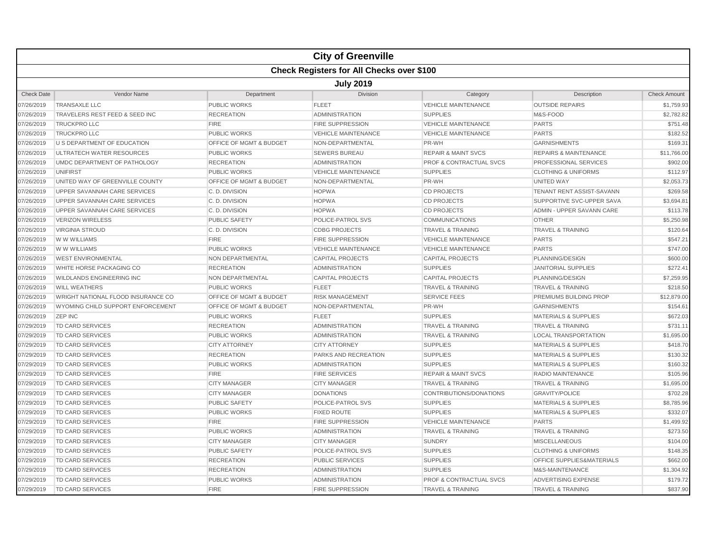|                   |                                    |                                    | <b>City of Greenville</b>                        |                                    |                                  |                     |  |  |  |
|-------------------|------------------------------------|------------------------------------|--------------------------------------------------|------------------------------------|----------------------------------|---------------------|--|--|--|
|                   |                                    |                                    | <b>Check Registers for All Checks over \$100</b> |                                    |                                  |                     |  |  |  |
|                   | <b>July 2019</b>                   |                                    |                                                  |                                    |                                  |                     |  |  |  |
| <b>Check Date</b> | Vendor Name                        | Department                         | <b>Division</b>                                  | Category                           | Description                      | <b>Check Amount</b> |  |  |  |
| 07/26/2019        | <b>TRANSAXLE LLC</b>               | <b>PUBLIC WORKS</b>                | <b>FLEET</b>                                     | <b>VEHICLE MAINTENANCE</b>         | <b>OUTSIDE REPAIRS</b>           | \$1,759.93          |  |  |  |
| 07/26/2019        | TRAVELERS REST FEED & SEED INC     | <b>RECREATION</b>                  | <b>ADMINISTRATION</b>                            | <b>SUPPLIES</b>                    | M&S-FOOD                         | \$2,782.82          |  |  |  |
| 07/26/2019        | <b>TRUCKPRO LLC</b>                | <b>FIRE</b>                        | <b>FIRE SUPPRESSION</b>                          | <b>VEHICLE MAINTENANCE</b>         | <b>PARTS</b>                     | \$751.48            |  |  |  |
| 07/26/2019        | <b>TRUCKPRO LLC</b>                | <b>PUBLIC WORKS</b>                | <b>VEHICLE MAINTENANCE</b>                       | <b>VEHICLE MAINTENANCE</b>         | <b>PARTS</b>                     | \$182.52            |  |  |  |
| 07/26/2019        | U S DEPARTMENT OF EDUCATION        | OFFICE OF MGMT & BUDGET            | NON-DEPARTMENTAL                                 | PR-WH                              | <b>GARNISHMENTS</b>              | \$169.31            |  |  |  |
| 07/26/2019        | <b>ULTRATECH WATER RESOURCES</b>   | <b>PUBLIC WORKS</b>                | <b>SEWERS BUREAU</b>                             | <b>REPAIR &amp; MAINT SVCS</b>     | <b>REPAIRS &amp; MAINTENANCE</b> | \$11,766.00         |  |  |  |
| 07/26/2019        | UMDC DEPARTMENT OF PATHOLOGY       | <b>RECREATION</b>                  | <b>ADMINISTRATION</b>                            | <b>PROF &amp; CONTRACTUAL SVCS</b> | <b>PROFESSIONAL SERVICES</b>     | \$902.00            |  |  |  |
| 07/26/2019        | <b>UNIFIRST</b>                    | <b>PUBLIC WORKS</b>                | <b>VEHICLE MAINTENANCE</b>                       | <b>SUPPLIES</b>                    | <b>CLOTHING &amp; UNIFORMS</b>   | \$112.97            |  |  |  |
| 07/26/2019        | UNITED WAY OF GREENVILLE COUNTY    | <b>OFFICE OF MGMT &amp; BUDGET</b> | NON-DEPARTMENTAL                                 | PR-WH                              | UNITED WAY                       | \$2,053.73          |  |  |  |
| 07/26/2019        | UPPER SAVANNAH CARE SERVICES       | C.D. DIVISION                      | <b>HOPWA</b>                                     | <b>CD PROJECTS</b>                 | TENANT RENT ASSIST-SAVANN        | \$269.58            |  |  |  |
| 07/26/2019        | UPPER SAVANNAH CARE SERVICES       | C. D. DIVISION                     | <b>HOPWA</b>                                     | <b>CD PROJECTS</b>                 | SUPPORTIVE SVC-UPPER SAVA        | \$3,694.81          |  |  |  |
| 07/26/2019        | UPPER SAVANNAH CARE SERVICES       | C.D. DIVISION                      | <b>HOPWA</b>                                     | <b>CD PROJECTS</b>                 | ADMIN - UPPER SAVANN CARE        | \$113.78            |  |  |  |
| 07/26/2019        | <b>VERIZON WIRELESS</b>            | <b>PUBLIC SAFETY</b>               | POLICE-PATROL SVS                                | <b>COMMUNICATIONS</b>              | <b>OTHER</b>                     | \$5,250.98          |  |  |  |
| 07/26/2019        | <b>VIRGINIA STROUD</b>             | C.D. DIVISION                      | <b>CDBG PROJECTS</b>                             | <b>TRAVEL &amp; TRAINING</b>       | <b>TRAVEL &amp; TRAINING</b>     | \$120.64            |  |  |  |
| 07/26/2019        | W W WILLIAMS                       | <b>FIRE</b>                        | <b>FIRE SUPPRESSION</b>                          | <b>VEHICLE MAINTENANCE</b>         | <b>PARTS</b>                     | \$547.21            |  |  |  |
| 07/26/2019        | W W WILLIAMS                       | <b>PUBLIC WORKS</b>                | <b>VEHICLE MAINTENANCE</b>                       | <b>VEHICLE MAINTENANCE</b>         | <b>PARTS</b>                     | \$747.00            |  |  |  |
| 07/26/2019        | <b>WEST ENVIRONMENTAL</b>          | NON DEPARTMENTAL                   | <b>CAPITAL PROJECTS</b>                          | <b>CAPITAL PROJECTS</b>            | PLANNING/DESIGN                  | \$600.00            |  |  |  |
| 07/26/2019        | WHITE HORSE PACKAGING CO           | <b>RECREATION</b>                  | <b>ADMINISTRATION</b>                            | <b>SUPPLIES</b>                    | <b>JANITORIAL SUPPLIES</b>       | \$272.41            |  |  |  |
| 07/26/2019        | <b>WILDLANDS ENGINEERING INC</b>   | NON DEPARTMENTAL                   | <b>CAPITAL PROJECTS</b>                          | <b>CAPITAL PROJECTS</b>            | PLANNING/DESIGN                  | \$7,259.95          |  |  |  |
| 07/26/2019        | <b>WILL WEATHERS</b>               | <b>PUBLIC WORKS</b>                | <b>FLEET</b>                                     | <b>TRAVEL &amp; TRAINING</b>       | <b>TRAVEL &amp; TRAINING</b>     | \$218.50            |  |  |  |
| 07/26/2019        | WRIGHT NATIONAL FLOOD INSURANCE CO | OFFICE OF MGMT & BUDGET            | <b>RISK MANAGEMENT</b>                           | <b>SERVICE FEES</b>                | PREMIUMS BUILDING PROP           | \$12,879.00         |  |  |  |
| 07/26/2019        | WYOMING CHILD SUPPORT ENFORCEMENT  | OFFICE OF MGMT & BUDGET            | NON-DEPARTMENTAL                                 | PR-WH                              | <b>GARNISHMENTS</b>              | \$154.61            |  |  |  |
| 07/26/2019        | <b>ZEP INC</b>                     | <b>PUBLIC WORKS</b>                | <b>FLEET</b>                                     | <b>SUPPLIES</b>                    | <b>MATERIALS &amp; SUPPLIES</b>  | \$672.03            |  |  |  |
| 07/29/2019        | <b>TD CARD SERVICES</b>            | <b>RECREATION</b>                  | <b>ADMINISTRATION</b>                            | <b>TRAVEL &amp; TRAINING</b>       | <b>TRAVEL &amp; TRAINING</b>     | \$731.11            |  |  |  |
| 07/29/2019        | <b>TD CARD SERVICES</b>            | <b>PUBLIC WORKS</b>                | ADMINISTRATION                                   | <b>TRAVEL &amp; TRAINING</b>       | <b>LOCAL TRANSPORTATION</b>      | \$1,695.00          |  |  |  |
| 07/29/2019        | <b>TD CARD SERVICES</b>            | <b>CITY ATTORNEY</b>               | <b>CITY ATTORNEY</b>                             | <b>SUPPLIES</b>                    | <b>MATERIALS &amp; SUPPLIES</b>  | \$418.70            |  |  |  |
| 07/29/2019        | TD CARD SERVICES                   | <b>RECREATION</b>                  | <b>PARKS AND RECREATION</b>                      | <b>SUPPLIES</b>                    | <b>MATERIALS &amp; SUPPLIES</b>  | \$130.32            |  |  |  |
| 07/29/2019        | <b>TD CARD SERVICES</b>            | <b>PUBLIC WORKS</b>                | <b>ADMINISTRATION</b>                            | <b>SUPPLIES</b>                    | <b>MATERIALS &amp; SUPPLIES</b>  | \$160.32            |  |  |  |
| 07/29/2019        | <b>TD CARD SERVICES</b>            | <b>FIRE</b>                        | <b>FIRE SERVICES</b>                             | <b>REPAIR &amp; MAINT SVCS</b>     | RADIO MAINTENANCE                | \$105.96            |  |  |  |
| 07/29/2019        | <b>TD CARD SERVICES</b>            | <b>CITY MANAGER</b>                | <b>CITY MANAGER</b>                              | <b>TRAVEL &amp; TRAINING</b>       | <b>TRAVEL &amp; TRAINING</b>     | \$1,695.00          |  |  |  |
| 07/29/2019        | <b>TD CARD SERVICES</b>            | <b>CITY MANAGER</b>                | <b>DONATIONS</b>                                 | CONTRIBUTIONS/DONATIONS            | <b>GRAVITY/POLICE</b>            | \$702.28            |  |  |  |
| 07/29/2019        | <b>TD CARD SERVICES</b>            | <b>PUBLIC SAFETY</b>               | POLICE-PATROL SVS                                | <b>SUPPLIES</b>                    | <b>MATERIALS &amp; SUPPLIES</b>  | \$8,785.96          |  |  |  |
| 07/29/2019        | <b>TD CARD SERVICES</b>            | <b>PUBLIC WORKS</b>                | <b>FIXED ROUTE</b>                               | <b>SUPPLIES</b>                    | <b>MATERIALS &amp; SUPPLIES</b>  | \$332.07            |  |  |  |
| 07/29/2019        | <b>TD CARD SERVICES</b>            | <b>FIRE</b>                        | <b>FIRE SUPPRESSION</b>                          | <b>VEHICLE MAINTENANCE</b>         | <b>PARTS</b>                     | \$1.499.92          |  |  |  |
| 07/29/2019        | <b>TD CARD SERVICES</b>            | <b>PUBLIC WORKS</b>                | <b>ADMINISTRATION</b>                            | <b>TRAVEL &amp; TRAINING</b>       | <b>TRAVEL &amp; TRAINING</b>     | \$273.50            |  |  |  |
| 07/29/2019        | <b>TD CARD SERVICES</b>            | <b>CITY MANAGER</b>                | <b>CITY MANAGER</b>                              | <b>SUNDRY</b>                      | <b>MISCELLANEOUS</b>             | \$104.00            |  |  |  |
| 07/29/2019        | <b>TD CARD SERVICES</b>            | <b>PUBLIC SAFETY</b>               | POLICE-PATROL SVS                                | <b>SUPPLIES</b>                    | <b>CLOTHING &amp; UNIFORMS</b>   | \$148.35            |  |  |  |
| 07/29/2019        | <b>TD CARD SERVICES</b>            | <b>RECREATION</b>                  | <b>PUBLIC SERVICES</b>                           | <b>SUPPLIES</b>                    | OFFICE SUPPLIES&MATERIALS        | \$662.00            |  |  |  |
| 07/29/2019        | <b>TD CARD SERVICES</b>            | <b>RECREATION</b>                  | <b>ADMINISTRATION</b>                            | <b>SUPPLIES</b>                    | M&S-MAINTENANCE                  | \$1,304.92          |  |  |  |
| 07/29/2019        | <b>TD CARD SERVICES</b>            | <b>PUBLIC WORKS</b>                | <b>ADMINISTRATION</b>                            | PROF & CONTRACTUAL SVCS            | <b>ADVERTISING EXPENSE</b>       | \$179.72            |  |  |  |
| 07/29/2019        | <b>TD CARD SERVICES</b>            | <b>FIRE</b>                        | <b>FIRE SUPPRESSION</b>                          | <b>TRAVEL &amp; TRAINING</b>       | <b>TRAVEL &amp; TRAINING</b>     | \$837.90            |  |  |  |